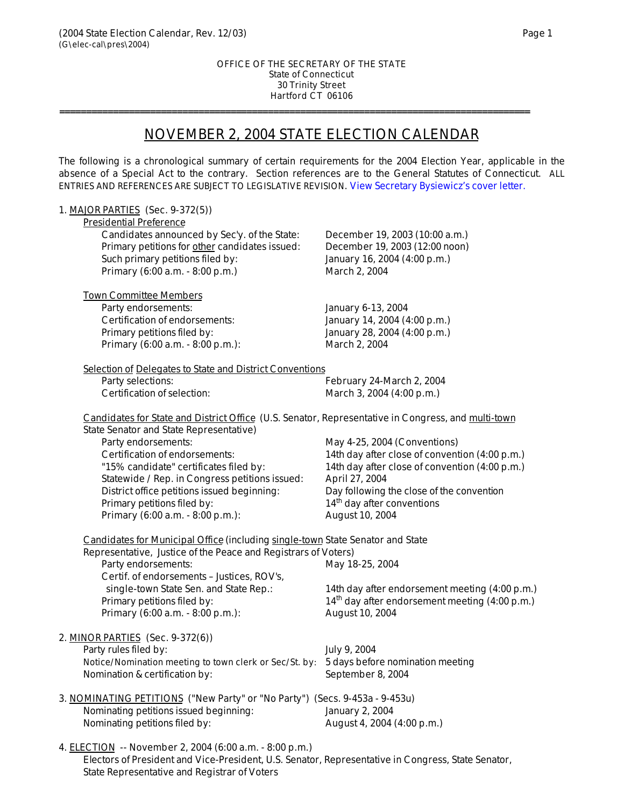State Representative and Registrar of Voters

### OFFICE OF THE SECRETARY OF THE STATE State of Connecticut 30 Trinity Street Hartford CT 06106

**========================================================================================**

# NOVEMBER 2, 2004 STATE ELECTION CALENDAR

The following is a chronological summary of certain requirements for the 2004 Election Year, applicable in the absence of a Special Act to the contrary. Section references are to the General Statutes of Connecticut. *ALL ENTRIES AND REFERENCES ARE SUBJECT TO LEGISLATIVE REVISION*. [View Secretary Bysiewicz's cover letter.](http://www.sots.state.ct.us/electionsdivision/calendars/2004election/2004electioncalendarletter.pdf)

| 1. MAJOR PARTIES (Sec. 9-372(5))                                                                                                                     |                                                  |
|------------------------------------------------------------------------------------------------------------------------------------------------------|--------------------------------------------------|
| <b>Presidential Preference</b>                                                                                                                       |                                                  |
| Candidates announced by Sec'y. of the State:                                                                                                         | December 19, 2003 (10:00 a.m.)                   |
| Primary petitions for other candidates issued:                                                                                                       | December 19, 2003 (12:00 noon)                   |
| Such primary petitions filed by:                                                                                                                     | January 16, 2004 (4:00 p.m.)                     |
| Primary (6:00 a.m. - 8:00 p.m.)                                                                                                                      | March 2, 2004                                    |
|                                                                                                                                                      |                                                  |
| <b>Town Committee Members</b>                                                                                                                        |                                                  |
| Party endorsements:                                                                                                                                  | January 6-13, 2004                               |
| Certification of endorsements:                                                                                                                       | January 14, 2004 (4:00 p.m.)                     |
| Primary petitions filed by:                                                                                                                          | January 28, 2004 (4:00 p.m.)                     |
| Primary (6:00 a.m. - 8:00 p.m.):                                                                                                                     | March 2, 2004                                    |
| Selection of Delegates to State and District Conventions                                                                                             |                                                  |
| Party selections:                                                                                                                                    | February 24-March 2, 2004                        |
| Certification of selection:                                                                                                                          | March 3, 2004 (4:00 p.m.)                        |
|                                                                                                                                                      |                                                  |
| Candidates for State and District Office (U.S. Senator, Representative in Congress, and multi-town<br><b>State Senator and State Representative)</b> |                                                  |
| Party endorsements:                                                                                                                                  | May 4-25, 2004 (Conventions)                     |
| Certification of endorsements:                                                                                                                       | 14th day after close of convention (4:00 p.m.)   |
| "15% candidate" certificates filed by:                                                                                                               | 14th day after close of convention (4:00 p.m.)   |
| Statewide / Rep. in Congress petitions issued:                                                                                                       | April 27, 2004                                   |
| District office petitions issued beginning:                                                                                                          | Day following the close of the convention        |
| Primary petitions filed by:                                                                                                                          | $14th$ day after conventions                     |
| Primary (6:00 a.m. - 8:00 p.m.):                                                                                                                     | August 10, 2004                                  |
|                                                                                                                                                      |                                                  |
| Candidates for Municipal Office (including single-town State Senator and State                                                                       |                                                  |
| Representative, Justice of the Peace and Registrars of Voters)                                                                                       |                                                  |
| Party endorsements:                                                                                                                                  | May 18-25, 2004                                  |
| Certif. of endorsements - Justices, ROV's,                                                                                                           |                                                  |
| single-town State Sen. and State Rep.:                                                                                                               | 14th day after endorsement meeting (4:00 p.m.)   |
| Primary petitions filed by:                                                                                                                          | $14th$ day after endorsement meeting (4:00 p.m.) |
| Primary (6:00 a.m. - 8:00 p.m.):                                                                                                                     | August 10, 2004                                  |
| 2. MINOR PARTIES (Sec. 9-372(6))                                                                                                                     |                                                  |
| Party rules filed by:                                                                                                                                | July 9, 2004                                     |
| Notice/Nomination meeting to town clerk or Sec/St. by: 5 days before nomination meeting                                                              |                                                  |
|                                                                                                                                                      |                                                  |
| Nomination & certification by:                                                                                                                       | September 8, 2004                                |
| 3. NOMINATING PETITIONS ("New Party" or "No Party") (Secs. 9-453a - 9-453u)                                                                          |                                                  |
| Nominating petitions issued beginning:                                                                                                               | January 2, 2004                                  |
| Nominating petitions filed by:                                                                                                                       | August 4, 2004 (4:00 p.m.)                       |
|                                                                                                                                                      |                                                  |
| 4. ELECTION -- November 2, 2004 (6:00 a.m. - 8:00 p.m.)                                                                                              |                                                  |
| Electors of President and Vice-President, U.S. Senator, Representative in Congress, State Senator,                                                   |                                                  |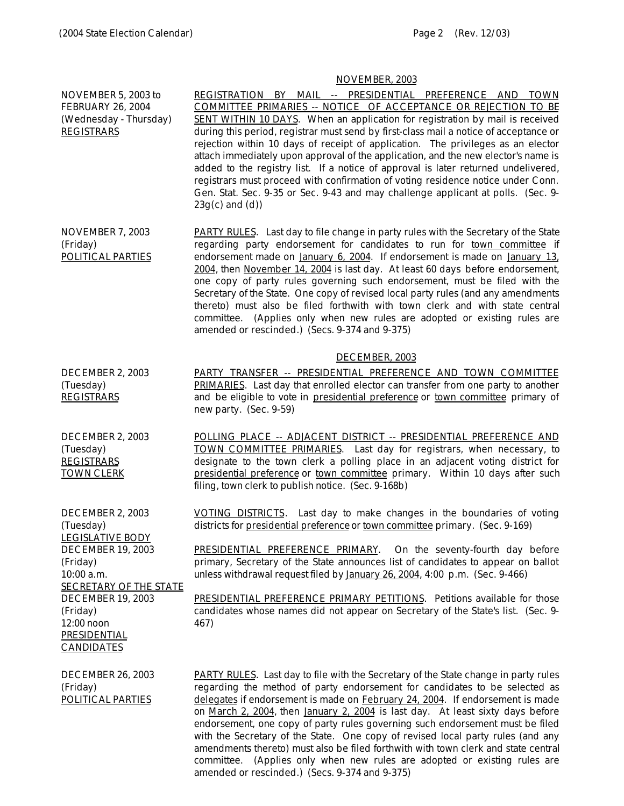# NOVEMBER, 2003

|                                                                                                                                                                                                                                            | INU V LIVIDLIN, 4000                                                                                                                                                                                                                                                                                                                                                                                                                                                                                                                                                                                                                                                                                                                                                 |
|--------------------------------------------------------------------------------------------------------------------------------------------------------------------------------------------------------------------------------------------|----------------------------------------------------------------------------------------------------------------------------------------------------------------------------------------------------------------------------------------------------------------------------------------------------------------------------------------------------------------------------------------------------------------------------------------------------------------------------------------------------------------------------------------------------------------------------------------------------------------------------------------------------------------------------------------------------------------------------------------------------------------------|
| NOVEMBER 5, 2003 to<br><b>FEBRUARY 26, 2004</b><br>(Wednesday - Thursday)<br><b>REGISTRARS</b>                                                                                                                                             | REGISTRATION BY MAIL -- PRESIDENTIAL PREFERENCE AND TOWN<br>COMMITTEE PRIMARIES -- NOTICE OF ACCEPTANCE OR REJECTION TO BE<br>SENT WITHIN 10 DAYS. When an application for registration by mail is received<br>during this period, registrar must send by first-class mail a notice of acceptance or<br>rejection within 10 days of receipt of application. The privileges as an elector<br>attach immediately upon approval of the application, and the new elector's name is<br>added to the registry list. If a notice of approval is later returned undelivered,<br>registrars must proceed with confirmation of voting residence notice under Conn.<br>Gen. Stat. Sec. 9-35 or Sec. 9-43 and may challenge applicant at polls. (Sec. 9-<br>$23g(c)$ and $(d)$ ) |
| NOVEMBER 7, 2003<br>(Friday)<br>POLITICAL PARTIES                                                                                                                                                                                          | <b>PARTY RULES.</b> Last day to file change in party rules with the Secretary of the State<br>regarding party endorsement for candidates to run for town committee if<br>endorsement made on January 6, 2004. If endorsement is made on January 13.<br>2004, then November 14, 2004 is last day. At least 60 days before endorsement,<br>one copy of party rules governing such endorsement, must be filed with the<br>Secretary of the State. One copy of revised local party rules (and any amendments<br>thereto) must also be filed forthwith with town clerk and with state central<br>committee. (Applies only when new rules are adopted or existing rules are<br>amended or rescinded.) (Secs. 9-374 and 9-375)                                              |
| DECEMBER 2, 2003<br>(Tuesday)<br><b>REGISTRARS</b>                                                                                                                                                                                         | DECEMBER, 2003<br>PARTY TRANSFER -- PRESIDENTIAL PREFERENCE AND TOWN COMMITTEE<br>PRIMARIES. Last day that enrolled elector can transfer from one party to another<br>and be eligible to vote in presidential preference or town committee primary of<br>new party. (Sec. 9-59)                                                                                                                                                                                                                                                                                                                                                                                                                                                                                      |
| DECEMBER 2, 2003<br>(Tuesday)<br><b>REGISTRARS</b><br><b>TOWN CLERK</b>                                                                                                                                                                    | POLLING PLACE -- ADJACENT DISTRICT -- PRESIDENTIAL PREFERENCE AND<br>TOWN COMMITTEE PRIMARIES. Last day for registrars, when necessary, to<br>designate to the town clerk a polling place in an adjacent voting district for<br>presidential preference or town committee primary. Within 10 days after such<br>filing, town clerk to publish notice. (Sec. 9-168b)                                                                                                                                                                                                                                                                                                                                                                                                  |
| DECEMBER 2, 2003<br>(Tuesday)<br>LEGISLATIVE BODY<br><b>DECEMBER 19, 2003</b><br>(Friday)<br>10:00 a.m.<br><b>SECRETARY OF THE STATE</b><br><b>DECEMBER 19, 2003</b><br>(Friday)<br>12:00 noon<br><b>PRESIDENTIAL</b><br><b>CANDIDATES</b> | VOTING DISTRICTS. Last day to make changes in the boundaries of voting<br>districts for presidential preference or town committee primary. (Sec. 9-169)<br><b>PRESIDENTIAL PREFERENCE PRIMARY.</b> On the seventy-fourth day before<br>primary, Secretary of the State announces list of candidates to appear on ballot<br>unless withdrawal request filed by January 26, 2004, 4:00 p.m. (Sec. 9-466)<br><b>PRESIDENTIAL PREFERENCE PRIMARY PETITIONS.</b> Petitions available for those<br>candidates whose names did not appear on Secretary of the State's list. (Sec. 9-<br>467)                                                                                                                                                                                |
| <b>DECEMBER 26, 2003</b><br>(Friday)<br>POLITICAL PARTIES                                                                                                                                                                                  | <b>PARTY RULES.</b> Last day to file with the Secretary of the State change in party rules<br>regarding the method of party endorsement for candidates to be selected as<br>delegates if endorsement is made on February 24, 2004. If endorsement is made<br>on March 2, 2004, then January 2, 2004 is last day. At least sixty days before<br>endorsement, one copy of party rules governing such endorsement must be filed<br>with the Secretary of the State. One copy of revised local party rules (and any<br>amendments thereto) must also be filed forthwith with town clerk and state central                                                                                                                                                                |

committee. (Applies only when new rules are adopted or existing rules are

amended or rescinded.) (Secs. 9-374 and 9-375)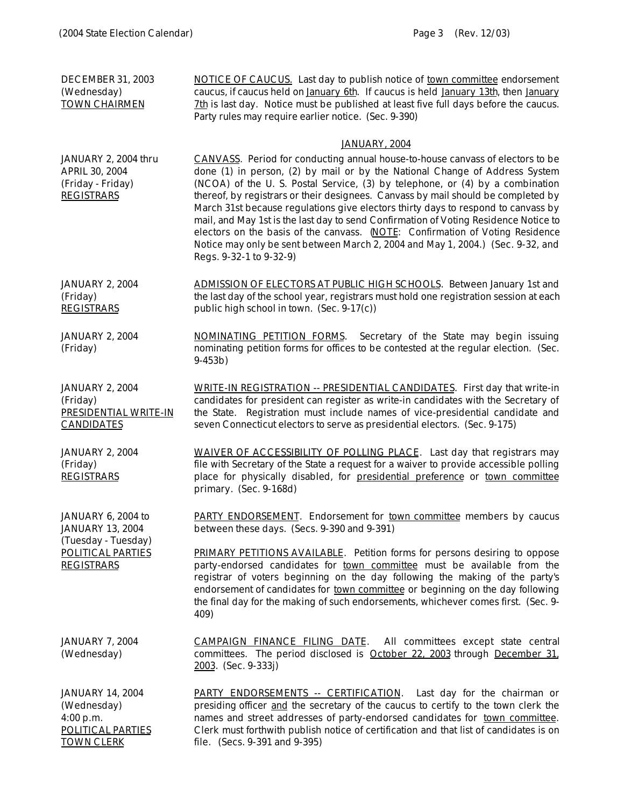| <b>DECEMBER 31, 2003</b><br>(Wednesday)<br><b>TOWN CHAIRMEN</b>                                                | NOTICE OF CAUCUS. Last day to publish notice of town committee endorsement<br>caucus, if caucus held on January 6th. If caucus is held January 13th, then January<br>7th is last day. Notice must be published at least five full days before the caucus.<br>Party rules may require earlier notice. (Sec. 9-390)                                                                                                                                                                                                                                                                                                                                                                                              |
|----------------------------------------------------------------------------------------------------------------|----------------------------------------------------------------------------------------------------------------------------------------------------------------------------------------------------------------------------------------------------------------------------------------------------------------------------------------------------------------------------------------------------------------------------------------------------------------------------------------------------------------------------------------------------------------------------------------------------------------------------------------------------------------------------------------------------------------|
|                                                                                                                | JANUARY, 2004                                                                                                                                                                                                                                                                                                                                                                                                                                                                                                                                                                                                                                                                                                  |
| JANUARY 2, 2004 thru<br><b>APRIL 30, 2004</b><br>(Friday - Friday)<br><b>REGISTRARS</b>                        | CANVASS. Period for conducting annual house-to-house canvass of electors to be<br>done (1) in person, (2) by mail or by the National Change of Address System<br>(NCOA) of the U.S. Postal Service, (3) by telephone, or (4) by a combination<br>thereof, by registrars or their designees. Canvass by mail should be completed by<br>March 31st because regulations give electors thirty days to respond to canvass by<br>mail, and May 1st is the last day to send Confirmation of Voting Residence Notice to<br>electors on the basis of the canvass. (NOTE: Confirmation of Voting Residence<br>Notice may only be sent between March 2, 2004 and May 1, 2004.) (Sec. 9-32, and<br>Regs. 9-32-1 to 9-32-9) |
| <b>JANUARY 2, 2004</b><br>(Friday)<br><b>REGISTRARS</b>                                                        | ADMISSION OF ELECTORS AT PUBLIC HIGH SCHOOLS. Between January 1st and<br>the last day of the school year, registrars must hold one registration session at each<br>public high school in town. (Sec. 9-17(c))                                                                                                                                                                                                                                                                                                                                                                                                                                                                                                  |
| <b>JANUARY 2, 2004</b><br>(Friday)                                                                             | NOMINATING PETITION FORMS.<br>Secretary of the State may begin issuing<br>nominating petition forms for offices to be contested at the regular election. (Sec.<br>$9-453b)$                                                                                                                                                                                                                                                                                                                                                                                                                                                                                                                                    |
| <b>JANUARY 2, 2004</b><br>(Friday)<br>PRESIDENTIAL WRITE-IN<br><b>CANDIDATES</b>                               | <b>WRITE-IN REGISTRATION -- PRESIDENTIAL CANDIDATES.</b> First day that write-in<br>candidates for president can register as write-in candidates with the Secretary of<br>the State. Registration must include names of vice-presidential candidate and<br>seven Connecticut electors to serve as presidential electors. (Sec. 9-175)                                                                                                                                                                                                                                                                                                                                                                          |
| <b>JANUARY 2, 2004</b><br>(Friday)<br><b>REGISTRARS</b>                                                        | WAIVER OF ACCESSIBILITY OF POLLING PLACE. Last day that registrars may<br>file with Secretary of the State a request for a waiver to provide accessible polling<br>place for physically disabled, for presidential preference or town committee<br>primary. (Sec. 9-168d)                                                                                                                                                                                                                                                                                                                                                                                                                                      |
| JANUARY 6, 2004 to<br><b>JANUARY 13, 2004</b><br>(Tuesday - Tuesday)<br>POLITICAL PARTIES<br><b>REGISTRARS</b> | <b>PARTY ENDORSEMENT.</b> Endorsement for <b>town committee</b> members by caucus<br>between these days. (Secs. 9-390 and 9-391)                                                                                                                                                                                                                                                                                                                                                                                                                                                                                                                                                                               |
|                                                                                                                | <b>PRIMARY PETITIONS AVAILABLE.</b> Petition forms for persons desiring to oppose<br>party-endorsed candidates for town committee must be available from the<br>registrar of voters beginning on the day following the making of the party's<br>endorsement of candidates for town committee or beginning on the day following<br>the final day for the making of such endorsements, whichever comes first. (Sec. 9-<br>409)                                                                                                                                                                                                                                                                                   |
| <b>JANUARY 7, 2004</b><br>(Wednesday)                                                                          | CAMPAIGN FINANCE FILING DATE.<br>All committees except state central<br>committees. The period disclosed is October 22, 2003 through December 31,<br>2003. (Sec. 9-333j)                                                                                                                                                                                                                                                                                                                                                                                                                                                                                                                                       |
| <b>JANUARY 14, 2004</b><br>(Wednesday)<br>4:00 p.m.                                                            | <b>PARTY ENDORSEMENTS -- CERTIFICATION.</b> Last day for the chairman or<br>presiding officer and the secretary of the caucus to certify to the town clerk the<br>names and street addresses of party-endorsed candidates for town committee.                                                                                                                                                                                                                                                                                                                                                                                                                                                                  |

file. (Secs. 9-391 and 9-395)

Clerk must forthwith publish notice of certification and that list of candidates is on

POLITICAL PARTIES TOWN CLERK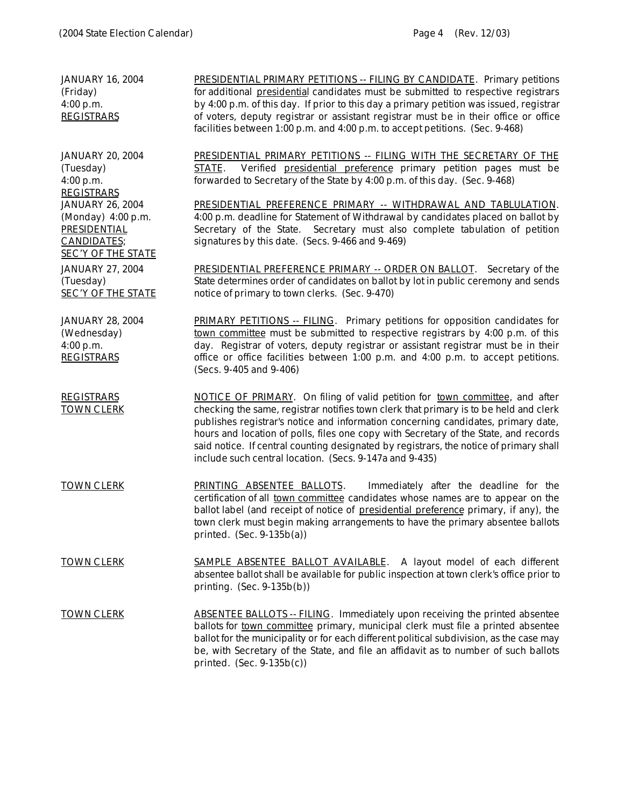JANUARY 16, 2004 (Friday) 4:00 p.m. **REGISTRARS** PRESIDENTIAL PRIMARY PETITIONS -- FILING BY CANDIDATE. Primary petitions for additional presidential candidates must be submitted to respective registrars by 4:00 p.m. of this day. If prior to this day a primary petition was issued, registrar of voters, deputy registrar or assistant registrar must be in their office or office facilities between 1:00 p.m. and 4:00 p.m. to accept petitions. (Sec. 9-468) JANUARY 20, 2004 (Tuesday) 4:00 p.m. REGISTRARS PRESIDENTIAL PRIMARY PETITIONS -- FILING WITH THE SECRETARY OF THE STATE. Verified presidential preference primary petition pages must be forwarded to Secretary of the State by 4:00 p.m. of this day. (Sec. 9-468) JANUARY 26, 2004 (Monday) 4:00 p.m. **PRESIDENTIAL** CANDIDATES; SEC'Y OF THE STATE PRESIDENTIAL PREFERENCE PRIMARY -- WITHDRAWAL AND TABLULATION. 4:00 p.m. deadline for Statement of Withdrawal by candidates placed on ballot by Secretary of the State. Secretary must also complete tabulation of petition signatures by this date. (Secs. 9-466 and 9-469) JANUARY 27, 2004 (Tuesday) SEC'Y OF THE STATE PRESIDENTIAL PREFERENCE PRIMARY -- ORDER ON BALLOT. Secretary of the State determines order of candidates on ballot by lot in public ceremony and sends notice of primary to town clerks. (Sec. 9-470) JANUARY 28, 2004 (Wednesday) 4:00 p.m. **REGISTRARS** PRIMARY PETITIONS -- FILING. Primary petitions for opposition candidates for town committee must be submitted to respective registrars by 4:00 p.m. of this day. Registrar of voters, deputy registrar or assistant registrar must be in their office or office facilities between 1:00 p.m. and 4:00 p.m. to accept petitions. (Secs. 9-405 and 9-406) REGISTRARS TOWN CLERK NOTICE OF PRIMARY. On filing of valid petition for town committee, and after checking the same, registrar notifies town clerk that primary is to be held and clerk publishes registrar's notice and information concerning candidates, primary date, hours and location of polls, files one copy with Secretary of the State, and records said notice. If central counting designated by registrars, the notice of primary shall include such central location. (Secs. 9-147a and 9-435) TOWN CLERK PRINTING ABSENTEE BALLOTS. Immediately after the deadline for the certification of all town committee candidates whose names are to appear on the ballot label (and receipt of notice of presidential preference primary, if any), the town clerk must begin making arrangements to have the primary absentee ballots printed.  $(Sec. 9-135b(a))$ TOWN CLERK SAMPLE ABSENTEE BALLOT AVAILABLE. A layout model of each different absentee ballot shall be available for public inspection at town clerk's office prior to printing. (Sec. 9-135b(b)) TOWN CLERK ABSENTEE BALLOTS -- FILING. Immediately upon receiving the printed absentee ballots for town committee primary, municipal clerk must file a printed absentee ballot for the municipality or for each different political subdivision, as the case may be, with Secretary of the State, and file an affidavit as to number of such ballots printed. (Sec. 9-135b(c))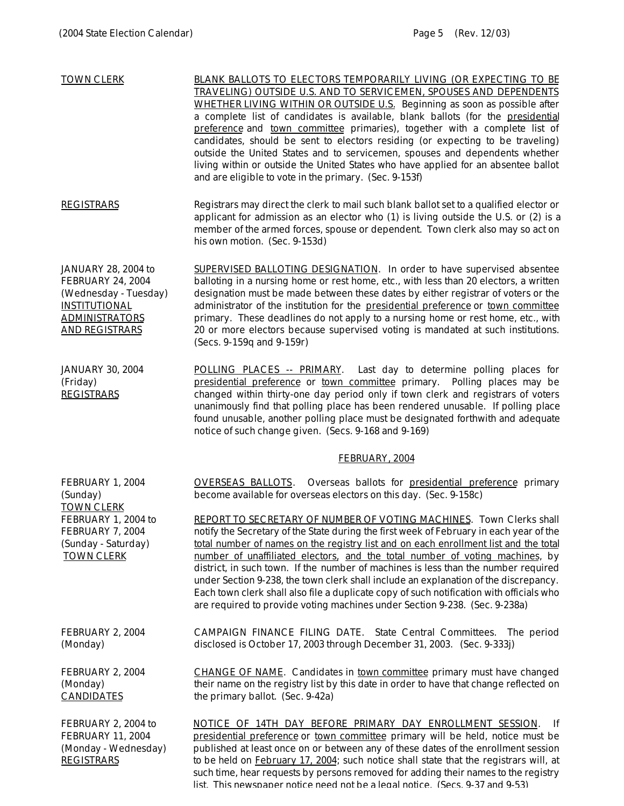| <b>TOWN CLERK</b>                                                                                                                                  | BLANK BALLOTS TO ELECTORS TEMPORARILY LIVING (OR EXPECTING TO BE<br>TRAVELING) OUTSIDE U.S. AND TO SERVICEMEN, SPOUSES AND DEPENDENTS<br>WHETHER LIVING WITHIN OR OUTSIDE U.S. Beginning as soon as possible after<br>a complete list of candidates is available, blank ballots (for the presidential<br>preference and town committee primaries), together with a complete list of<br>candidates, should be sent to electors residing (or expecting to be traveling)<br>outside the United States and to servicemen, spouses and dependents whether<br>living within or outside the United States who have applied for an absentee ballot<br>and are eligible to vote in the primary. (Sec. 9-153f) |
|----------------------------------------------------------------------------------------------------------------------------------------------------|------------------------------------------------------------------------------------------------------------------------------------------------------------------------------------------------------------------------------------------------------------------------------------------------------------------------------------------------------------------------------------------------------------------------------------------------------------------------------------------------------------------------------------------------------------------------------------------------------------------------------------------------------------------------------------------------------|
| <b>REGISTRARS</b>                                                                                                                                  | Registrars may direct the clerk to mail such blank ballot set to a qualified elector or<br>applicant for admission as an elector who $(1)$ is living outside the U.S. or $(2)$ is a<br>member of the armed forces, spouse or dependent. Town clerk also may so act on<br>his own motion. (Sec. 9-153d)                                                                                                                                                                                                                                                                                                                                                                                               |
| JANUARY 28, 2004 to<br><b>FEBRUARY 24, 2004</b><br>(Wednesday - Tuesday)<br><b>INSTITUTIONAL</b><br><b>ADMINISTRATORS</b><br><b>AND REGISTRARS</b> | <b>SUPERVISED BALLOTING DESIGNATION.</b> In order to have supervised absentee<br>balloting in a nursing home or rest home, etc., with less than 20 electors, a written<br>designation must be made between these dates by either registrar of voters or the<br>administrator of the institution for the presidential preference or town committee<br>primary. These deadlines do not apply to a nursing home or rest home, etc., with<br>20 or more electors because supervised voting is mandated at such institutions.<br>(Secs. 9-159q and 9-159r)                                                                                                                                                |
| <b>JANUARY 30, 2004</b><br>(Friday)<br><b>REGISTRARS</b>                                                                                           | POLLING PLACES -- PRIMARY. Last day to determine polling places for<br>presidential preference or town committee primary. Polling places may be<br>changed within thirty-one day period only if town clerk and registrars of voters<br>unanimously find that polling place has been rendered unusable. If polling place<br>found unusable, another polling place must be designated forthwith and adequate<br>notice of such change given. (Secs. 9-168 and 9-169)                                                                                                                                                                                                                                   |
|                                                                                                                                                    | <b>FEBRUARY, 2004</b>                                                                                                                                                                                                                                                                                                                                                                                                                                                                                                                                                                                                                                                                                |
| FEBRUARY 1, 2004<br>(Sunday)<br><b>TOWN CLERK</b>                                                                                                  | <b>OVERSEAS BALLOTS.</b><br>Overseas ballots for presidential preference primary<br>become available for overseas electors on this day. (Sec. 9-158c)                                                                                                                                                                                                                                                                                                                                                                                                                                                                                                                                                |
| FEBRUARY 1, 2004 to<br>FEBRUARY 7, 2004<br>(Sunday - Saturday)<br><b>TOWN CLERK</b>                                                                | REPORT TO SECRETARY OF NUMBER OF VOTING MACHINES. Town Clerks shall<br>notify the Secretary of the State during the first week of February in each year of the<br>total number of names on the registry list and on each enrollment list and the total<br>number of unaffiliated electors, and the total number of voting machines, by<br>district, in such town. If the number of machines is less than the number required<br>under Section 9-238, the town clerk shall include an explanation of the discrepancy.<br>Each town clerk shall also file a duplicate copy of such notification with officials who<br>are required to provide voting machines under Section 9-238. (Sec. 9-238a)       |
| FEBRUARY 2, 2004<br>(Monday)                                                                                                                       | CAMPAIGN FINANCE FILING DATE. State Central Committees.<br>The period<br>disclosed is October 17, 2003 through December 31, 2003. (Sec. 9-333j)                                                                                                                                                                                                                                                                                                                                                                                                                                                                                                                                                      |
| FEBRUARY 2, 2004<br>(Monday)<br><b>CANDIDATES</b>                                                                                                  | <b>CHANGE OF NAME.</b> Candidates in town committee primary must have changed<br>their name on the registry list by this date in order to have that change reflected on<br>the primary ballot. (Sec. 9-42a)                                                                                                                                                                                                                                                                                                                                                                                                                                                                                          |
| FEBRUARY 2, 2004 to<br>FEBRUARY 11, 2004<br>(Monday - Wednesday)<br><b>REGISTRARS</b>                                                              | NOTICE OF 14TH DAY BEFORE PRIMARY DAY ENROLLMENT SESSION.<br>- If<br>presidential preference or town committee primary will be held, notice must be<br>published at least once on or between any of these dates of the enrollment session<br>to be held on February 17, 2004; such notice shall state that the registrars will, at<br>such time, hear requests by persons removed for adding their names to the registry                                                                                                                                                                                                                                                                             |

list. This newspaper notice need not be a legal notice. (Secs. 9-37 and 9-53)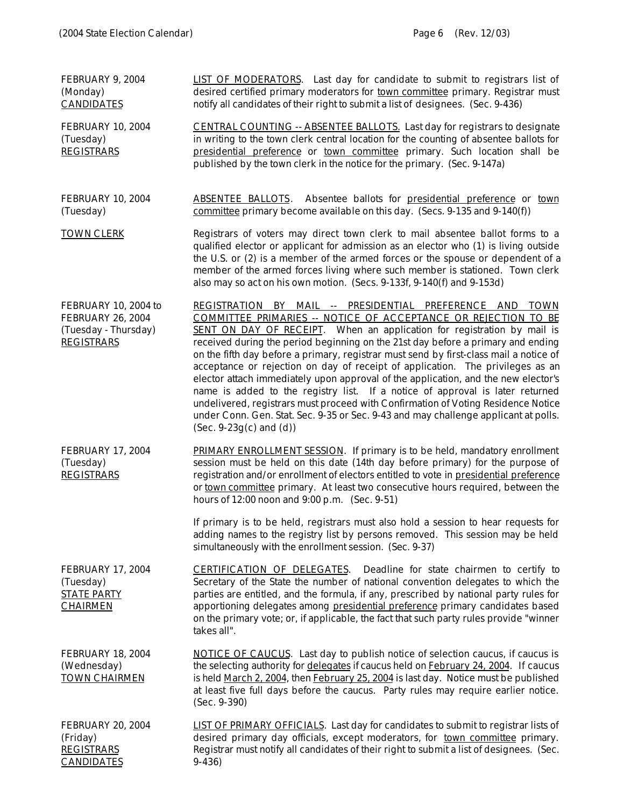| FEBRUARY 9, 2004<br>(Monday)<br><b>CANDIDATES</b>                                             | LIST OF MODERATORS. Last day for candidate to submit to registrars list of<br>desired certified primary moderators for town committee primary. Registrar must<br>notify all candidates of their right to submit a list of designees. (Sec. 9-436)                                                                                                                                                                                                                                                                                                                                                                                                                                                                                                                                                                                                       |
|-----------------------------------------------------------------------------------------------|---------------------------------------------------------------------------------------------------------------------------------------------------------------------------------------------------------------------------------------------------------------------------------------------------------------------------------------------------------------------------------------------------------------------------------------------------------------------------------------------------------------------------------------------------------------------------------------------------------------------------------------------------------------------------------------------------------------------------------------------------------------------------------------------------------------------------------------------------------|
| FEBRUARY 10, 2004<br>(Tuesday)<br><b>REGISTRARS</b>                                           | <b>CENTRAL COUNTING -- ABSENTEE BALLOTS.</b> Last day for registrars to designate<br>in writing to the town clerk central location for the counting of absentee ballots for<br>presidential preference or town committee primary. Such location shall be<br>published by the town clerk in the notice for the primary. (Sec. 9-147a)                                                                                                                                                                                                                                                                                                                                                                                                                                                                                                                    |
| <b>FEBRUARY 10, 2004</b><br>(Tuesday)                                                         | Absentee ballots for presidential preference or town<br><b>ABSENTEE BALLOTS.</b><br>committee primary become available on this day. (Secs. 9-135 and 9-140(f))                                                                                                                                                                                                                                                                                                                                                                                                                                                                                                                                                                                                                                                                                          |
| <b>TOWN CLERK</b>                                                                             | Registrars of voters may direct town clerk to mail absentee ballot forms to a<br>qualified elector or applicant for admission as an elector who (1) is living outside<br>the U.S. or (2) is a member of the armed forces or the spouse or dependent of a<br>member of the armed forces living where such member is stationed. Town clerk<br>also may so act on his own motion. (Secs. 9-133f, 9-140(f) and 9-153d)                                                                                                                                                                                                                                                                                                                                                                                                                                      |
| FEBRUARY 10, 2004 to<br><b>FEBRUARY 26, 2004</b><br>(Tuesday - Thursday)<br><b>REGISTRARS</b> | REGISTRATION BY MAIL -- PRESIDENTIAL PREFERENCE AND TOWN<br>COMMITTEE PRIMARIES -- NOTICE OF ACCEPTANCE OR REJECTION TO BE<br>SENT ON DAY OF RECEIPT. When an application for registration by mail is<br>received during the period beginning on the 21st day before a primary and ending<br>on the fifth day before a primary, registrar must send by first-class mail a notice of<br>acceptance or rejection on day of receipt of application. The privileges as an<br>elector attach immediately upon approval of the application, and the new elector's<br>name is added to the registry list. If a notice of approval is later returned<br>undelivered, registrars must proceed with Confirmation of Voting Residence Notice<br>under Conn. Gen. Stat. Sec. 9-35 or Sec. 9-43 and may challenge applicant at polls.<br>$(Sec. 9-23g(c)$ and $(d))$ |
| FEBRUARY 17, 2004<br>(Tuesday)<br><b>REGISTRARS</b>                                           | PRIMARY ENROLLMENT SESSION. If primary is to be held, mandatory enrollment<br>session must be held on this date (14th day before primary) for the purpose of<br>registration and/or enrollment of electors entitled to vote in presidential preference<br>or town committee primary. At least two consecutive hours required, between the<br>hours of 12:00 noon and 9:00 p.m. (Sec. 9-51)                                                                                                                                                                                                                                                                                                                                                                                                                                                              |
|                                                                                               | If primary is to be held, registrars must also hold a session to hear requests for<br>adding names to the registry list by persons removed. This session may be held<br>simultaneously with the enrollment session. (Sec. 9-37)                                                                                                                                                                                                                                                                                                                                                                                                                                                                                                                                                                                                                         |
| FEBRUARY 17, 2004<br>(Tuesday)<br><u>STATE PARTY</u><br><b>CHAIRMEN</b>                       | <b>CERTIFICATION OF DELEGATES.</b> Deadline for state chairmen to certify to<br>Secretary of the State the number of national convention delegates to which the<br>parties are entitled, and the formula, if any, prescribed by national party rules for<br>apportioning delegates among presidential preference primary candidates based<br>on the primary vote; or, if applicable, the fact that such party rules provide "winner<br>takes all".                                                                                                                                                                                                                                                                                                                                                                                                      |
| FEBRUARY 18, 2004<br>(Wednesday)<br><b>TOWN CHAIRMEN</b>                                      | <b>NOTICE OF CAUCUS.</b> Last day to publish notice of selection caucus, if caucus is<br>the selecting authority for delegates if caucus held on February 24, 2004. If caucus<br>is held March 2, 2004, then February 25, 2004 is last day. Notice must be published<br>at least five full days before the caucus. Party rules may require earlier notice.<br>$(Sec. 9-390)$                                                                                                                                                                                                                                                                                                                                                                                                                                                                            |
| FEBRUARY 20, 2004<br>(Friday)<br><b>REGISTRARS</b><br><b>CANDIDATES</b>                       | LIST OF PRIMARY OFFICIALS. Last day for candidates to submit to registrar lists of<br>desired primary day officials, except moderators, for town committee primary.<br>Registrar must notify all candidates of their right to submit a list of designees. (Sec.<br>$9-436$                                                                                                                                                                                                                                                                                                                                                                                                                                                                                                                                                                              |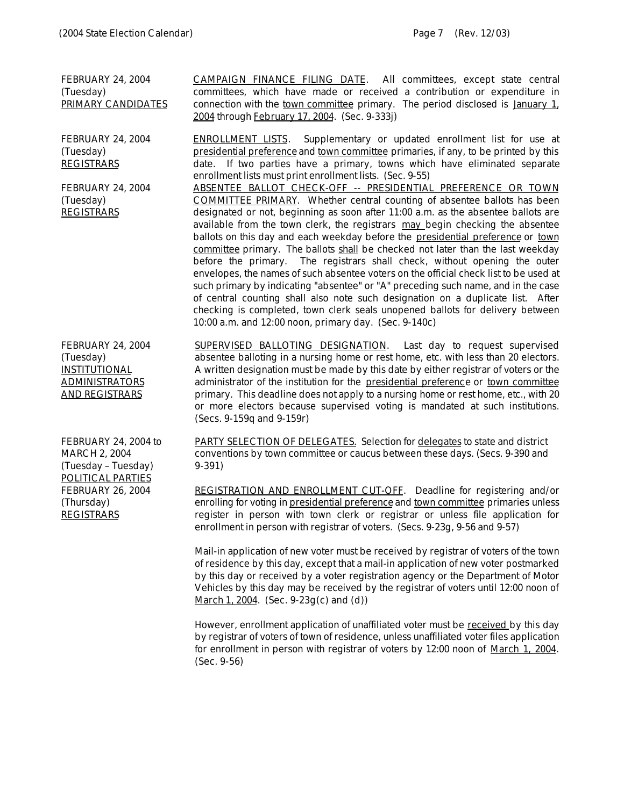FEBRUARY 24, 2004 (Tuesday) PRIMARY CANDIDATES

FEBRUARY 24, 2004 (Tuesday) REGISTRARS

FEBRUARY 24, 2004 (Tuesday) **REGISTRARS** 

committees, which have made or received a contribution or expenditure in connection with the town committee primary. The period disclosed is January 1, 2004 through February 17, 2004. (Sec. 9-333j)

CAMPAIGN FINANCE FILING DATE. All committees, except state central

ENROLLMENT LISTS. Supplementary or updated enrollment list for use at presidential preference and town committee primaries, if any, to be printed by this date. If two parties have a primary, towns which have eliminated separate enrollment lists must print enrollment lists. (Sec. 9-55)

ABSENTEE BALLOT CHECK-OFF -- PRESIDENTIAL PREFERENCE OR TOWN COMMITTEE PRIMARY. Whether central counting of absentee ballots has been designated or not, beginning as soon after 11:00 a.m. as the absentee ballots are available from the town clerk, the registrars may begin checking the absentee ballots on this day and each weekday before the presidential preference or town committee primary. The ballots shall be checked not later than the last weekday before the primary. The registrars shall check, without opening the outer envelopes, the names of such absentee voters on the official check list to be used at such primary by indicating "absentee" or "A" preceding such name, and in the case of central counting shall also note such designation on a duplicate list. After checking is completed, town clerk seals unopened ballots for delivery between 10:00 a.m. and 12:00 noon, primary day. (Sec. 9-140c)

FEBRUARY 24, 2004 (Tuesday) **INSTITUTIONAL** ADMINISTRATORS AND REGISTRARS

SUPERVISED BALLOTING DESIGNATION. Last day to request supervised absentee balloting in a nursing home or rest home, etc. with less than 20 electors. A written designation must be made by this date by either registrar of voters or the administrator of the institution for the presidential preference or town committee primary. This deadline does not apply to a nursing home or rest home, etc., with 20 or more electors because supervised voting is mandated at such institutions. (Secs. 9-159q and 9-159r)

FEBRUARY 24, 2004 to MARCH 2, 2004 (Tuesday – Tuesday) POLITICAL PARTIES FEBRUARY 26, 2004 (Thursday) **REGISTRARS** 

PARTY SELECTION OF DELEGATES. Selection for delegates to state and district conventions by town committee or caucus between these days. (Secs. 9-390 and 9-391)

REGISTRATION AND ENROLLMENT CUT-OFF. Deadline for registering and/or enrolling for voting in presidential preference and town committee primaries unless register in person with town clerk or registrar or unless file application for enrollment in person with registrar of voters. (Secs. 9-23g, 9-56 and 9-57)

Mail-in application of new voter must be received by registrar of voters of the town of residence by this day, except that a mail-in application of new voter postmarked by this day or received by a voter registration agency or the Department of Motor Vehicles by this day may be received by the registrar of voters until 12:00 noon of March 1, 2004. (Sec. 9-23g(c) and (d))

However, enrollment application of unaffiliated voter must be received by this day by registrar of voters of town of residence, unless unaffiliated voter files application for enrollment in person with registrar of voters by 12:00 noon of March 1, 2004. (Sec. 9-56)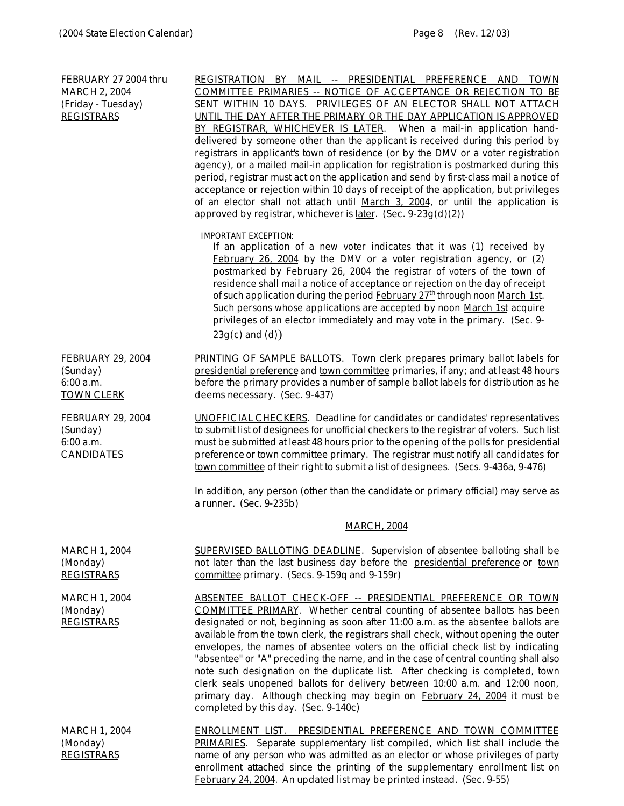FEBRUARY 27 2004 thru MARCH 2, 2004 (Friday - Tuesday) REGISTRARS REGISTRATION BY MAIL -- PRESIDENTIAL PREFERENCE AND TOWN COMMITTEE PRIMARIES -- NOTICE OF ACCEPTANCE OR REJECTION TO BE SENT WITHIN 10 DAYS. PRIVILEGES OF AN ELECTOR SHALL NOT ATTACH UNTIL THE DAY AFTER THE PRIMARY OR THE DAY APPLICATION IS APPROVED BY REGISTRAR, WHICHEVER IS LATER. When a mail-in application handdelivered by someone other than the applicant is received during this period by registrars in applicant's town of residence (or by the DMV or a voter registration agency), or a mailed mail-in application for registration is postmarked during this period, registrar must act on the application and send by first-class mail a notice of acceptance or rejection within 10 days of receipt of the application, but privileges of an elector shall not attach until March 3, 2004, or until the application is approved by registrar, whichever is later. (Sec.  $9-23g(d)(2)$ ) *IMPORTANT EXCEPTION: If an application of a new voter indicates that it was (1) received by February 26, 2004 by the DMV or a voter registration agency, or (2) postmarked by February 26, 2004 the registrar of voters of the town of residence shall mail a notice of acceptance or rejection on the day of receipt of such application during the period February 27th through noon March 1st. Such persons whose applications are accepted by noon March 1st acquire privileges of an elector immediately and may vote in the primary. (Sec. 9- 23g(c) and (d)*) FEBRUARY 29, 2004 (Sunday) 6:00 a.m. TOWN CLERK PRINTING OF SAMPLE BALLOTS. Town clerk prepares primary ballot labels for presidential preference and town committee primaries, if any; and at least 48 hours before the primary provides a number of sample ballot labels for distribution as he deems necessary. (Sec. 9-437) FEBRUARY 29, 2004 (Sunday) 6:00 a.m. CANDIDATES UNOFFICIAL CHECKERS. Deadline for candidates or candidates' representatives to submit list of designees for unofficial checkers to the registrar of voters. Such list must be submitted at least 48 hours prior to the opening of the polls for presidential preference or town committee primary. The registrar must notify all candidates for town committee of their right to submit a list of designees. (Secs. 9-436a, 9-476) In addition, any person (other than the candidate or primary official) may serve as a runner. (Sec. 9-235b) MARCH, 2004 MARCH 1, 2004 (Monday) **REGISTRARS** SUPERVISED BALLOTING DEADLINE. Supervision of absentee balloting shall be not later than the last business day before the presidential preference or town committee primary. (Secs. 9-159q and 9-159r) MARCH 1, 2004 (Monday) REGISTRARS ABSENTEE BALLOT CHECK-OFF -- PRESIDENTIAL PREFERENCE OR TOWN COMMITTEE PRIMARY. Whether central counting of absentee ballots has been designated or not, beginning as soon after 11:00 a.m. as the absentee ballots are available from the town clerk, the registrars shall check, without opening the outer envelopes, the names of absentee voters on the official check list by indicating "absentee" or "A" preceding the name, and in the case of central counting shall also note such designation on the duplicate list. After checking is completed, town clerk seals unopened ballots for delivery between 10:00 a.m. and 12:00 noon, primary day. Although checking may begin on February 24, 2004 it must be completed by this day. (Sec. 9-140c) MARCH 1, 2004 (Monday) REGISTRARS ENROLLMENT LIST. PRESIDENTIAL PREFERENCE AND TOWN COMMITTEE PRIMARIES. Separate supplementary list compiled, which list shall include the name of any person who was admitted as an elector or whose privileges of party

enrollment attached since the printing of the supplementary enrollment list on

February 24, 2004. An updated list may be printed instead. (Sec. 9-55)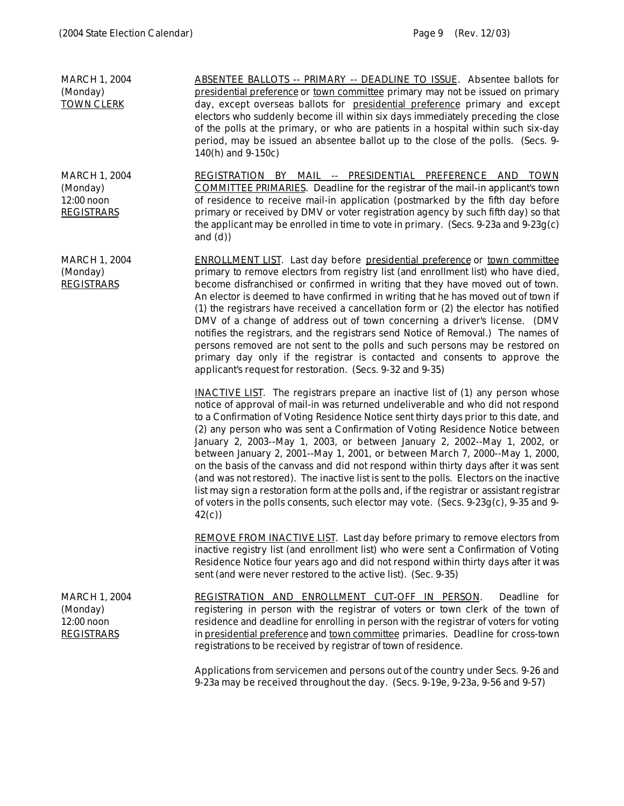| <b>MARCH 1, 2004</b><br>(Monday)<br><b>TOWN CLERK</b>                 | <u> ABSENTEE BALLOTS -- PRIMARY -- DEADLINE TO ISSUE</u> . Absentee ballots for<br>presidential preference or town committee primary may not be issued on primary<br>day, except overseas ballots for presidential preference primary and except<br>electors who suddenly become ill within six days immediately preceding the close<br>of the polls at the primary, or who are patients in a hospital within such six-day<br>period, may be issued an absentee ballot up to the close of the polls. (Secs. 9-<br>140(h) and 9-150c)                                                                                                                                                                                                                                                                                                                                                                                                                                                                                                                                                                                                                                                                                                                                                                                                                                                                                                                                                                                                             |
|-----------------------------------------------------------------------|--------------------------------------------------------------------------------------------------------------------------------------------------------------------------------------------------------------------------------------------------------------------------------------------------------------------------------------------------------------------------------------------------------------------------------------------------------------------------------------------------------------------------------------------------------------------------------------------------------------------------------------------------------------------------------------------------------------------------------------------------------------------------------------------------------------------------------------------------------------------------------------------------------------------------------------------------------------------------------------------------------------------------------------------------------------------------------------------------------------------------------------------------------------------------------------------------------------------------------------------------------------------------------------------------------------------------------------------------------------------------------------------------------------------------------------------------------------------------------------------------------------------------------------------------|
| <b>MARCH 1, 2004</b><br>(Monday)<br>12:00 noon<br><b>REGISTRARS</b>   | REGISTRATION BY MAIL -- PRESIDENTIAL PREFERENCE AND TOWN<br><b>COMMITTEE PRIMARIES.</b> Deadline for the registrar of the mail-in applicant's town<br>of residence to receive mail-in application (postmarked by the fifth day before<br>primary or received by DMV or voter registration agency by such fifth day) so that<br>the applicant may be enrolled in time to vote in primary. (Secs. 9-23a and 9-23g(c)<br>and $(d)$                                                                                                                                                                                                                                                                                                                                                                                                                                                                                                                                                                                                                                                                                                                                                                                                                                                                                                                                                                                                                                                                                                                  |
| <b>MARCH 1, 2004</b><br>(Monday)<br><b>REGISTRARS</b>                 | <b>ENROLLMENT LIST.</b> Last day before presidential preference or town committee<br>primary to remove electors from registry list (and enrollment list) who have died,<br>become disfranchised or confirmed in writing that they have moved out of town.<br>An elector is deemed to have confirmed in writing that he has moved out of town if<br>(1) the registrars have received a cancellation form or (2) the elector has notified<br>DMV of a change of address out of town concerning a driver's license. (DMV<br>notifies the registrars, and the registrars send Notice of Removal.) The names of<br>persons removed are not sent to the polls and such persons may be restored on<br>primary day only if the registrar is contacted and consents to approve the<br>applicant's request for restoration. (Secs. 9-32 and 9-35)<br><b>INACTIVE LIST</b> . The registrars prepare an inactive list of (1) any person whose<br>notice of approval of mail-in was returned undeliverable and who did not respond<br>to a Confirmation of Voting Residence Notice sent thirty days prior to this date, and<br>(2) any person who was sent a Confirmation of Voting Residence Notice between<br>January 2, 2003--May 1, 2003, or between January 2, 2002--May 1, 2002, or<br>between January 2, 2001--May 1, 2001, or between March 7, 2000--May 1, 2000,<br>on the basis of the canvass and did not respond within thirty days after it was sent<br>(and was not restored). The inactive list is sent to the polls. Electors on the inactive |
|                                                                       | list may sign a restoration form at the polls and, if the registrar or assistant registrar<br>of voters in the polls consents, such elector may vote. (Secs. 9-23g(c), 9-35 and 9-<br>42(c)                                                                                                                                                                                                                                                                                                                                                                                                                                                                                                                                                                                                                                                                                                                                                                                                                                                                                                                                                                                                                                                                                                                                                                                                                                                                                                                                                      |
|                                                                       | REMOVE FROM INACTIVE LIST. Last day before primary to remove electors from<br>inactive registry list (and enrollment list) who were sent a Confirmation of Voting<br>Residence Notice four years ago and did not respond within thirty days after it was<br>sent (and were never restored to the active list). (Sec. 9-35)                                                                                                                                                                                                                                                                                                                                                                                                                                                                                                                                                                                                                                                                                                                                                                                                                                                                                                                                                                                                                                                                                                                                                                                                                       |
| <b>MARCH 1, 2004</b><br>(Monday)<br>$12:00$ noon<br><b>REGISTRARS</b> | REGISTRATION AND ENROLLMENT CUT-OFF IN PERSON.<br>Deadline for<br>registering in person with the registrar of voters or town clerk of the town of<br>residence and deadline for enrolling in person with the registrar of voters for voting<br>in presidential preference and town committee primaries. Deadline for cross-town<br>registrations to be received by registrar of town of residence.                                                                                                                                                                                                                                                                                                                                                                                                                                                                                                                                                                                                                                                                                                                                                                                                                                                                                                                                                                                                                                                                                                                                               |
|                                                                       | Applications from servicemen and persons out of the country under Secs, 9-26 and                                                                                                                                                                                                                                                                                                                                                                                                                                                                                                                                                                                                                                                                                                                                                                                                                                                                                                                                                                                                                                                                                                                                                                                                                                                                                                                                                                                                                                                                 |

Applications from servicemen and persons out of the country under Secs. 9-26 and 9-23a may be received throughout the day. (Secs. 9-19e, 9-23a, 9-56 and 9-57)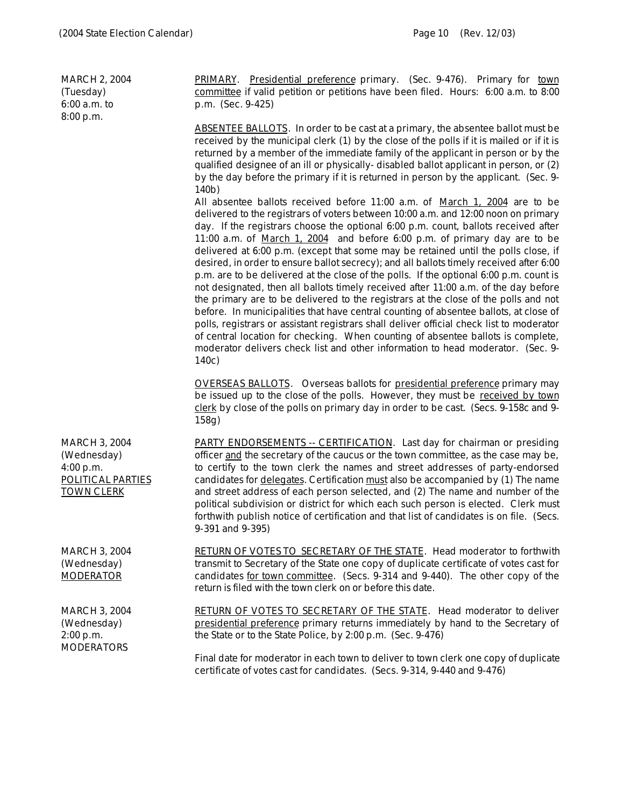| <b>MARCH 2, 2004</b><br>(Tuesday)<br>$6:00$ a.m. to<br>8:00 p.m.                                  | PRIMARY. Presidential preference primary. (Sec. 9-476). Primary for town<br>committee if valid petition or petitions have been filed. Hours: 6:00 a.m. to 8:00<br>p.m. (Sec. 9-425)                                                                                                                                                                                                                                                                                                                                                                                                                                                                                                                                                                                                                                                                                                                                                                                                                                                                                                                                                                               |
|---------------------------------------------------------------------------------------------------|-------------------------------------------------------------------------------------------------------------------------------------------------------------------------------------------------------------------------------------------------------------------------------------------------------------------------------------------------------------------------------------------------------------------------------------------------------------------------------------------------------------------------------------------------------------------------------------------------------------------------------------------------------------------------------------------------------------------------------------------------------------------------------------------------------------------------------------------------------------------------------------------------------------------------------------------------------------------------------------------------------------------------------------------------------------------------------------------------------------------------------------------------------------------|
|                                                                                                   | <b>ABSENTEE BALLOTS</b> . In order to be cast at a primary, the absentee ballot must be<br>received by the municipal clerk (1) by the close of the polls if it is mailed or if it is<br>returned by a member of the immediate family of the applicant in person or by the<br>qualified designee of an ill or physically-disabled ballot applicant in person, or (2)<br>by the day before the primary if it is returned in person by the applicant. (Sec. 9-<br>140b)                                                                                                                                                                                                                                                                                                                                                                                                                                                                                                                                                                                                                                                                                              |
|                                                                                                   | All absentee ballots received before 11:00 a.m. of March 1, 2004 are to be<br>delivered to the registrars of voters between 10:00 a.m. and 12:00 noon on primary<br>day. If the registrars choose the optional 6:00 p.m. count, ballots received after<br>11:00 a.m. of March 1, 2004 and before 6:00 p.m. of primary day are to be<br>delivered at 6:00 p.m. (except that some may be retained until the polls close, if<br>desired, in order to ensure ballot secrecy); and all ballots timely received after 6:00<br>p.m. are to be delivered at the close of the polls. If the optional 6:00 p.m. count is<br>not designated, then all ballots timely received after 11:00 a.m. of the day before<br>the primary are to be delivered to the registrars at the close of the polls and not<br>before. In municipalities that have central counting of absentee ballots, at close of<br>polls, registrars or assistant registrars shall deliver official check list to moderator<br>of central location for checking. When counting of absentee ballots is complete,<br>moderator delivers check list and other information to head moderator. (Sec. 9-<br>140c) |
|                                                                                                   | <b>OVERSEAS BALLOTS.</b> Overseas ballots for presidential preference primary may<br>be issued up to the close of the polls. However, they must be received by town<br>clerk by close of the polls on primary day in order to be cast. (Secs. 9-158c and 9-<br>158g)                                                                                                                                                                                                                                                                                                                                                                                                                                                                                                                                                                                                                                                                                                                                                                                                                                                                                              |
| <b>MARCH 3, 2004</b><br>(Wednesday)<br>4:00 p.m.<br><b>POLITICAL PARTIES</b><br><b>TOWN CLERK</b> | <b>PARTY ENDORSEMENTS -- CERTIFICATION.</b> Last day for chairman or presiding<br>officer and the secretary of the caucus or the town committee, as the case may be,<br>to certify to the town clerk the names and street addresses of party-endorsed<br>candidates for <u>delegates</u> . Certification must also be accompanied by (1) The name<br>and street address of each person selected, and (2) The name and number of the<br>political subdivision or district for which each such person is elected. Clerk must<br>forthwith publish notice of certification and that list of candidates is on file. (Secs.<br>$9-391$ and $9-395$ )                                                                                                                                                                                                                                                                                                                                                                                                                                                                                                                   |
| <b>MARCH 3, 2004</b><br>(Wednesday)<br><b>MODERATOR</b>                                           | <b>RETURN OF VOTES TO SECRETARY OF THE STATE. Head moderator to forthwith</b><br>transmit to Secretary of the State one copy of duplicate certificate of votes cast for<br>candidates for town committee. (Secs. 9-314 and 9-440). The other copy of the<br>return is filed with the town clerk on or before this date.                                                                                                                                                                                                                                                                                                                                                                                                                                                                                                                                                                                                                                                                                                                                                                                                                                           |
| <b>MARCH 3, 2004</b><br>(Wednesday)<br>2:00 p.m.<br><b>MODERATORS</b>                             | <b>RETURN OF VOTES TO SECRETARY OF THE STATE. Head moderator to deliver</b><br>presidential preference primary returns immediately by hand to the Secretary of<br>the State or to the State Police, by 2:00 p.m. (Sec. 9-476)                                                                                                                                                                                                                                                                                                                                                                                                                                                                                                                                                                                                                                                                                                                                                                                                                                                                                                                                     |
|                                                                                                   | Final date for moderator in each town to deliver to town clerk one copy of duplicate<br>certificate of votes cast for candidates. (Secs. 9-314, 9-440 and 9-476)                                                                                                                                                                                                                                                                                                                                                                                                                                                                                                                                                                                                                                                                                                                                                                                                                                                                                                                                                                                                  |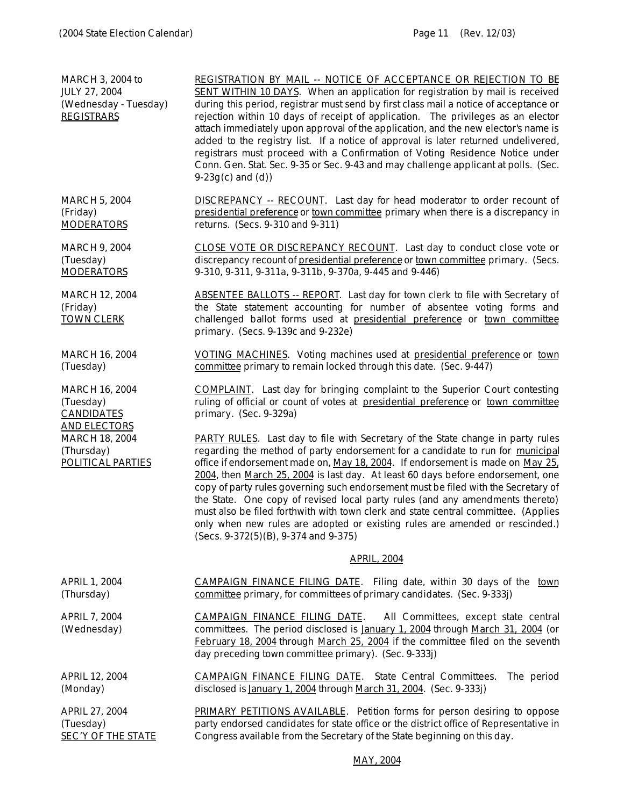| <b>MARCH 3, 2004 to</b><br>JULY 27, 2004<br>(Wednesday - Tuesday)<br><b>REGISTRARS</b>                                                     | REGISTRATION BY MAIL -- NOTICE OF ACCEPTANCE OR REJECTION TO BE<br>SENT WITHIN 10 DAYS. When an application for registration by mail is received<br>during this period, registrar must send by first class mail a notice of acceptance or<br>rejection within 10 days of receipt of application. The privileges as an elector<br>attach immediately upon approval of the application, and the new elector's name is<br>added to the registry list. If a notice of approval is later returned undelivered,<br>registrars must proceed with a Confirmation of Voting Residence Notice under<br>Conn. Gen. Stat. Sec. 9-35 or Sec. 9-43 and may challenge applicant at polls. (Sec.<br>$9-23g(c)$ and $(d)$ )                  |
|--------------------------------------------------------------------------------------------------------------------------------------------|-----------------------------------------------------------------------------------------------------------------------------------------------------------------------------------------------------------------------------------------------------------------------------------------------------------------------------------------------------------------------------------------------------------------------------------------------------------------------------------------------------------------------------------------------------------------------------------------------------------------------------------------------------------------------------------------------------------------------------|
| <b>MARCH 5, 2004</b><br>(Friday)<br><b>MODERATORS</b>                                                                                      | <b>DISCREPANCY</b> -- RECOUNT. Last day for head moderator to order recount of<br>presidential preference or town committee primary when there is a discrepancy in<br>returns. (Secs. 9-310 and 9-311)                                                                                                                                                                                                                                                                                                                                                                                                                                                                                                                      |
| <b>MARCH 9, 2004</b><br>(Tuesday)<br><b>MODERATORS</b>                                                                                     | CLOSE VOTE OR DISCREPANCY RECOUNT. Last day to conduct close vote or<br>discrepancy recount of presidential preference or town committee primary. (Secs.<br>9-310, 9-311, 9-311a, 9-311b, 9-370a, 9-445 and 9-446)                                                                                                                                                                                                                                                                                                                                                                                                                                                                                                          |
| <b>MARCH 12, 2004</b><br>(Friday)<br><b>TOWN CLERK</b>                                                                                     | <b>ABSENTEE BALLOTS -- REPORT.</b> Last day for town clerk to file with Secretary of<br>the State statement accounting for number of absentee voting forms and<br>challenged ballot forms used at presidential preference or town committee<br>primary. (Secs. 9-139c and 9-232e)                                                                                                                                                                                                                                                                                                                                                                                                                                           |
| <b>MARCH 16, 2004</b><br>(Tuesday)                                                                                                         | VOTING MACHINES. Voting machines used at presidential preference or town<br>committee primary to remain locked through this date. (Sec. 9-447)                                                                                                                                                                                                                                                                                                                                                                                                                                                                                                                                                                              |
| <b>MARCH 16, 2004</b><br>(Tuesday)<br><b>CANDIDATES</b><br><b>AND ELECTORS</b><br><b>MARCH 18, 2004</b><br>(Thursday)<br>POLITICAL PARTIES | <b>COMPLAINT</b> . Last day for bringing complaint to the Superior Court contesting<br>ruling of official or count of votes at presidential preference or town committee<br>primary. (Sec. 9-329a)                                                                                                                                                                                                                                                                                                                                                                                                                                                                                                                          |
|                                                                                                                                            | PARTY RULES. Last day to file with Secretary of the State change in party rules<br>regarding the method of party endorsement for a candidate to run for municipal<br>office if endorsement made on, May 18, 2004. If endorsement is made on May 25.<br>2004, then March 25, 2004 is last day. At least 60 days before endorsement, one<br>copy of party rules governing such endorsement must be filed with the Secretary of<br>the State. One copy of revised local party rules (and any amendments thereto)<br>must also be filed forthwith with town clerk and state central committee. (Applies<br>only when new rules are adopted or existing rules are amended or rescinded.)<br>(Secs. 9-372(5)(B), 9-374 and 9-375) |
|                                                                                                                                            | <b>APRIL, 2004</b>                                                                                                                                                                                                                                                                                                                                                                                                                                                                                                                                                                                                                                                                                                          |
| <b>APRIL 1, 2004</b><br>(Thursday)                                                                                                         | <b>CAMPAIGN FINANCE FILING DATE.</b> Filing date, within 30 days of the town<br>committee primary, for committees of primary candidates. (Sec. 9-333j)                                                                                                                                                                                                                                                                                                                                                                                                                                                                                                                                                                      |
| <b>APRIL 7, 2004</b><br>(Wednesday)                                                                                                        | CAMPAIGN FINANCE FILING DATE.<br>All Committees, except state central<br>committees. The period disclosed is January 1, 2004 through March 31, 2004 (or<br>February 18, 2004 through March 25, 2004 if the committee filed on the seventh<br>day preceding town committee primary). (Sec. 9-333j)                                                                                                                                                                                                                                                                                                                                                                                                                           |
| <b>APRIL 12, 2004</b><br>(Monday)                                                                                                          | <b>CAMPAIGN FINANCE FILING DATE.</b> State Central Committees.<br>The period<br>disclosed is January 1, 2004 through March 31, 2004. (Sec. 9-333j)                                                                                                                                                                                                                                                                                                                                                                                                                                                                                                                                                                          |
| <b>APRIL 27, 2004</b><br>(Tuesday)<br><b>SEC'Y OF THE STATE</b>                                                                            | <b>PRIMARY PETITIONS AVAILABLE.</b> Petition forms for person desiring to oppose<br>party endorsed candidates for state office or the district office of Representative in<br>Congress available from the Secretary of the State beginning on this day.                                                                                                                                                                                                                                                                                                                                                                                                                                                                     |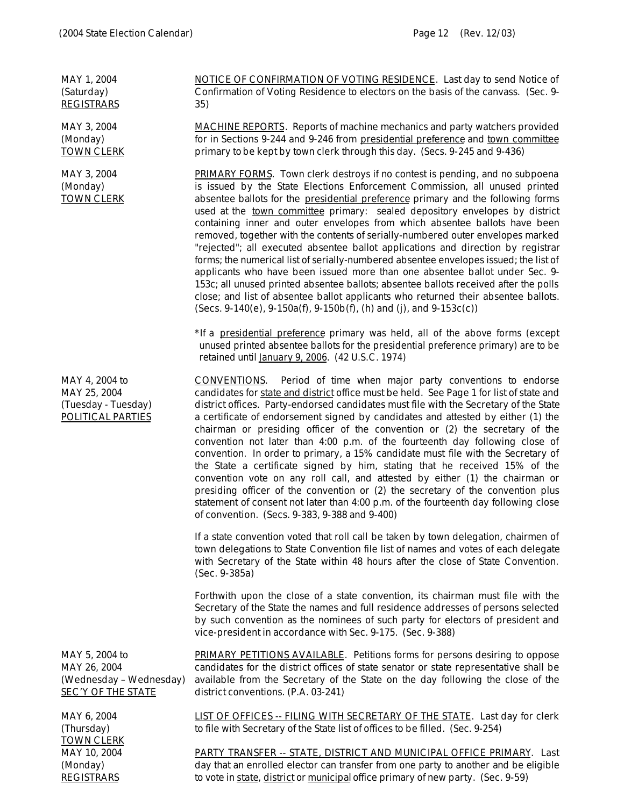| MAY 1, 2004<br>(Saturday)<br><b>REGISTRARS</b>                                         | <b>NOTICE OF CONFIRMATION OF VOTING RESIDENCE.</b> Last day to send Notice of<br>Confirmation of Voting Residence to electors on the basis of the canvass. (Sec. 9-<br>35)                                                                                                                                                                                                                                                                                                                                                                                                                                                                                                                                                                                                                                                                                                                                                                                                                                        |
|----------------------------------------------------------------------------------------|-------------------------------------------------------------------------------------------------------------------------------------------------------------------------------------------------------------------------------------------------------------------------------------------------------------------------------------------------------------------------------------------------------------------------------------------------------------------------------------------------------------------------------------------------------------------------------------------------------------------------------------------------------------------------------------------------------------------------------------------------------------------------------------------------------------------------------------------------------------------------------------------------------------------------------------------------------------------------------------------------------------------|
| MAY 3, 2004<br>(Monday)<br><b>TOWN CLERK</b>                                           | <b>MACHINE REPORTS</b> . Reports of machine mechanics and party watchers provided<br>for in Sections 9-244 and 9-246 from presidential preference and town committee<br>primary to be kept by town clerk through this day. (Secs. 9-245 and 9-436)                                                                                                                                                                                                                                                                                                                                                                                                                                                                                                                                                                                                                                                                                                                                                                |
| MAY 3, 2004<br>(Monday)<br><b>TOWN CLERK</b>                                           | PRIMARY FORMS. Town clerk destroys if no contest is pending, and no subpoena<br>is issued by the State Elections Enforcement Commission, all unused printed<br>absentee ballots for the presidential preference primary and the following forms<br>used at the town committee primary: sealed depository envelopes by district<br>containing inner and outer envelopes from which absentee ballots have been<br>removed, together with the contents of serially-numbered outer envelopes marked<br>"rejected"; all executed absentee ballot applications and direction by registrar<br>forms; the numerical list of serially-numbered absentee envelopes issued; the list of<br>applicants who have been issued more than one absentee ballot under Sec. 9-<br>153c; all unused printed absentee ballots; absentee ballots received after the polls<br>close; and list of absentee ballot applicants who returned their absentee ballots.<br>$(Secs. 9-140(e), 9-150a(f), 9-150b(f), (h) and (j), and 9-153c(c))$ |
|                                                                                        | *If a presidential preference primary was held, all of the above forms (except<br>unused printed absentee ballots for the presidential preference primary) are to be<br>retained until January 9, 2006. (42 U.S.C. 1974)                                                                                                                                                                                                                                                                                                                                                                                                                                                                                                                                                                                                                                                                                                                                                                                          |
| MAY 4, 2004 to<br>MAY 25, 2004<br>(Tuesday - Tuesday)<br>POLITICAL PARTIES             | Period of time when major party conventions to endorse<br><b>CONVENTIONS.</b><br>candidates for state and district office must be held. See Page 1 for list of state and<br>district offices. Party-endorsed candidates must file with the Secretary of the State<br>a certificate of endorsement signed by candidates and attested by either (1) the<br>chairman or presiding officer of the convention or (2) the secretary of the<br>convention not later than 4:00 p.m. of the fourteenth day following close of<br>convention. In order to primary, a 15% candidate must file with the Secretary of<br>the State a certificate signed by him, stating that he received 15% of the<br>convention vote on any roll call, and attested by either (1) the chairman or<br>presiding officer of the convention or (2) the secretary of the convention plus<br>statement of consent not later than 4:00 p.m. of the fourteenth day following close<br>of convention. (Secs. 9-383, 9-388 and 9-400)                 |
|                                                                                        | If a state convention voted that roll call be taken by town delegation, chairmen of<br>town delegations to State Convention file list of names and votes of each delegate<br>with Secretary of the State within 48 hours after the close of State Convention.<br>(Sec. 9-385a)                                                                                                                                                                                                                                                                                                                                                                                                                                                                                                                                                                                                                                                                                                                                    |
|                                                                                        | Forthwith upon the close of a state convention, its chairman must file with the<br>Secretary of the State the names and full residence addresses of persons selected<br>by such convention as the nominees of such party for electors of president and<br>vice-president in accordance with Sec. 9-175. (Sec. 9-388)                                                                                                                                                                                                                                                                                                                                                                                                                                                                                                                                                                                                                                                                                              |
| MAY 5, 2004 to<br>MAY 26, 2004<br>(Wednesday - Wednesday)<br><b>SEC'Y OF THE STATE</b> | <b>PRIMARY PETITIONS AVAILABLE.</b> Petitions forms for persons desiring to oppose<br>candidates for the district offices of state senator or state representative shall be<br>available from the Secretary of the State on the day following the close of the<br>district conventions. (P.A. 03-241)                                                                                                                                                                                                                                                                                                                                                                                                                                                                                                                                                                                                                                                                                                             |
| MAY 6, 2004                                                                            | LIST OF OFFICES -- FILING WITH SECRETARY OF THE STATE. Last day for clerk                                                                                                                                                                                                                                                                                                                                                                                                                                                                                                                                                                                                                                                                                                                                                                                                                                                                                                                                         |

(Thursday) TOWN CLERK to file with Secretary of the State list of offices to be filled. (Sec. 9-254) MAY 10, 2004 (Monday) **REGISTRARS** PARTY TRANSFER -- STATE, DISTRICT AND MUNICIPAL OFFICE PRIMARY. Last day that an enrolled elector can transfer from one party to another and be eligible to vote in state, district or municipal office primary of new party. (Sec. 9-59)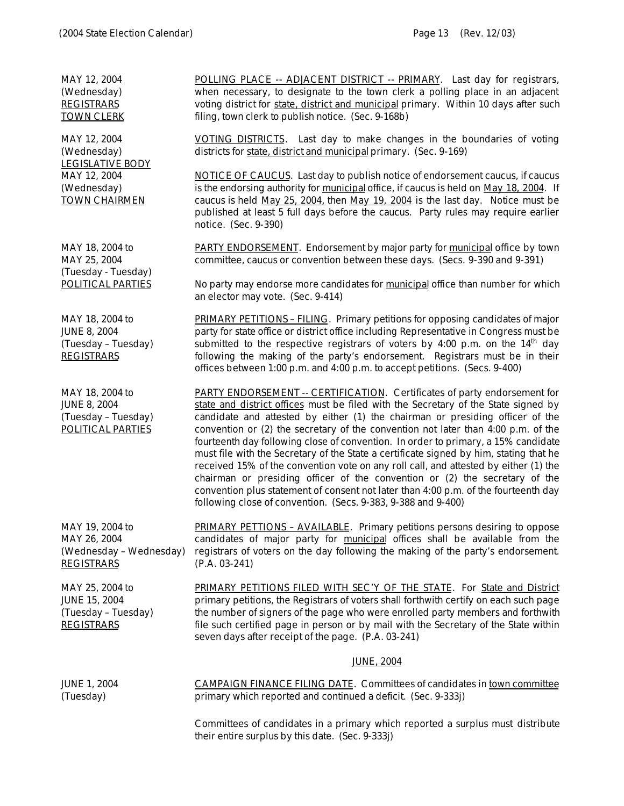| MAY 12, 2004                                                                        | POLLING PLACE -- ADJACENT DISTRICT -- PRIMARY. Last day for registrars,                                                                                                                                                                                                                                                                                                                                                                                                                                                                                                                                                                                                                                                                                                                                                                                     |
|-------------------------------------------------------------------------------------|-------------------------------------------------------------------------------------------------------------------------------------------------------------------------------------------------------------------------------------------------------------------------------------------------------------------------------------------------------------------------------------------------------------------------------------------------------------------------------------------------------------------------------------------------------------------------------------------------------------------------------------------------------------------------------------------------------------------------------------------------------------------------------------------------------------------------------------------------------------|
| (Wednesday)                                                                         | when necessary, to designate to the town clerk a polling place in an adjacent                                                                                                                                                                                                                                                                                                                                                                                                                                                                                                                                                                                                                                                                                                                                                                               |
| <b>REGISTRARS</b>                                                                   | voting district for state, district and municipal primary. Within 10 days after such                                                                                                                                                                                                                                                                                                                                                                                                                                                                                                                                                                                                                                                                                                                                                                        |
| <b>TOWN CLERK</b>                                                                   | filing, town clerk to publish notice. (Sec. 9-168b)                                                                                                                                                                                                                                                                                                                                                                                                                                                                                                                                                                                                                                                                                                                                                                                                         |
| MAY 12, 2004                                                                        | VOTING DISTRICTS. Last day to make changes in the boundaries of voting                                                                                                                                                                                                                                                                                                                                                                                                                                                                                                                                                                                                                                                                                                                                                                                      |
| (Wednesday)                                                                         | districts for state, district and municipal primary. (Sec. 9-169)                                                                                                                                                                                                                                                                                                                                                                                                                                                                                                                                                                                                                                                                                                                                                                                           |
| <b>LEGISLATIVE BODY</b><br>MAY 12, 2004<br>(Wednesday)<br><b>TOWN CHAIRMEN</b>      | <b>NOTICE OF CAUCUS.</b> Last day to publish notice of endorsement caucus, if caucus<br>is the endorsing authority for municipal office, if caucus is held on May 18, 2004. If<br>caucus is held May 25, 2004, then May 19, 2004 is the last day. Notice must be<br>published at least 5 full days before the caucus. Party rules may require earlier<br>notice. (Sec. 9-390)                                                                                                                                                                                                                                                                                                                                                                                                                                                                               |
| MAY 18, 2004 to                                                                     | <b>PARTY ENDORSEMENT.</b> Endorsement by major party for municipal office by town                                                                                                                                                                                                                                                                                                                                                                                                                                                                                                                                                                                                                                                                                                                                                                           |
| MAY 25, 2004                                                                        | committee, caucus or convention between these days. (Secs. 9-390 and 9-391)                                                                                                                                                                                                                                                                                                                                                                                                                                                                                                                                                                                                                                                                                                                                                                                 |
| (Tuesday - Tuesday)                                                                 | No party may endorse more candidates for municipal office than number for which                                                                                                                                                                                                                                                                                                                                                                                                                                                                                                                                                                                                                                                                                                                                                                             |
| <b>POLITICAL PARTIES</b>                                                            | an elector may vote. (Sec. 9-414)                                                                                                                                                                                                                                                                                                                                                                                                                                                                                                                                                                                                                                                                                                                                                                                                                           |
| MAY 18, 2004 to<br><b>JUNE 8, 2004</b><br>(Tuesday - Tuesday)<br><b>REGISTRARS</b>  | PRIMARY PETITIONS - FILING. Primary petitions for opposing candidates of major<br>party for state office or district office including Representative in Congress must be<br>submitted to the respective registrars of voters by 4:00 p.m. on the $14th$ day<br>following the making of the party's endorsement. Registrars must be in their<br>offices between 1:00 p.m. and 4:00 p.m. to accept petitions. (Secs. 9-400)                                                                                                                                                                                                                                                                                                                                                                                                                                   |
| MAY 18, 2004 to<br><b>JUNE 8, 2004</b><br>(Tuesday - Tuesday)<br>POLITICAL PARTIES  | <b>PARTY ENDORSEMENT -- CERTIFICATION.</b> Certificates of party endorsement for<br>state and district offices must be filed with the Secretary of the State signed by<br>candidate and attested by either (1) the chairman or presiding officer of the<br>convention or (2) the secretary of the convention not later than 4:00 p.m. of the<br>fourteenth day following close of convention. In order to primary, a 15% candidate<br>must file with the Secretary of the State a certificate signed by him, stating that he<br>received 15% of the convention vote on any roll call, and attested by either (1) the<br>chairman or presiding officer of the convention or (2) the secretary of the<br>convention plus statement of consent not later than 4:00 p.m. of the fourteenth day<br>following close of convention. (Secs. 9-383, 9-388 and 9-400) |
| MAY 19, 2004 to                                                                     | PRIMARY PETTIONS - AVAILABLE. Primary petitions persons desiring to oppose                                                                                                                                                                                                                                                                                                                                                                                                                                                                                                                                                                                                                                                                                                                                                                                  |
| MAY 26, 2004                                                                        | candidates of major party for municipal offices shall be available from the                                                                                                                                                                                                                                                                                                                                                                                                                                                                                                                                                                                                                                                                                                                                                                                 |
| (Wednesday - Wednesday)                                                             | registrars of voters on the day following the making of the party's endorsement.                                                                                                                                                                                                                                                                                                                                                                                                                                                                                                                                                                                                                                                                                                                                                                            |
| <b>REGISTRARS</b>                                                                   | $(P.A. 03-241)$                                                                                                                                                                                                                                                                                                                                                                                                                                                                                                                                                                                                                                                                                                                                                                                                                                             |
| MAY 25, 2004 to<br><b>JUNE 15, 2004</b><br>(Tuesday - Tuesday)<br><b>REGISTRARS</b> | <b>PRIMARY PETITIONS FILED WITH SEC'Y OF THE STATE.</b> For State and District<br>primary petitions, the Registrars of voters shall forthwith certify on each such page<br>the number of signers of the page who were enrolled party members and forthwith<br>file such certified page in person or by mail with the Secretary of the State within<br>seven days after receipt of the page. (P.A. 03-241)                                                                                                                                                                                                                                                                                                                                                                                                                                                   |
|                                                                                     | <b>JUNE, 2004</b>                                                                                                                                                                                                                                                                                                                                                                                                                                                                                                                                                                                                                                                                                                                                                                                                                                           |
| <b>JUNE 1, 2004</b>                                                                 | <b>CAMPAIGN FINANCE FILING DATE.</b> Committees of candidates in town committee                                                                                                                                                                                                                                                                                                                                                                                                                                                                                                                                                                                                                                                                                                                                                                             |
| (Tuesday)                                                                           | primary which reported and continued a deficit. (Sec. 9-333j)                                                                                                                                                                                                                                                                                                                                                                                                                                                                                                                                                                                                                                                                                                                                                                                               |
|                                                                                     | Committees of candidates in a primary which reported a surplus must distribute<br>their entire surplus by this date. (Sec. 9-333j)                                                                                                                                                                                                                                                                                                                                                                                                                                                                                                                                                                                                                                                                                                                          |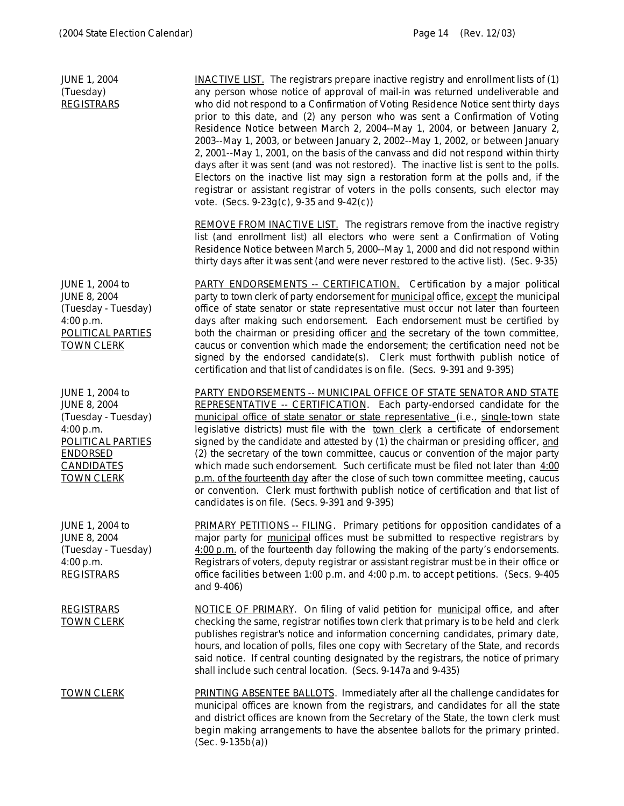| <b>JUNE 1, 2004</b><br>(Tuesday)<br><b>REGISTRARS</b>                                                                                                               | $NACTIVE LIST$ . The registrars prepare inactive registry and enrollment lists of $(1)$<br>any person whose notice of approval of mail-in was returned undeliverable and<br>who did not respond to a Confirmation of Voting Residence Notice sent thirty days<br>prior to this date, and (2) any person who was sent a Confirmation of Voting<br>Residence Notice between March 2, 2004--May 1, 2004, or between January 2,<br>2003--May 1, 2003, or between January 2, 2002--May 1, 2002, or between January<br>2, 2001--May 1, 2001, on the basis of the canvass and did not respond within thirty<br>days after it was sent (and was not restored). The inactive list is sent to the polls.<br>Electors on the inactive list may sign a restoration form at the polls and, if the<br>registrar or assistant registrar of voters in the polls consents, such elector may<br>vote. (Secs. $9-23g(c)$ , $9-35$ and $9-42(c)$ ) |
|---------------------------------------------------------------------------------------------------------------------------------------------------------------------|--------------------------------------------------------------------------------------------------------------------------------------------------------------------------------------------------------------------------------------------------------------------------------------------------------------------------------------------------------------------------------------------------------------------------------------------------------------------------------------------------------------------------------------------------------------------------------------------------------------------------------------------------------------------------------------------------------------------------------------------------------------------------------------------------------------------------------------------------------------------------------------------------------------------------------|
|                                                                                                                                                                     | <b>REMOVE FROM INACTIVE LIST.</b> The registrars remove from the inactive registry<br>list (and enrollment list) all electors who were sent a Confirmation of Voting<br>Residence Notice between March 5, 2000--May 1, 2000 and did not respond within<br>thirty days after it was sent (and were never restored to the active list). (Sec. 9-35)                                                                                                                                                                                                                                                                                                                                                                                                                                                                                                                                                                              |
| JUNE 1, 2004 to<br><b>JUNE 8, 2004</b><br>(Tuesday - Tuesday)<br>4:00 p.m.<br><b>POLITICAL PARTIES</b><br><b>TOWN CLERK</b>                                         | <b>PARTY ENDORSEMENTS -- CERTIFICATION.</b> Certification by a major political<br>party to town clerk of party endorsement for municipal office, except the municipal<br>office of state senator or state representative must occur not later than fourteen<br>days after making such endorsement. Each endorsement must be certified by<br>both the chairman or presiding officer and the secretary of the town committee,<br>caucus or convention which made the endorsement; the certification need not be<br>signed by the endorsed candidate(s). Clerk must forthwith publish notice of<br>certification and that list of candidates is on file. (Secs. 9-391 and 9-395)                                                                                                                                                                                                                                                  |
| JUNE 1, 2004 to<br><b>JUNE 8, 2004</b><br>(Tuesday - Tuesday)<br>4:00 p.m.<br><b>POLITICAL PARTIES</b><br><b>ENDORSED</b><br><b>CANDIDATES</b><br><u>TOWN CLERK</u> | <b>PARTY ENDORSEMENTS -- MUNICIPAL OFFICE OF STATE SENATOR AND STATE</b><br>REPRESENTATIVE -- CERTIFICATION. Each party-endorsed candidate for the<br>municipal office of state senator or state representative (i.e., single-town state<br>legislative districts) must file with the town clerk a certificate of endorsement<br>signed by the candidate and attested by (1) the chairman or presiding officer, and<br>(2) the secretary of the town committee, caucus or convention of the major party<br>which made such endorsement. Such certificate must be filed not later than $4:00$<br>p.m. of the fourteenth day after the close of such town committee meeting, caucus<br>or convention. Clerk must forthwith publish notice of certification and that list of<br>candidates is on file. (Secs. 9-391 and 9-395)                                                                                                    |
| JUNE 1, 2004 to<br><b>JUNE 8, 2004</b><br>(Tuesday - Tuesday)<br>4:00 p.m.<br><b>REGISTRARS</b>                                                                     | PRIMARY PETITIONS -- FILING. Primary petitions for opposition candidates of a<br>major party for municipal offices must be submitted to respective registrars by<br>4:00 p.m. of the fourteenth day following the making of the party's endorsements.<br>Registrars of voters, deputy registrar or assistant registrar must be in their office or<br>office facilities between 1:00 p.m. and 4:00 p.m. to accept petitions. (Secs. 9-405)<br>and 9-406)                                                                                                                                                                                                                                                                                                                                                                                                                                                                        |
| <b>REGISTRARS</b><br><u>TOWN CLERK</u>                                                                                                                              | NOTICE OF PRIMARY. On filing of valid petition for municipal office, and after<br>checking the same, registrar notifies town clerk that primary is to be held and clerk<br>publishes registrar's notice and information concerning candidates, primary date,<br>hours, and location of polls, files one copy with Secretary of the State, and records<br>said notice. If central counting designated by the registrars, the notice of primary<br>shall include such central location. (Secs. 9-147a and 9-435)                                                                                                                                                                                                                                                                                                                                                                                                                 |
| <u>TOWN CLERK</u>                                                                                                                                                   | <b>PRINTING ABSENTEE BALLOTS.</b> Immediately after all the challenge candidates for<br>municipal offices are known from the registrars, and candidates for all the state<br>and district offices are known from the Secretary of the State, the town clerk must<br>begin making arrangements to have the absentee ballots for the primary printed.<br>$(Sec. 9-135b(a))$                                                                                                                                                                                                                                                                                                                                                                                                                                                                                                                                                      |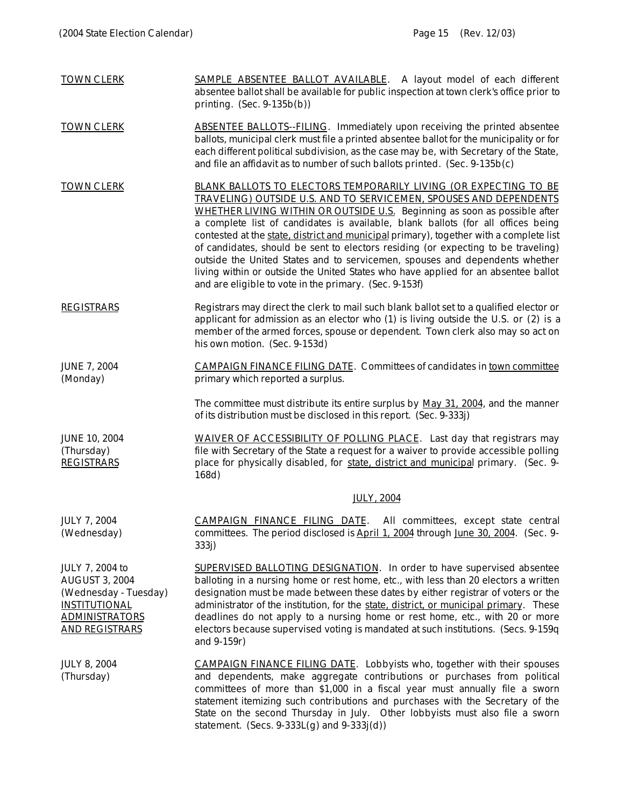| <b>TOWN CLERK</b>                                                                                                                                  | SAMPLE ABSENTEE BALLOT AVAILABLE. A layout model of each different<br>absentee ballot shall be available for public inspection at town clerk's office prior to<br>printing. $(Sec. 9-135b(b))$                                                                                                                                                                                                                                                                                                                                                                                                                                                                                                                       |
|----------------------------------------------------------------------------------------------------------------------------------------------------|----------------------------------------------------------------------------------------------------------------------------------------------------------------------------------------------------------------------------------------------------------------------------------------------------------------------------------------------------------------------------------------------------------------------------------------------------------------------------------------------------------------------------------------------------------------------------------------------------------------------------------------------------------------------------------------------------------------------|
| <b>TOWN CLERK</b>                                                                                                                                  | <b>ABSENTEE BALLOTS--FILING.</b> Immediately upon receiving the printed absentee<br>ballots, municipal clerk must file a printed absentee ballot for the municipality or for<br>each different political subdivision, as the case may be, with Secretary of the State,<br>and file an affidavit as to number of such ballots printed. (Sec. 9-135b(c)                                                                                                                                                                                                                                                                                                                                                                |
| <b>TOWN CLERK</b>                                                                                                                                  | BLANK BALLOTS TO ELECTORS TEMPORARILY LIVING (OR EXPECTING TO BE<br>TRAVELING) OUTSIDE U.S. AND TO SERVICEMEN, SPOUSES AND DEPENDENTS<br>WHETHER LIVING WITHIN OR OUTSIDE U.S. Beginning as soon as possible after<br>a complete list of candidates is available, blank ballots (for all offices being<br>contested at the state, district and municipal primary), together with a complete list<br>of candidates, should be sent to electors residing (or expecting to be traveling)<br>outside the United States and to servicemen, spouses and dependents whether<br>living within or outside the United States who have applied for an absentee ballot<br>and are eligible to vote in the primary. (Sec. 9-153f) |
| <b>REGISTRARS</b>                                                                                                                                  | Registrars may direct the clerk to mail such blank ballot set to a qualified elector or<br>applicant for admission as an elector who (1) is living outside the U.S. or (2) is a<br>member of the armed forces, spouse or dependent. Town clerk also may so act on<br>his own motion. (Sec. 9-153d)                                                                                                                                                                                                                                                                                                                                                                                                                   |
| <b>JUNE 7, 2004</b><br>(Monday)                                                                                                                    | <b>CAMPAIGN FINANCE FILING DATE.</b> Committees of candidates in town committee<br>primary which reported a surplus.                                                                                                                                                                                                                                                                                                                                                                                                                                                                                                                                                                                                 |
|                                                                                                                                                    | The committee must distribute its entire surplus by May 31, 2004, and the manner<br>of its distribution must be disclosed in this report. (Sec. 9-333j)                                                                                                                                                                                                                                                                                                                                                                                                                                                                                                                                                              |
| <b>JUNE 10, 2004</b><br>(Thursday)<br><b>REGISTRARS</b>                                                                                            | WAIVER OF ACCESSIBILITY OF POLLING PLACE. Last day that registrars may<br>file with Secretary of the State a request for a waiver to provide accessible polling<br>place for physically disabled, for state, district and municipal primary. (Sec. 9-<br>168d)                                                                                                                                                                                                                                                                                                                                                                                                                                                       |
|                                                                                                                                                    | <b>JULY, 2004</b>                                                                                                                                                                                                                                                                                                                                                                                                                                                                                                                                                                                                                                                                                                    |
| <b>JULY 7, 2004</b><br>(Wednesday)                                                                                                                 | CAMPAIGN FINANCE FILING DATE.<br>All committees, except state central<br>committees. The period disclosed is April 1, 2004 through June 30, 2004. (Sec. 9-<br>333j)                                                                                                                                                                                                                                                                                                                                                                                                                                                                                                                                                  |
| <b>JULY 7, 2004 to</b><br><b>AUGUST 3, 2004</b><br>(Wednesday - Tuesday)<br><b>INSTITUTIONAL</b><br><u>ADMINISTRATORS</u><br><u>AND REGISTRARS</u> | <b>SUPERVISED BALLOTING DESIGNATION.</b> In order to have supervised absentee<br>balloting in a nursing home or rest home, etc., with less than 20 electors a written<br>designation must be made between these dates by either registrar of voters or the<br>administrator of the institution, for the state, district, or municipal primary. These<br>deadlines do not apply to a nursing home or rest home, etc., with 20 or more<br>electors because supervised voting is mandated at such institutions. (Secs. 9-159q<br>and 9-159r)                                                                                                                                                                            |
| <b>JULY 8, 2004</b><br>(Thursday)                                                                                                                  | <b>CAMPAIGN FINANCE FILING DATE.</b> Lobbyists who, together with their spouses<br>and dependents, make aggregate contributions or purchases from political<br>committees of more than \$1,000 in a fiscal year must annually file a sworn<br>statement itemizing such contributions and purchases with the Secretary of the<br>State on the second Thursday in July. Other lobbyists must also file a sworn<br>statement. (Secs. $9-333L(g)$ and $9-333j(d)$ )                                                                                                                                                                                                                                                      |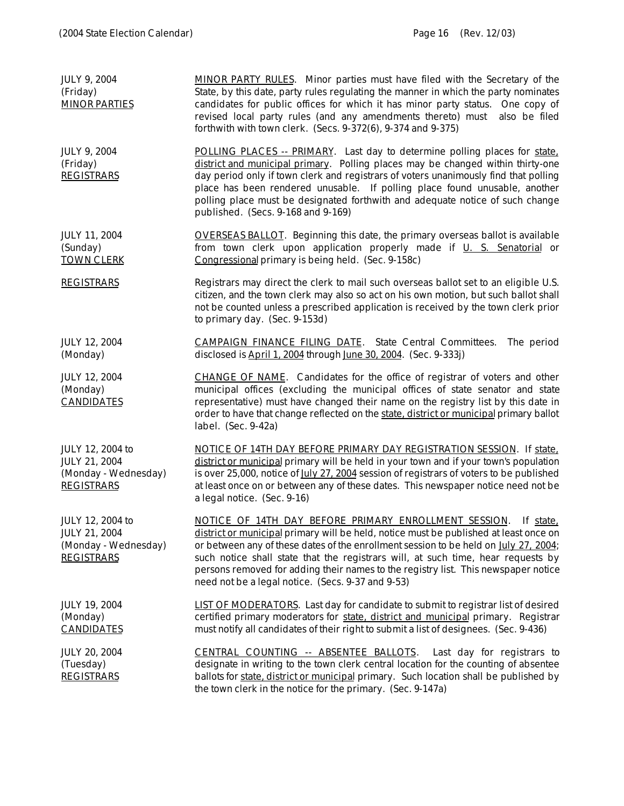| <b>JULY 9, 2004</b><br>(Friday)<br><b>MINOR PARTIES</b>                        | <b>MINOR PARTY RULES.</b> Minor parties must have filed with the Secretary of the<br>State, by this date, party rules regulating the manner in which the party nominates<br>candidates for public offices for which it has minor party status. One copy of<br>revised local party rules (and any amendments thereto) must<br>also be filed<br>forthwith with town clerk. (Secs. 9-372(6), 9-374 and 9-375)                                                                         |
|--------------------------------------------------------------------------------|------------------------------------------------------------------------------------------------------------------------------------------------------------------------------------------------------------------------------------------------------------------------------------------------------------------------------------------------------------------------------------------------------------------------------------------------------------------------------------|
| <b>JULY 9, 2004</b><br>(Friday)<br><b>REGISTRARS</b>                           | POLLING PLACES -- PRIMARY. Last day to determine polling places for state.<br>district and municipal primary. Polling places may be changed within thirty-one<br>day period only if town clerk and registrars of voters unanimously find that polling<br>place has been rendered unusable. If polling place found unusable, another<br>polling place must be designated forthwith and adequate notice of such change<br>published. (Secs. 9-168 and 9-169)                         |
| JULY 11, 2004<br>(Sunday)<br><b>TOWN CLERK</b>                                 | <b>OVERSEAS BALLOT.</b> Beginning this date, the primary overseas ballot is available<br>from town clerk upon application properly made if U. S. Senatorial or<br>Congressional primary is being held. (Sec. 9-158c)                                                                                                                                                                                                                                                               |
| <b>REGISTRARS</b>                                                              | Registrars may direct the clerk to mail such overseas ballot set to an eligible U.S.<br>citizen, and the town clerk may also so act on his own motion, but such ballot shall<br>not be counted unless a prescribed application is received by the town clerk prior<br>to primary day. (Sec. 9-153d)                                                                                                                                                                                |
| <b>JULY 12, 2004</b><br>(Monday)                                               | <b>CAMPAIGN FINANCE FILING DATE.</b> State Central Committees.<br>The period<br>disclosed is April 1, 2004 through June 30, 2004. (Sec. 9-333j)                                                                                                                                                                                                                                                                                                                                    |
| <b>JULY 12, 2004</b><br>(Monday)<br><b>CANDIDATES</b>                          | CHANGE OF NAME. Candidates for the office of registrar of voters and other<br>municipal offices (excluding the municipal offices of state senator and state<br>representative) must have changed their name on the registry list by this date in<br>order to have that change reflected on the state, district or municipal primary ballot<br>label. (Sec. 9-42a)                                                                                                                  |
| JULY 12, 2004 to<br>JULY 21, 2004<br>(Monday - Wednesday)<br><b>REGISTRARS</b> | NOTICE OF 14TH DAY BEFORE PRIMARY DAY REGISTRATION SESSION. If state,<br>district or municipal primary will be held in your town and if your town's population<br>is over 25,000, notice of July 27, 2004 session of registrars of voters to be published<br>at least once on or between any of these dates. This newspaper notice need not be<br>a legal notice. (Sec. 9-16)                                                                                                      |
| JULY 12, 2004 to<br>JULY 21, 2004<br>(Monday - Wednesday)<br><b>REGISTRARS</b> | NOTICE OF 14TH DAY BEFORE PRIMARY ENROLLMENT SESSION.<br>If state,<br>district or municipal primary will be held, notice must be published at least once on<br>or between any of these dates of the enrollment session to be held on July 27, 2004;<br>such notice shall state that the registrars will, at such time, hear requests by<br>persons removed for adding their names to the registry list. This newspaper notice<br>need not be a legal notice. (Secs. 9-37 and 9-53) |
| <b>JULY 19, 2004</b><br>(Monday)<br><b>CANDIDATES</b>                          | <b>LIST OF MODERATORS.</b> Last day for candidate to submit to registrar list of desired<br>certified primary moderators for state, district and municipal primary. Registrar<br>must notify all candidates of their right to submit a list of designees. (Sec. 9-436)                                                                                                                                                                                                             |
| <b>JULY 20, 2004</b><br>(Tuesday)<br><b>REGISTRARS</b>                         | CENTRAL COUNTING -- ABSENTEE BALLOTS. Last day for registrars to<br>designate in writing to the town clerk central location for the counting of absentee<br>ballots for state, district or municipal primary. Such location shall be published by<br>the town clerk in the notice for the primary. (Sec. 9-147a)                                                                                                                                                                   |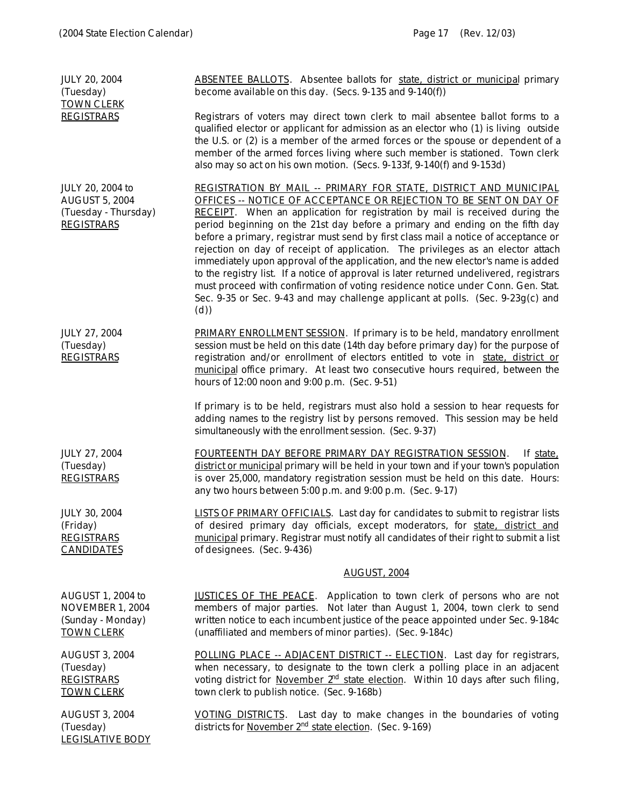JULY 20, 2004 (Tuesday) TOWN CLERK **REGISTRARS** ABSENTEE BALLOTS. Absentee ballots for state, district or municipal primary become available on this day. (Secs. 9-135 and 9-140(f)) Registrars of voters may direct town clerk to mail absentee ballot forms to a qualified elector or applicant for admission as an elector who (1) is living outside the U.S. or (2) is a member of the armed forces or the spouse or dependent of a member of the armed forces living where such member is stationed. Town clerk also may so act on his own motion. (Secs. 9-133f, 9-140(f) and 9-153d) JULY 20, 2004 to AUGUST 5, 2004 (Tuesday - Thursday) REGISTRARS REGISTRATION BY MAIL -- PRIMARY FOR STATE, DISTRICT AND MUNICIPAL OFFICES -- NOTICE OF ACCEPTANCE OR REJECTION TO BE SENT ON DAY OF RECEIPT. When an application for registration by mail is received during the period beginning on the 21st day before a primary and ending on the fifth day before a primary, registrar must send by first class mail a notice of acceptance or rejection on day of receipt of application. The privileges as an elector attach immediately upon approval of the application, and the new elector's name is added to the registry list. If a notice of approval is later returned undelivered, registrars must proceed with confirmation of voting residence notice under Conn. Gen. Stat. Sec. 9-35 or Sec. 9-43 and may challenge applicant at polls. (Sec. 9-23g(c) and (d)) JULY 27, 2004 (Tuesday) **REGISTRARS** PRIMARY ENROLLMENT SESSION. If primary is to be held, mandatory enrollment session must be held on this date (14th day before primary day) for the purpose of registration and/or enrollment of electors entitled to vote in state, district or municipal office primary. At least two consecutive hours required, between the hours of 12:00 noon and 9:00 p.m. (Sec. 9-51) If primary is to be held, registrars must also hold a session to hear requests for adding names to the registry list by persons removed. This session may be held simultaneously with the enrollment session. (Sec. 9-37) JULY 27, 2004 (Tuesday) REGISTRARS FOURTEENTH DAY BEFORE PRIMARY DAY REGISTRATION SESSION. If state, district or municipal primary will be held in your town and if your town's population is over 25,000, mandatory registration session must be held on this date. Hours: any two hours between 5:00 p.m. and 9:00 p.m. (Sec. 9-17) JULY 30, 2004 (Friday) **REGISTRARS** CANDIDATES LISTS OF PRIMARY OFFICIALS. Last day for candidates to submit to registrar lists of desired primary day officials, except moderators, for state, district and municipal primary. Registrar must notify all candidates of their right to submit a list of designees. (Sec. 9-436) AUGUST, 2004 AUGUST 1, 2004 to NOVEMBER 1, 2004 (Sunday - Monday) TOWN CLERK JUSTICES OF THE PEACE. Application to town clerk of persons who are not members of major parties. Not later than August 1, 2004, town clerk to send written notice to each incumbent justice of the peace appointed under Sec. 9-184c (unaffiliated and members of minor parties). (Sec. 9-184c) AUGUST 3, 2004 (Tuesday) REGISTRARS TOWN CLERK POLLING PLACE -- ADJACENT DISTRICT -- ELECTION. Last day for registrars, when necessary, to designate to the town clerk a polling place in an adjacent voting district for November  $2<sup>nd</sup>$  state election. Within 10 days after such filing, town clerk to publish notice. (Sec. 9-168b) AUGUST 3, 2004 (Tuesday) LEGISLATIVE BODY VOTING DISTRICTS. Last day to make changes in the boundaries of voting districts for November 2<sup>nd</sup> state election. (Sec. 9-169)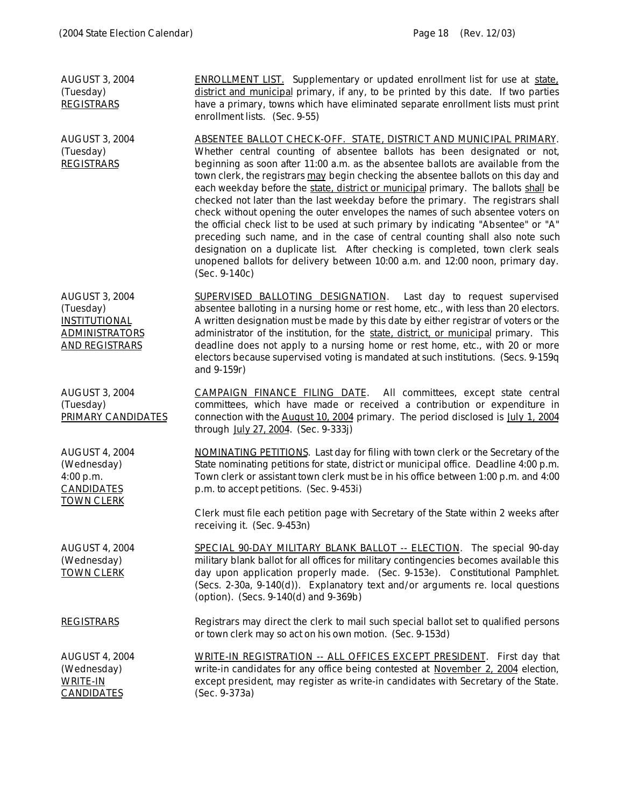| <b>AUGUST 3, 2004</b><br>(Tuesday)<br><b>REGISTRARS</b>                                                      | <b>ENROLLMENT LIST.</b> Supplementary or updated enrollment list for use at state.<br>district and municipal primary, if any, to be printed by this date. If two parties<br>have a primary, towns which have eliminated separate enrollment lists must print<br>enrollment lists. (Sec. 9-55)                                                                                                                                                                                                                                                                                                                                                                                                                                                                                                                                                                                                                                                     |
|--------------------------------------------------------------------------------------------------------------|---------------------------------------------------------------------------------------------------------------------------------------------------------------------------------------------------------------------------------------------------------------------------------------------------------------------------------------------------------------------------------------------------------------------------------------------------------------------------------------------------------------------------------------------------------------------------------------------------------------------------------------------------------------------------------------------------------------------------------------------------------------------------------------------------------------------------------------------------------------------------------------------------------------------------------------------------|
| <b>AUGUST 3, 2004</b><br>(Tuesday)<br><b>REGISTRARS</b>                                                      | ABSENTEE BALLOT CHECK-OFF. STATE, DISTRICT AND MUNICIPAL PRIMARY.<br>Whether central counting of absentee ballots has been designated or not,<br>beginning as soon after 11:00 a.m. as the absentee ballots are available from the<br>town clerk, the registrars may begin checking the absentee ballots on this day and<br>each weekday before the state, district or municipal primary. The ballots shall be<br>checked not later than the last weekday before the primary. The registrars shall<br>check without opening the outer envelopes the names of such absentee voters on<br>the official check list to be used at such primary by indicating "Absentee" or "A"<br>preceding such name, and in the case of central counting shall also note such<br>designation on a duplicate list. After checking is completed, town clerk seals<br>unopened ballots for delivery between 10:00 a.m. and 12:00 noon, primary day.<br>$(Sec. 9-140c)$ |
| <b>AUGUST 3, 2004</b><br>(Tuesday)<br><b>INSTITUTIONAL</b><br><b>ADMINISTRATORS</b><br><b>AND REGISTRARS</b> | SUPERVISED BALLOTING DESIGNATION. Last day to request supervised<br>absentee balloting in a nursing home or rest home, etc., with less than 20 electors.<br>A written designation must be made by this date by either registrar of voters or the<br>administrator of the institution, for the state, district, or municipal primary. This<br>deadline does not apply to a nursing home or rest home, etc., with 20 or more<br>electors because supervised voting is mandated at such institutions. (Secs. 9-159q<br>and 9-159r)                                                                                                                                                                                                                                                                                                                                                                                                                   |
| <b>AUGUST 3, 2004</b><br>(Tuesday)<br>PRIMARY CANDIDATES                                                     | <b>CAMPAIGN FINANCE FILING DATE.</b> All committees, except state central<br>committees, which have made or received a contribution or expenditure in<br>connection with the August 10, 2004 primary. The period disclosed is July 1, 2004<br>through July 27, 2004. (Sec. 9-333j)                                                                                                                                                                                                                                                                                                                                                                                                                                                                                                                                                                                                                                                                |
| <b>AUGUST 4, 2004</b><br>(Wednesday)<br>4:00 p.m.<br><b>CANDIDATES</b>                                       | NOMINATING PETITIONS. Last day for filing with town clerk or the Secretary of the<br>State nominating petitions for state, district or municipal office. Deadline 4:00 p.m.<br>Town clerk or assistant town clerk must be in his office between 1:00 p.m. and 4:00<br>p.m. to accept petitions. (Sec. 9-453i)                                                                                                                                                                                                                                                                                                                                                                                                                                                                                                                                                                                                                                     |
| <b>TOWN CLERK</b>                                                                                            | Clerk must file each petition page with Secretary of the State within 2 weeks after<br>receiving it. (Sec. 9-453n)                                                                                                                                                                                                                                                                                                                                                                                                                                                                                                                                                                                                                                                                                                                                                                                                                                |
| <b>AUGUST 4, 2004</b><br>(Wednesday)<br><b>TOWN CLERK</b>                                                    | SPECIAL 90-DAY MILITARY BLANK BALLOT -- ELECTION. The special 90-day<br>military blank ballot for all offices for military contingencies becomes available this<br>day upon application properly made. (Sec. 9-153e). Constitutional Pamphlet.<br>(Secs. 2-30a, 9-140(d)). Explanatory text and/or arguments re. local questions<br>(option). (Secs. 9-140(d) and 9-369b)                                                                                                                                                                                                                                                                                                                                                                                                                                                                                                                                                                         |
| <b>REGISTRARS</b>                                                                                            | Registrars may direct the clerk to mail such special ballot set to qualified persons<br>or town clerk may so act on his own motion. (Sec. 9-153d)                                                                                                                                                                                                                                                                                                                                                                                                                                                                                                                                                                                                                                                                                                                                                                                                 |
| <b>AUGUST 4, 2004</b><br>(Wednesday)<br><b>WRITE-IN</b><br><b>CANDIDATES</b>                                 | <b>WRITE-IN REGISTRATION -- ALL OFFICES EXCEPT PRESIDENT.</b> First day that<br>write-in candidates for any office being contested at November 2, 2004 election,<br>except president, may register as write-in candidates with Secretary of the State.<br>(Sec. 9-373a)                                                                                                                                                                                                                                                                                                                                                                                                                                                                                                                                                                                                                                                                           |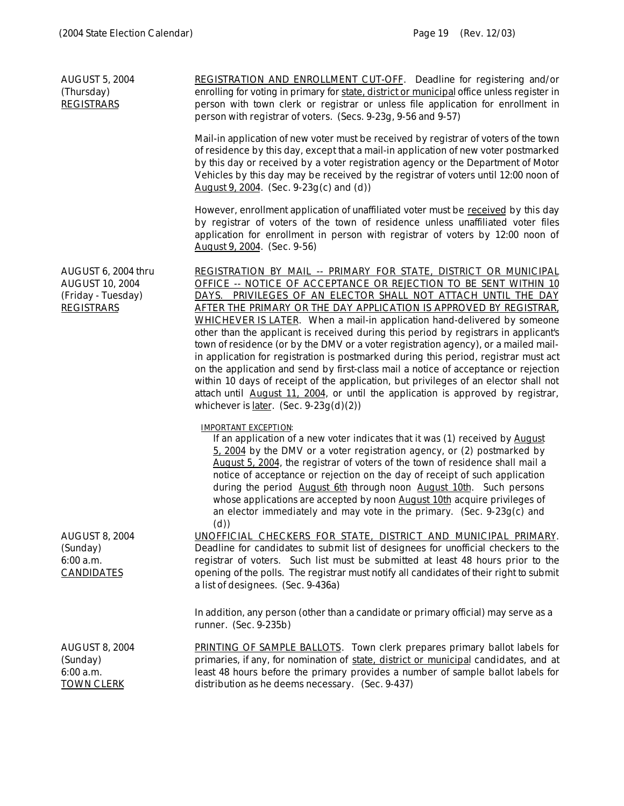| <b>AUGUST 5, 2004</b><br>(Thursday)<br><b>REGISTRARS</b>                                 | <b>REGISTRATION AND ENROLLMENT CUT-OFF.</b> Deadline for registering and/or<br>enrolling for voting in primary for state, district or municipal office unless register in<br>person with town clerk or registrar or unless file application for enrollment in<br>person with registrar of voters. (Secs. 9-23g, 9-56 and 9-57)                                                                                                                                                                                                                                                                                                                                                                                                                                                                                                                                                                                                                                             |
|------------------------------------------------------------------------------------------|----------------------------------------------------------------------------------------------------------------------------------------------------------------------------------------------------------------------------------------------------------------------------------------------------------------------------------------------------------------------------------------------------------------------------------------------------------------------------------------------------------------------------------------------------------------------------------------------------------------------------------------------------------------------------------------------------------------------------------------------------------------------------------------------------------------------------------------------------------------------------------------------------------------------------------------------------------------------------|
|                                                                                          | Mail-in application of new voter must be received by registrar of voters of the town<br>of residence by this day, except that a mail-in application of new voter postmarked<br>by this day or received by a voter registration agency or the Department of Motor<br>Vehicles by this day may be received by the registrar of voters until 12:00 noon of<br>August 9, 2004. (Sec. 9-23g(c) and (d))                                                                                                                                                                                                                                                                                                                                                                                                                                                                                                                                                                         |
|                                                                                          | However, enrollment application of unaffiliated voter must be received by this day<br>by registrar of voters of the town of residence unless unaffiliated voter files<br>application for enrollment in person with registrar of voters by 12:00 noon of<br>August 9, 2004. (Sec. 9-56)                                                                                                                                                                                                                                                                                                                                                                                                                                                                                                                                                                                                                                                                                     |
| AUGUST 6, 2004 thru<br><b>AUGUST 10, 2004</b><br>(Friday - Tuesday)<br><b>REGISTRARS</b> | REGISTRATION BY MAIL -- PRIMARY FOR STATE, DISTRICT OR MUNICIPAL<br>OFFICE -- NOTICE OF ACCEPTANCE OR REJECTION TO BE SENT WITHIN 10<br>DAYS. PRIVILEGES OF AN ELECTOR SHALL NOT ATTACH UNTIL THE DAY<br>AFTER THE PRIMARY OR THE DAY APPLICATION IS APPROVED BY REGISTRAR.<br>WHICHEVER IS LATER. When a mail-in application hand-delivered by someone<br>other than the applicant is received during this period by registrars in applicant's<br>town of residence (or by the DMV or a voter registration agency), or a mailed mail-<br>in application for registration is postmarked during this period, registrar must act<br>on the application and send by first-class mail a notice of acceptance or rejection<br>within 10 days of receipt of the application, but privileges of an elector shall not<br>attach until August 11, 2004, or until the application is approved by registrar,<br>whichever is <u>later</u> . (Sec. $9-23g(d)(2)$ )                     |
| <b>AUGUST 8, 2004</b><br>(Sunday)<br>6:00 a.m.<br><b>CANDIDATES</b>                      | <b>IMPORTANT EXCEPTION:</b><br>If an application of a new voter indicates that it was (1) received by August<br>5, 2004 by the DMV or a voter registration agency, or (2) postmarked by<br>August 5, 2004, the registrar of voters of the town of residence shall mail a<br>notice of acceptance or rejection on the day of receipt of such application<br>during the period August 6th through noon August 10th. Such persons<br>whose applications are accepted by noon August 10th acquire privileges of<br>an elector immediately and may vote in the primary. (Sec. $9-23g(c)$ and<br>(d)<br>UNOFFICIAL CHECKERS FOR STATE, DISTRICT AND MUNICIPAL PRIMARY.<br>Deadline for candidates to submit list of designees for unofficial checkers to the<br>registrar of voters. Such list must be submitted at least 48 hours prior to the<br>opening of the polls. The registrar must notify all candidates of their right to submit<br>a list of designees. (Sec. 9-436a) |
|                                                                                          | In addition, any person (other than a candidate or primary official) may serve as a<br>runner. (Sec. 9-235b)                                                                                                                                                                                                                                                                                                                                                                                                                                                                                                                                                                                                                                                                                                                                                                                                                                                               |
| <b>AUGUST 8, 2004</b><br>(Sunday)<br>$6:00$ a.m.<br><b>TOWN CLERK</b>                    | PRINTING OF SAMPLE BALLOTS. Town clerk prepares primary ballot labels for<br>primaries, if any, for nomination of state, district or municipal candidates, and at<br>least 48 hours before the primary provides a number of sample ballot labels for<br>distribution as he deems necessary. (Sec. 9-437)                                                                                                                                                                                                                                                                                                                                                                                                                                                                                                                                                                                                                                                                   |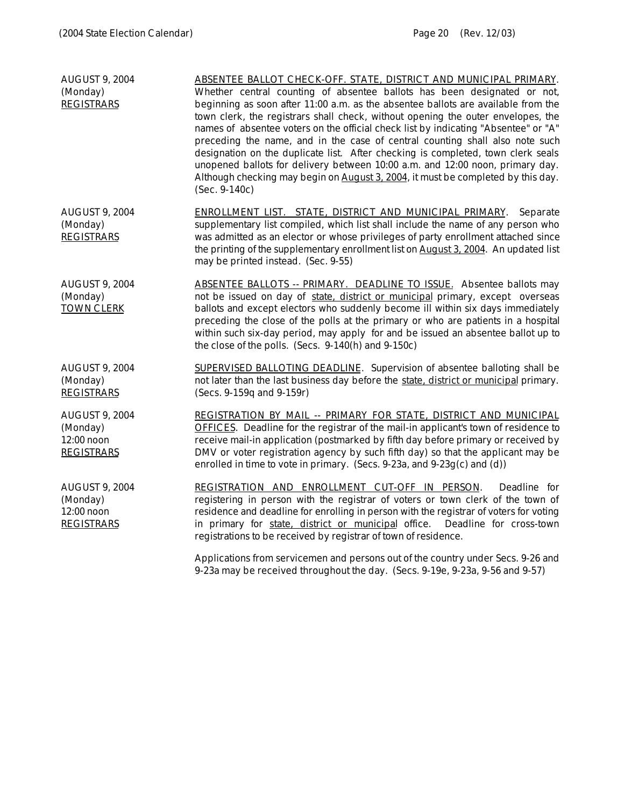| <b>AUGUST 9, 2004</b><br>(Monday)<br><b>REGISTRARS</b>               | ABSENTEE BALLOT CHECK-OFF. STATE, DISTRICT AND MUNICIPAL PRIMARY.<br>Whether central counting of absentee ballots has been designated or not,<br>beginning as soon after 11:00 a.m. as the absentee ballots are available from the<br>town clerk, the registrars shall check, without opening the outer envelopes, the<br>names of absentee voters on the official check list by indicating "Absentee" or "A"<br>preceding the name, and in the case of central counting shall also note such<br>designation on the duplicate list. After checking is completed, town clerk seals<br>unopened ballots for delivery between 10:00 a.m. and 12:00 noon, primary day.<br>Although checking may begin on August 3, 2004, it must be completed by this day.<br>$(Sec. 9-140c)$ |
|----------------------------------------------------------------------|---------------------------------------------------------------------------------------------------------------------------------------------------------------------------------------------------------------------------------------------------------------------------------------------------------------------------------------------------------------------------------------------------------------------------------------------------------------------------------------------------------------------------------------------------------------------------------------------------------------------------------------------------------------------------------------------------------------------------------------------------------------------------|
| <b>AUGUST 9, 2004</b><br>(Monday)<br><b>REGISTRARS</b>               | ENROLLMENT LIST. STATE, DISTRICT AND MUNICIPAL PRIMARY.<br>Separate<br>supplementary list compiled, which list shall include the name of any person who<br>was admitted as an elector or whose privileges of party enrollment attached since<br>the printing of the supplementary enrollment list on August 3, 2004. An updated list<br>may be printed instead. (Sec. 9-55)                                                                                                                                                                                                                                                                                                                                                                                               |
| <b>AUGUST 9, 2004</b><br>(Monday)<br><b>TOWN CLERK</b>               | <b>ABSENTEE BALLOTS -- PRIMARY. DEADLINE TO ISSUE.</b> Absentee ballots may<br>not be issued on day of state, district or municipal primary, except overseas<br>ballots and except electors who suddenly become ill within six days immediately<br>preceding the close of the polls at the primary or who are patients in a hospital<br>within such six-day period, may apply for and be issued an absentee ballot up to<br>the close of the polls. (Secs. 9-140(h) and 9-150c)                                                                                                                                                                                                                                                                                           |
| <b>AUGUST 9, 2004</b><br>(Monday)<br><b>REGISTRARS</b>               | SUPERVISED BALLOTING DEADLINE. Supervision of absentee balloting shall be<br>not later than the last business day before the state, district or municipal primary.<br>(Secs. 9-159q and 9-159r)                                                                                                                                                                                                                                                                                                                                                                                                                                                                                                                                                                           |
| <b>AUGUST 9, 2004</b><br>(Monday)<br>12:00 noon<br><b>REGISTRARS</b> | <b>REGISTRATION BY MAIL -- PRIMARY FOR STATE, DISTRICT AND MUNICIPAL</b><br>OFFICES. Deadline for the registrar of the mail-in applicant's town of residence to<br>receive mail-in application (postmarked by fifth day before primary or received by<br>DMV or voter registration agency by such fifth day) so that the applicant may be<br>enrolled in time to vote in primary. (Secs. 9-23a, and 9-23g(c) and (d))                                                                                                                                                                                                                                                                                                                                                     |
| <b>AUGUST 9, 2004</b><br>(Monday)<br>12:00 noon<br><b>REGISTRARS</b> | REGISTRATION AND ENROLLMENT CUT-OFF IN PERSON.<br>Deadline for<br>registering in person with the registrar of voters or town clerk of the town of<br>residence and deadline for enrolling in person with the registrar of voters for voting<br>in primary for state, district or municipal office. Deadline for cross-town<br>registrations to be received by registrar of town of residence.                                                                                                                                                                                                                                                                                                                                                                             |
|                                                                      | Applications from servicemen and persons out of the country under Secs. 9-26 and                                                                                                                                                                                                                                                                                                                                                                                                                                                                                                                                                                                                                                                                                          |

9-23a may be received throughout the day. (Secs. 9-19e, 9-23a, 9-56 and 9-57)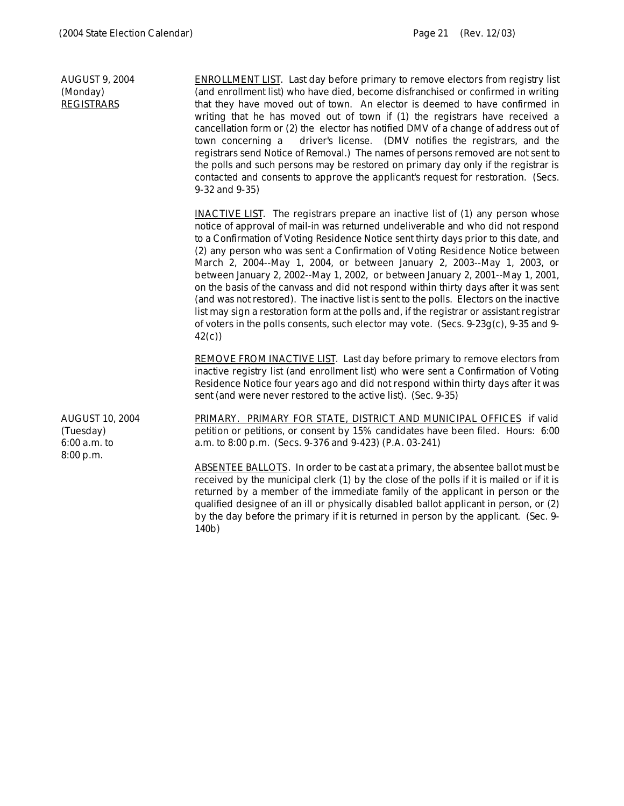AUGUST 9, 2004 (Monday) **REGISTRARS** ENROLLMENT LIST. Last day before primary to remove electors from registry list (and enrollment list) who have died, become disfranchised or confirmed in writing that they have moved out of town. An elector is deemed to have confirmed in writing that he has moved out of town if (1) the registrars have received a cancellation form or (2) the elector has notified DMV of a change of address out of town concerning a driver's license. (DMV notifies the registrars, and the registrars send Notice of Removal.) The names of persons removed are not sent to the polls and such persons may be restored on primary day only if the registrar is contacted and consents to approve the applicant's request for restoration. (Secs. 9-32 and 9-35) INACTIVE LIST. The registrars prepare an inactive list of (1) any person whose notice of approval of mail-in was returned undeliverable and who did not respond to a Confirmation of Voting Residence Notice sent thirty days prior to this date, and (2) any person who was sent a Confirmation of Voting Residence Notice between March 2, 2004--May 1, 2004, or between January 2, 2003--May 1, 2003, or between January 2, 2002--May 1, 2002, or between January 2, 2001--May 1, 2001, on the basis of the canvass and did not respond within thirty days after it was sent (and was not restored). The inactive list is sent to the polls. Electors on the inactive list may sign a restoration form at the polls and, if the registrar or assistant registrar of voters in the polls consents, such elector may vote. (Secs. 9-23g(c), 9-35 and 9- 42(c)) REMOVE FROM INACTIVE LIST. Last day before primary to remove electors from inactive registry list (and enrollment list) who were sent a Confirmation of Voting Residence Notice four years ago and did not respond within thirty days after it was sent (and were never restored to the active list). (Sec. 9-35) AUGUST 10, 2004 (Tuesday) 6:00 a.m. to 8:00 p.m. PRIMARY. PRIMARY FOR STATE, DISTRICT AND MUNICIPAL OFFICES if valid petition or petitions, or consent by 15% candidates have been filed. Hours: 6:00 a.m. to 8:00 p.m. (Secs. 9-376 and 9-423) (P.A. 03-241) ABSENTEE BALLOTS. In order to be cast at a primary, the absentee ballot must be received by the municipal clerk (1) by the close of the polls if it is mailed or if it is returned by a member of the immediate family of the applicant in person or the qualified designee of an ill or physically disabled ballot applicant in person, or (2)

140b)

by the day before the primary if it is returned in person by the applicant. (Sec. 9-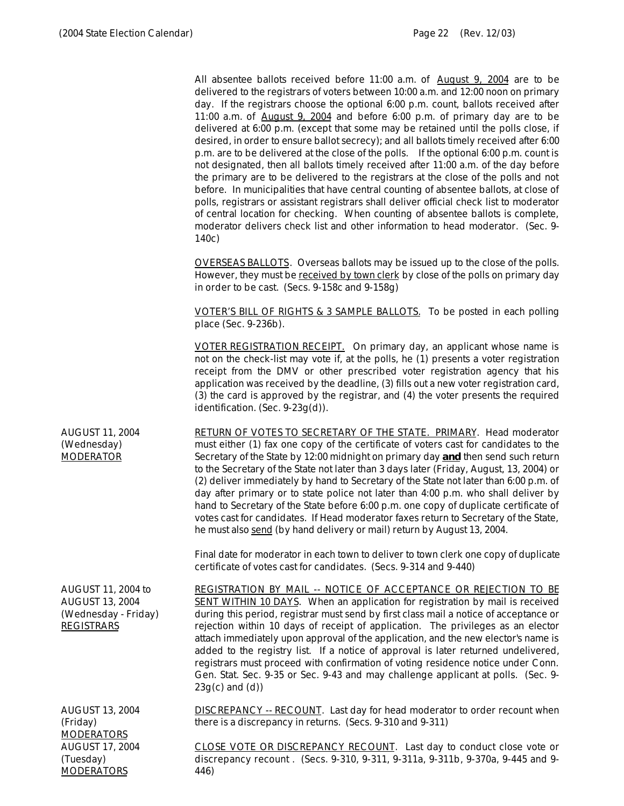**MODERATORS** 

446)

All absentee ballots received before 11:00 a.m. of August 9, 2004 are to be delivered to the registrars of voters between 10:00 a.m. and 12:00 noon on primary day. If the registrars choose the optional 6:00 p.m. count, ballots received after 11:00 a.m. of August 9, 2004 and before 6:00 p.m. of primary day are to be delivered at 6:00 p.m. (except that some may be retained until the polls close, if desired, in order to ensure ballot secrecy); and all ballots timely received after 6:00 p.m. are to be delivered at the close of the polls. If the optional 6:00 p.m. count is not designated, then all ballots timely received after 11:00 a.m. of the day before the primary are to be delivered to the registrars at the close of the polls and not before. In municipalities that have central counting of absentee ballots, at close of polls, registrars or assistant registrars shall deliver official check list to moderator of central location for checking. When counting of absentee ballots is complete, moderator delivers check list and other information to head moderator. (Sec. 9- 140c) OVERSEAS BALLOTS. Overseas ballots may be issued up to the close of the polls. However, they must be received by town clerk by close of the polls on primary day in order to be cast. (Secs. 9-158c and 9-158g) VOTER'S BILL OF RIGHTS & 3 SAMPLE BALLOTS. To be posted in each polling place (Sec. 9-236b). VOTER REGISTRATION RECEIPT. On primary day, an applicant whose name is not on the check-list may vote if, at the polls, he (1) presents a voter registration receipt from the DMV or other prescribed voter registration agency that his application was received by the deadline, (3) fills out a new voter registration card, (3) the card is approved by the registrar, and (4) the voter presents the required identification. (Sec. 9-23g(d)). AUGUST 11, 2004 (Wednesday) MODERATOR RETURN OF VOTES TO SECRETARY OF THE STATE. PRIMARY. Head moderator must either (1) fax one copy of the certificate of voters cast for candidates to the Secretary of the State by 12:00 midnight on primary day **and** then send such return to the Secretary of the State not later than 3 days later (Friday, August, 13, 2004) or (2) deliver immediately by hand to Secretary of the State not later than 6:00 p.m. of day after primary or to state police not later than 4:00 p.m. who shall deliver by hand to Secretary of the State before 6:00 p.m. one copy of duplicate certificate of votes cast for candidates. If Head moderator faxes return to Secretary of the State, he must also send (by hand delivery or mail) return by August 13, 2004. Final date for moderator in each town to deliver to town clerk one copy of duplicate certificate of votes cast for candidates. (Secs. 9-314 and 9-440) AUGUST 11, 2004 to AUGUST 13, 2004 (Wednesday - Friday) REGISTRARS REGISTRATION BY MAIL -- NOTICE OF ACCEPTANCE OR REJECTION TO BE SENT WITHIN 10 DAYS. When an application for registration by mail is received during this period, registrar must send by first class mail a notice of acceptance or rejection within 10 days of receipt of application. The privileges as an elector attach immediately upon approval of the application, and the new elector's name is added to the registry list. If a notice of approval is later returned undelivered, registrars must proceed with confirmation of voting residence notice under Conn. Gen. Stat. Sec. 9-35 or Sec. 9-43 and may challenge applicant at polls. (Sec. 9-  $23g(c)$  and  $(d)$ ) AUGUST 13, 2004 (Friday) MODERATORS DISCREPANCY -- RECOUNT. Last day for head moderator to order recount when there is a discrepancy in returns. (Secs. 9-310 and 9-311) AUGUST 17, 2004 (Tuesday) CLOSE VOTE OR DISCREPANCY RECOUNT. Last day to conduct close vote or discrepancy recount . (Secs. 9-310, 9-311, 9-311a, 9-311b, 9-370a, 9-445 and 9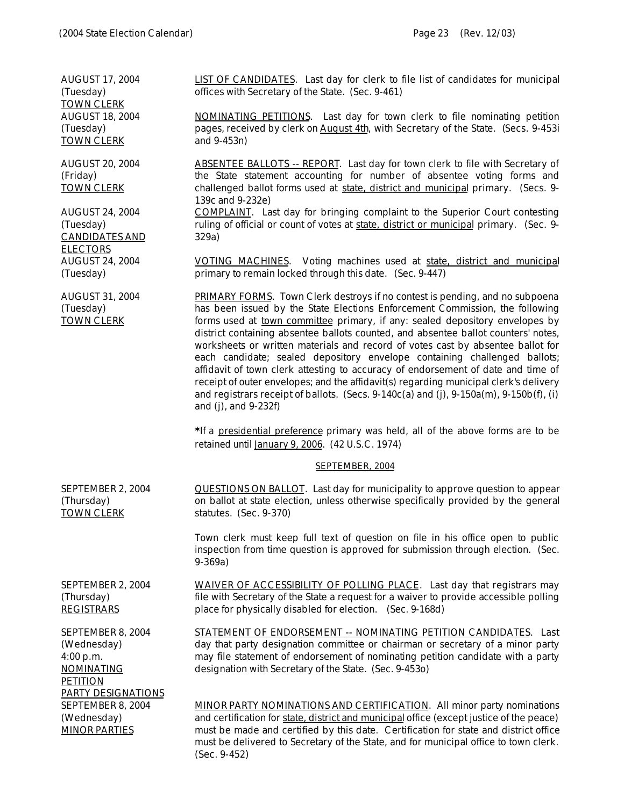AUGUST 17, 2004 (Tuesday) TOWN CLERK LIST OF CANDIDATES. Last day for clerk to file list of candidates for municipal offices with Secretary of the State. (Sec. 9-461) AUGUST 18, 2004 (Tuesday) TOWN CLERK NOMINATING PETITIONS. Last day for town clerk to file nominating petition pages, received by clerk on August 4th, with Secretary of the State. (Secs. 9-453i and 9-453n) AUGUST 20, 2004 (Friday) TOWN CLERK ABSENTEE BALLOTS -- REPORT. Last day for town clerk to file with Secretary of the State statement accounting for number of absentee voting forms and challenged ballot forms used at state, district and municipal primary. (Secs. 9- 139c and 9-232e) AUGUST 24, 2004 (Tuesday) CANDIDATES AND ELECTORS COMPLAINT. Last day for bringing complaint to the Superior Court contesting ruling of official or count of votes at state, district or municipal primary. (Sec. 9- 329a) AUGUST 24, 2004 (Tuesday) VOTING MACHINES. Voting machines used at state, district and municipal primary to remain locked through this date. (Sec. 9-447) AUGUST 31, 2004 (Tuesday) TOWN CLERK PRIMARY FORMS. Town Clerk destroys if no contest is pending, and no subpoena has been issued by the State Elections Enforcement Commission, the following forms used at town committee primary, if any: sealed depository envelopes by district containing absentee ballots counted, and absentee ballot counters' notes, worksheets or written materials and record of votes cast by absentee ballot for each candidate; sealed depository envelope containing challenged ballots; affidavit of town clerk attesting to accuracy of endorsement of date and time of receipt of outer envelopes; and the affidavit(s) regarding municipal clerk's delivery and registrars receipt of ballots. (Secs.  $9-140c(a)$  and (j),  $9-150a(m)$ ,  $9-150b(f)$ , (i) and (j), and 9-232f) *\*If a presidential preference primary was held, all of the above forms are to be retained until January 9, 2006. (42 U.S.C. 1974)* SEPTEMBER, 2004 SEPTEMBER 2, 2004 (Thursday) TOWN CLERK QUESTIONS ON BALLOT. Last day for municipality to approve question to appear on ballot at state election, unless otherwise specifically provided by the general statutes. (Sec. 9-370) Town clerk must keep full text of question on file in his office open to public inspection from time question is approved for submission through election. (Sec. 9-369a) SEPTEMBER 2, 2004 (Thursday) REGISTRARS WAIVER OF ACCESSIBILITY OF POLLING PLACE. Last day that registrars may file with Secretary of the State a request for a waiver to provide accessible polling place for physically disabled for election. (Sec. 9-168d) SEPTEMBER 8, 2004 (Wednesday) 4:00 p.m. NOMINATING **PETITION** PARTY DESIGNATIONS STATEMENT OF ENDORSEMENT -- NOMINATING PETITION CANDIDATES. Last day that party designation committee or chairman or secretary of a minor party may file statement of endorsement of nominating petition candidate with a party designation with Secretary of the State. (Sec. 9-453o) SEPTEMBER 8, 2004 (Wednesday) MINOR PARTIES MINOR PARTY NOMINATIONS AND CERTIFICATION. All minor party nominations and certification for state, district and municipal office (except justice of the peace) must be made and certified by this date. Certification for state and district office must be delivered to Secretary of the State, and for municipal office to town clerk.

(Sec. 9-452)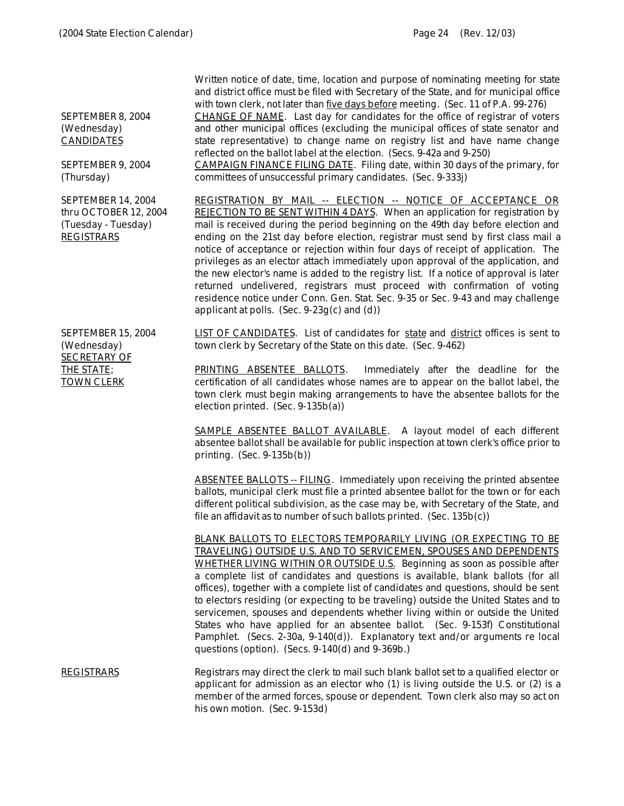SEPTEMBER 8, 2004 (Wednesday) CANDIDATES

SEPTEMBER 9, 2004 (Thursday)

SEPTEMBER 14, 2004 thru OCTOBER 12, 2004 (Tuesday - Tuesday) **REGISTRARS** 

SEPTEMBER 15, 2004

(Wednesday) SECRETARY OF THE STATE; TOWN CLERK

Written notice of date, time, location and purpose of nominating meeting for state and district office must be filed with Secretary of the State, and for municipal office with town clerk, not later than five days before meeting. (Sec. 11 of P.A. 99-276)

CHANGE OF NAME. Last day for candidates for the office of registrar of voters and other municipal offices (excluding the municipal offices of state senator and state representative) to change name on registry list and have name change reflected on the ballot label at the election. (Secs. 9-42a and 9-250)

CAMPAIGN FINANCE FILING DATE. Filing date, within 30 days of the primary, for committees of unsuccessful primary candidates. (Sec. 9-333j)

REGISTRATION BY MAIL -- ELECTION -- NOTICE OF ACCEPTANCE OR REJECTION TO BE SENT WITHIN 4 DAYS. When an application for registration by mail is received during the period beginning on the 49th day before election and ending on the 21st day before election, registrar must send by first class mail a notice of acceptance or rejection within four days of receipt of application. The privileges as an elector attach immediately upon approval of the application, and the new elector's name is added to the registry list. If a notice of approval is later returned undelivered, registrars must proceed with confirmation of voting residence notice under Conn. Gen. Stat. Sec. 9-35 or Sec. 9-43 and may challenge applicant at polls. (Sec. 9-23g(c) and (d))

LIST OF CANDIDATES. List of candidates for state and district offices is sent to town clerk by Secretary of the State on this date. (Sec. 9-462)

PRINTING ABSENTEE BALLOTS. Immediately after the deadline for the certification of all candidates whose names are to appear on the ballot label, the town clerk must begin making arrangements to have the absentee ballots for the election printed. (Sec. 9-135b(a))

SAMPLE ABSENTEE BALLOT AVAILABLE. A layout model of each different absentee ballot shall be available for public inspection at town clerk's office prior to printing. (Sec. 9-135b(b))

ABSENTEE BALLOTS -- FILING. Immediately upon receiving the printed absentee ballots, municipal clerk must file a printed absentee ballot for the town or for each different political subdivision, as the case may be, with Secretary of the State, and file an affidavit as to number of such ballots printed. (Sec. 135b(c))

BLANK BALLOTS TO ELECTORS TEMPORARILY LIVING (OR EXPECTING TO BE TRAVELING) OUTSIDE U.S. AND TO SERVICEMEN, SPOUSES AND DEPENDENTS WHETHER LIVING WITHIN OR OUTSIDE U.S. Beginning as soon as possible after a complete list of candidates and questions is available, blank ballots (for all offices), together with a complete list of candidates and questions, should be sent to electors residing (or expecting to be traveling) outside the United States and to servicemen, spouses and dependents whether living within or outside the United States who have applied for an absentee ballot. (Sec. 9-153f) Constitutional Pamphlet. (Secs. 2-30a, 9-140(d)). Explanatory text and/or arguments re local questions (option). (Secs. 9-140(d) and 9-369b.)

REGISTRARS Registrars may direct the clerk to mail such blank ballot set to a qualified elector or applicant for admission as an elector who (1) is living outside the U.S. or (2) is a member of the armed forces, spouse or dependent. Town clerk also may so act on his own motion. (Sec. 9-153d)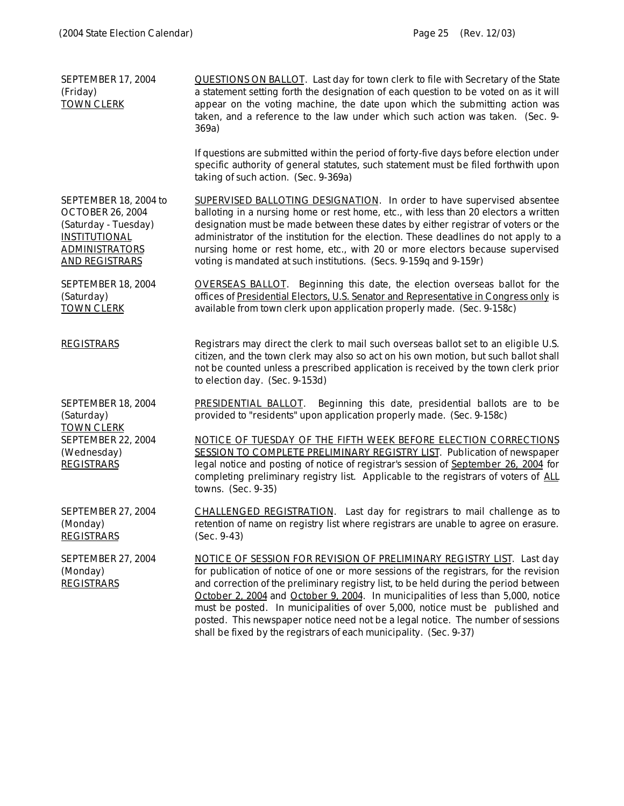| SEPTEMBER 17, 2004<br>(Friday)<br><b>TOWN CLERK</b>                                                                                                | QUESTIONS ON BALLOT. Last day for town clerk to file with Secretary of the State<br>a statement setting forth the designation of each question to be voted on as it will<br>appear on the voting machine, the date upon which the submitting action was<br>taken, and a reference to the law under which such action was taken. (Sec. 9-<br>369a)                                                                                                                                                                                                                                              |
|----------------------------------------------------------------------------------------------------------------------------------------------------|------------------------------------------------------------------------------------------------------------------------------------------------------------------------------------------------------------------------------------------------------------------------------------------------------------------------------------------------------------------------------------------------------------------------------------------------------------------------------------------------------------------------------------------------------------------------------------------------|
|                                                                                                                                                    | If questions are submitted within the period of forty-five days before election under<br>specific authority of general statutes, such statement must be filed forthwith upon<br>taking of such action. (Sec. 9-369a)                                                                                                                                                                                                                                                                                                                                                                           |
| SEPTEMBER 18, 2004 to<br><b>OCTOBER 26, 2004</b><br>(Saturday - Tuesday)<br><b>INSTITUTIONAL</b><br><b>ADMINISTRATORS</b><br><b>AND REGISTRARS</b> | <b>SUPERVISED BALLOTING DESIGNATION.</b> In order to have supervised absentee<br>balloting in a nursing home or rest home, etc., with less than 20 electors a written<br>designation must be made between these dates by either registrar of voters or the<br>administrator of the institution for the election. These deadlines do not apply to a<br>nursing home or rest home, etc., with 20 or more electors because supervised<br>voting is mandated at such institutions. (Secs. 9-159q and 9-159r)                                                                                       |
| SEPTEMBER 18, 2004<br>(Saturday)<br><b>TOWN CLERK</b>                                                                                              | <b>OVERSEAS BALLOT.</b> Beginning this date, the election overseas ballot for the<br>offices of Presidential Electors, U.S. Senator and Representative in Congress only is<br>available from town clerk upon application properly made. (Sec. 9-158c)                                                                                                                                                                                                                                                                                                                                          |
| <b>REGISTRARS</b>                                                                                                                                  | Registrars may direct the clerk to mail such overseas ballot set to an eligible U.S.<br>citizen, and the town clerk may also so act on his own motion, but such ballot shall<br>not be counted unless a prescribed application is received by the town clerk prior<br>to election day. (Sec. 9-153d)                                                                                                                                                                                                                                                                                           |
| SEPTEMBER 18, 2004<br>(Saturday)                                                                                                                   | <b>PRESIDENTIAL BALLOT.</b> Beginning this date, presidential ballots are to be<br>provided to "residents" upon application properly made. (Sec. 9-158c)                                                                                                                                                                                                                                                                                                                                                                                                                                       |
| <b>TOWN CLERK</b><br>SEPTEMBER 22, 2004<br>(Wednesday)<br><b>REGISTRARS</b>                                                                        | NOTICE OF TUESDAY OF THE FIFTH WEEK BEFORE ELECTION CORRECTIONS<br>SESSION TO COMPLETE PRELIMINARY REGISTRY LIST. Publication of newspaper<br>legal notice and posting of notice of registrar's session of September 26, 2004 for<br>completing preliminary registry list. Applicable to the registrars of voters of ALL<br>towns. (Sec. 9-35)                                                                                                                                                                                                                                                 |
| SEPTEMBER 27, 2004<br>(Monday)<br><b>REGISTRARS</b>                                                                                                | CHALLENGED REGISTRATION. Last day for registrars to mail challenge as to<br>retention of name on registry list where registrars are unable to agree on erasure.<br>$(Sec. 9-43)$                                                                                                                                                                                                                                                                                                                                                                                                               |
| <b>SEPTEMBER 27, 2004</b><br>(Monday)<br><b>REGISTRARS</b>                                                                                         | <b>NOTICE OF SESSION FOR REVISION OF PRELIMINARY REGISTRY LIST.</b> Last day<br>for publication of notice of one or more sessions of the registrars, for the revision<br>and correction of the preliminary registry list, to be held during the period between<br>October 2, 2004 and October 9, 2004. In municipalities of less than 5,000, notice<br>must be posted. In municipalities of over 5,000, notice must be published and<br>posted. This newspaper notice need not be a legal notice. The number of sessions<br>shall be fixed by the registrars of each municipality. (Sec. 9-37) |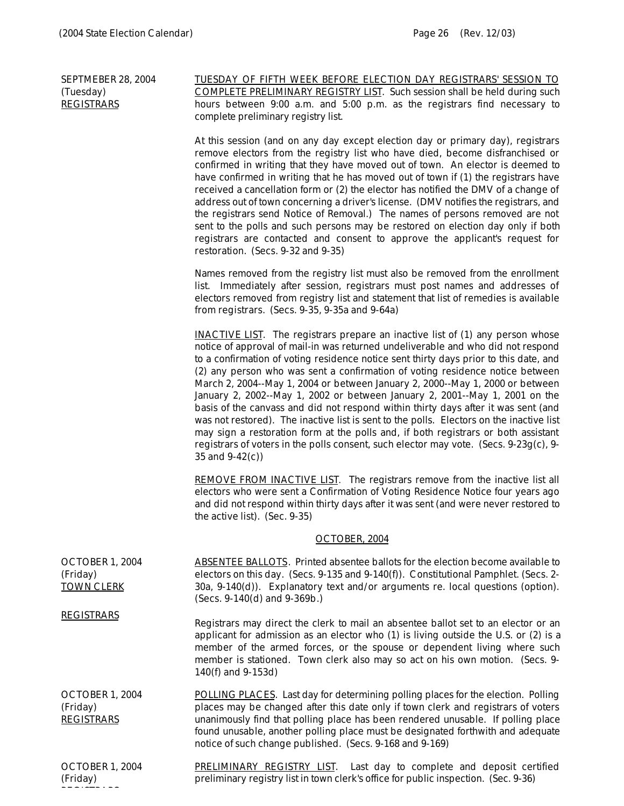SEPTMEBER 28, 2004

REGISTRARIS<br>Registraris

TUESDAY OF FIFTH WEEK BEFORE ELECTION DAY REGISTRARS' SESSION TO

| (Tuesday)<br><b>REGISTRARS</b>                                        | <b>COMPLETE PRELIMINARY REGISTRY LIST.</b> Such session shall be held during such<br>hours between 9:00 a.m. and 5:00 p.m. as the registrars find necessary to<br>complete preliminary registry list.                                                                                                                                                                                                                                                                                                                                                                                                                                                                                                                                                                                                                                                                                                      |
|-----------------------------------------------------------------------|------------------------------------------------------------------------------------------------------------------------------------------------------------------------------------------------------------------------------------------------------------------------------------------------------------------------------------------------------------------------------------------------------------------------------------------------------------------------------------------------------------------------------------------------------------------------------------------------------------------------------------------------------------------------------------------------------------------------------------------------------------------------------------------------------------------------------------------------------------------------------------------------------------|
|                                                                       | At this session (and on any day except election day or primary day), registrars<br>remove electors from the registry list who have died, become disfranchised or<br>confirmed in writing that they have moved out of town. An elector is deemed to<br>have confirmed in writing that he has moved out of town if (1) the registrars have<br>received a cancellation form or (2) the elector has notified the DMV of a change of<br>address out of town concerning a driver's license. (DMV notifies the registrars, and<br>the registrars send Notice of Removal.) The names of persons removed are not<br>sent to the polls and such persons may be restored on election day only if both<br>registrars are contacted and consent to approve the applicant's request for<br>restoration. (Secs. 9-32 and 9-35)                                                                                            |
|                                                                       | Names removed from the registry list must also be removed from the enrollment<br>list. Immediately after session, registrars must post names and addresses of<br>electors removed from registry list and statement that list of remedies is available<br>from registrars. (Secs. 9-35, 9-35a and 9-64a)                                                                                                                                                                                                                                                                                                                                                                                                                                                                                                                                                                                                    |
|                                                                       | <b>INACTIVE LIST.</b> The registrars prepare an inactive list of (1) any person whose<br>notice of approval of mail-in was returned undeliverable and who did not respond<br>to a confirmation of voting residence notice sent thirty days prior to this date, and<br>(2) any person who was sent a confirmation of voting residence notice between<br>March 2, 2004--May 1, 2004 or between January 2, 2000--May 1, 2000 or between<br>January 2, 2002--May 1, 2002 or between January 2, 2001--May 1, 2001 on the<br>basis of the canvass and did not respond within thirty days after it was sent (and<br>was not restored). The inactive list is sent to the polls. Electors on the inactive list<br>may sign a restoration form at the polls and, if both registrars or both assistant<br>registrars of voters in the polls consent, such elector may vote. (Secs. 9-23g(c), 9-<br>35 and $9-42(c)$ ) |
|                                                                       | REMOVE FROM INACTIVE LIST. The registrars remove from the inactive list all<br>electors who were sent a Confirmation of Voting Residence Notice four years ago<br>and did not respond within thirty days after it was sent (and were never restored to<br>the active list). (Sec. 9-35)                                                                                                                                                                                                                                                                                                                                                                                                                                                                                                                                                                                                                    |
|                                                                       | OCTOBER, 2004                                                                                                                                                                                                                                                                                                                                                                                                                                                                                                                                                                                                                                                                                                                                                                                                                                                                                              |
| OCTOBER 1, 2004<br>(Friday)<br><b>TOWN CLERK</b><br><b>REGISTRARS</b> | ABSENTEE BALLOTS. Printed absentee ballots for the election become available to<br>electors on this day. (Secs. 9-135 and 9-140(f)). Constitutional Pamphlet. (Secs. 2-<br>30a, 9-140(d)). Explanatory text and/or arguments re. local questions (option).<br>(Secs. 9-140(d) and 9-369b.)                                                                                                                                                                                                                                                                                                                                                                                                                                                                                                                                                                                                                 |
|                                                                       | Registrars may direct the clerk to mail an absentee ballot set to an elector or an<br>applicant for admission as an elector who (1) is living outside the U.S. or (2) is a<br>member of the armed forces, or the spouse or dependent living where such<br>member is stationed. Town clerk also may so act on his own motion. (Secs. 9-<br>140(f) and 9-153d)                                                                                                                                                                                                                                                                                                                                                                                                                                                                                                                                               |
| OCTOBER 1, 2004<br>(Friday)<br><b>REGISTRARS</b>                      | <b>POLLING PLACES.</b> Last day for determining polling places for the election. Polling<br>places may be changed after this date only if town clerk and registrars of voters<br>unanimously find that polling place has been rendered unusable. If polling place<br>found unusable, another polling place must be designated forthwith and adequate<br>notice of such change published. (Secs. 9-168 and 9-169)                                                                                                                                                                                                                                                                                                                                                                                                                                                                                           |
|                                                                       |                                                                                                                                                                                                                                                                                                                                                                                                                                                                                                                                                                                                                                                                                                                                                                                                                                                                                                            |

OCTOBER 1, 2004 (Friday) PRELIMINARY REGISTRY LIST. Last day to complete and deposit certified preliminary registry list in town clerk's office for public inspection. (Sec. 9-36)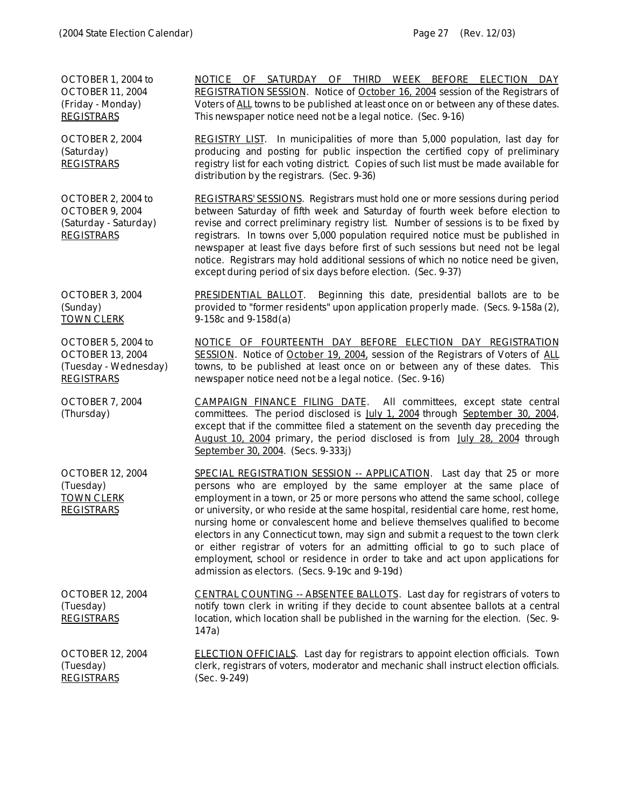OCTOBER 1, 2004 to OCTOBER 11, 2004 (Friday - Monday) **REGISTRARS** NOTICE OF SATURDAY OF THIRD WEEK BEFORE ELECTION DAY REGISTRATION SESSION. Notice of October 16, 2004 session of the Registrars of Voters of *ALL* towns to be published at least once on or between any of these dates. This newspaper notice need not be a legal notice. (Sec. 9-16) OCTOBER 2, 2004 (Saturday) REGISTRARS REGISTRY LIST. In municipalities of more than 5,000 population, last day for producing and posting for public inspection the certified copy of preliminary registry list for each voting district. Copies of such list must be made available for distribution by the registrars. (Sec. 9-36) OCTOBER 2, 2004 to OCTOBER 9, 2004 (Saturday - Saturday) **REGISTRARS** REGISTRARS' SESSIONS. Registrars must hold one or more sessions during period between Saturday of fifth week and Saturday of fourth week before election to revise and correct preliminary registry list. Number of sessions is to be fixed by registrars. In towns over 5,000 population required notice must be published in newspaper at least five days before first of such sessions but need not be legal notice. Registrars may hold additional sessions of which no notice need be given, except during period of six days before election. (Sec. 9-37) OCTOBER 3, 2004 (Sunday) TOWN CLERK PRESIDENTIAL BALLOT. Beginning this date, presidential ballots are to be provided to "former residents" upon application properly made. (Secs. 9-158a (2), 9-158c and 9-158d(a) OCTOBER 5, 2004 to OCTOBER 13, 2004 (Tuesday - Wednesday) **REGISTRARS** NOTICE OF FOURTEENTH DAY BEFORE ELECTION DAY REGISTRATION SESSION. Notice of October 19, 2004, session of the Registrars of Voters of *ALL* towns, to be published at least once on or between any of these dates. This newspaper notice need not be a legal notice. (Sec. 9-16) OCTOBER 7, 2004 (Thursday) CAMPAIGN FINANCE FILING DATE. All committees, except state central committees. The period disclosed is July 1, 2004 through September 30, 2004, except that if the committee filed a statement on the seventh day preceding the August 10, 2004 primary, the period disclosed is from July 28, 2004 through September 30, 2004. (Secs. 9-333j) OCTOBER 12, 2004 (Tuesday) TOWN CLERK REGISTRARS SPECIAL REGISTRATION SESSION -- APPLICATION. Last day that 25 or more persons who are employed by the same employer at the same place of employment in a town, or 25 or more persons who attend the same school, college or university, or who reside at the same hospital, residential care home, rest home, nursing home or convalescent home and believe themselves qualified to become electors in any Connecticut town, may sign and submit a request to the town clerk or either registrar of voters for an admitting official to go to such place of employment, school or residence in order to take and act upon applications for admission as electors. (Secs. 9-19c and 9-19d) OCTOBER 12, 2004 (Tuesday) **REGISTRARS** CENTRAL COUNTING -- ABSENTEE BALLOTS. Last day for registrars of voters to notify town clerk in writing if they decide to count absentee ballots at a central location, which location shall be published in the warning for the election. (Sec. 9- 147a) OCTOBER 12, 2004 (Tuesday) REGISTRARS ELECTION OFFICIALS. Last day for registrars to appoint election officials. Town clerk, registrars of voters, moderator and mechanic shall instruct election officials. (Sec. 9-249)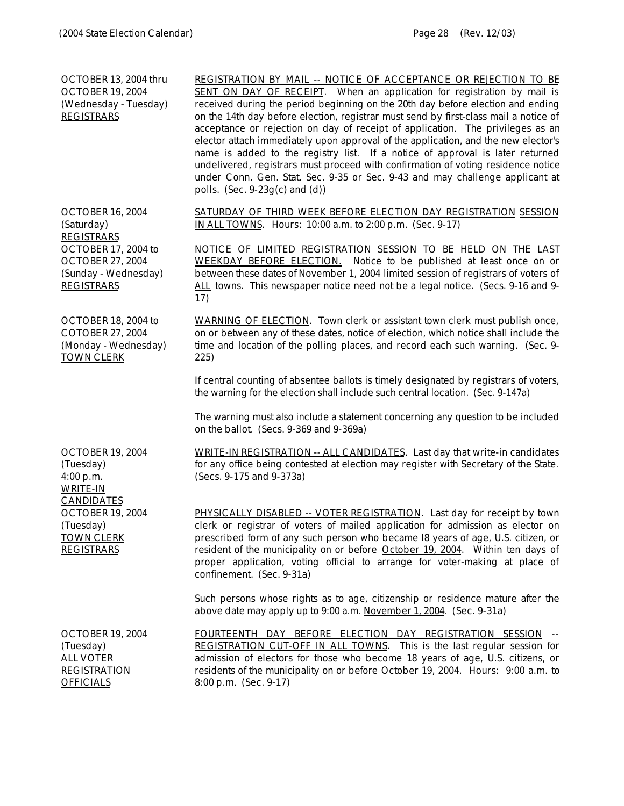| OCTOBER 13, 2004 thru<br><b>OCTOBER 19, 2004</b><br>(Wednesday - Tuesday)<br><b>REGISTRARS</b>      | REGISTRATION BY MAIL -- NOTICE OF ACCEPTANCE OR REJECTION TO BE<br>SENT ON DAY OF RECEIPT. When an application for registration by mail is<br>received during the period beginning on the 20th day before election and ending<br>on the 14th day before election, registrar must send by first-class mail a notice of<br>acceptance or rejection on day of receipt of application. The privileges as an<br>elector attach immediately upon approval of the application, and the new elector's<br>name is added to the registry list. If a notice of approval is later returned<br>undelivered, registrars must proceed with confirmation of voting residence notice<br>under Conn. Gen. Stat. Sec. 9-35 or Sec. 9-43 and may challenge applicant at<br>polls. (Sec. $9-23g(c)$ and (d)) |
|-----------------------------------------------------------------------------------------------------|-----------------------------------------------------------------------------------------------------------------------------------------------------------------------------------------------------------------------------------------------------------------------------------------------------------------------------------------------------------------------------------------------------------------------------------------------------------------------------------------------------------------------------------------------------------------------------------------------------------------------------------------------------------------------------------------------------------------------------------------------------------------------------------------|
| <b>OCTOBER 16, 2004</b><br>(Saturday)<br><b>REGISTRARS</b>                                          | SATURDAY OF THIRD WEEK BEFORE ELECTION DAY REGISTRATION SESSION<br>IN ALL TOWNS. Hours: 10:00 a.m. to 2:00 p.m. (Sec. 9-17)                                                                                                                                                                                                                                                                                                                                                                                                                                                                                                                                                                                                                                                             |
| OCTOBER 17, 2004 to<br><b>OCTOBER 27, 2004</b><br>(Sunday - Wednesday)<br><b>REGISTRARS</b>         | NOTICE OF LIMITED REGISTRATION SESSION TO BE HELD ON THE LAST<br><b>WEEKDAY BEFORE ELECTION.</b> Notice to be published at least once on or<br>between these dates of November 1, 2004 limited session of registrars of voters of<br>ALL towns. This newspaper notice need not be a legal notice. (Secs. 9-16 and 9-<br>17)                                                                                                                                                                                                                                                                                                                                                                                                                                                             |
| OCTOBER 18, 2004 to<br>COTOBER 27, 2004<br>(Monday - Wednesday)<br><b>TOWN CLERK</b>                | WARNING OF ELECTION. Town clerk or assistant town clerk must publish once,<br>on or between any of these dates, notice of election, which notice shall include the<br>time and location of the polling places, and record each such warning. (Sec. 9-<br>225)                                                                                                                                                                                                                                                                                                                                                                                                                                                                                                                           |
|                                                                                                     | If central counting of absentee ballots is timely designated by registrars of voters,<br>the warning for the election shall include such central location. (Sec. 9-147a)                                                                                                                                                                                                                                                                                                                                                                                                                                                                                                                                                                                                                |
|                                                                                                     | The warning must also include a statement concerning any question to be included<br>on the ballot. (Secs. 9-369 and 9-369a)                                                                                                                                                                                                                                                                                                                                                                                                                                                                                                                                                                                                                                                             |
| <b>OCTOBER 19, 2004</b><br>(Tuesday)<br>4:00 p.m.<br><b>WRITE-IN</b>                                | WRITE-IN REGISTRATION -- ALL CANDIDATES. Last day that write-in candidates<br>for any office being contested at election may register with Secretary of the State.<br>(Secs. 9-175 and 9-373a)                                                                                                                                                                                                                                                                                                                                                                                                                                                                                                                                                                                          |
| <b>CANDIDATES</b><br><b>OCTOBER 19, 2004</b><br>(Tuesday)<br><b>TOWN CLERK</b><br><b>REGISTRARS</b> | PHYSICALLY DISABLED -- VOTER REGISTRATION. Last day for receipt by town<br>clerk or registrar of voters of mailed application for admission as elector on<br>prescribed form of any such person who became 18 years of age, U.S. citizen, or<br>resident of the municipality on or before October 19, 2004. Within ten days of<br>proper application, voting official to arrange for voter-making at place of<br>confinement. (Sec. 9-31a)                                                                                                                                                                                                                                                                                                                                              |
|                                                                                                     | Such persons whose rights as to age, citizenship or residence mature after the<br>above date may apply up to 9:00 a.m. November 1, 2004. (Sec. 9-31a)                                                                                                                                                                                                                                                                                                                                                                                                                                                                                                                                                                                                                                   |
| <b>OCTOBER 19, 2004</b><br>(Tuesday)<br><b>ALL VOTER</b><br><b>REGISTRATION</b><br><b>OFFICIALS</b> | FOURTEENTH DAY BEFORE ELECTION DAY REGISTRATION SESSION --<br>REGISTRATION CUT-OFF IN ALL TOWNS. This is the last regular session for<br>admission of electors for those who become 18 years of age, U.S. citizens, or<br>residents of the municipality on or before October 19, 2004. Hours: 9:00 a.m. to<br>8:00 p.m. (Sec. 9-17)                                                                                                                                                                                                                                                                                                                                                                                                                                                     |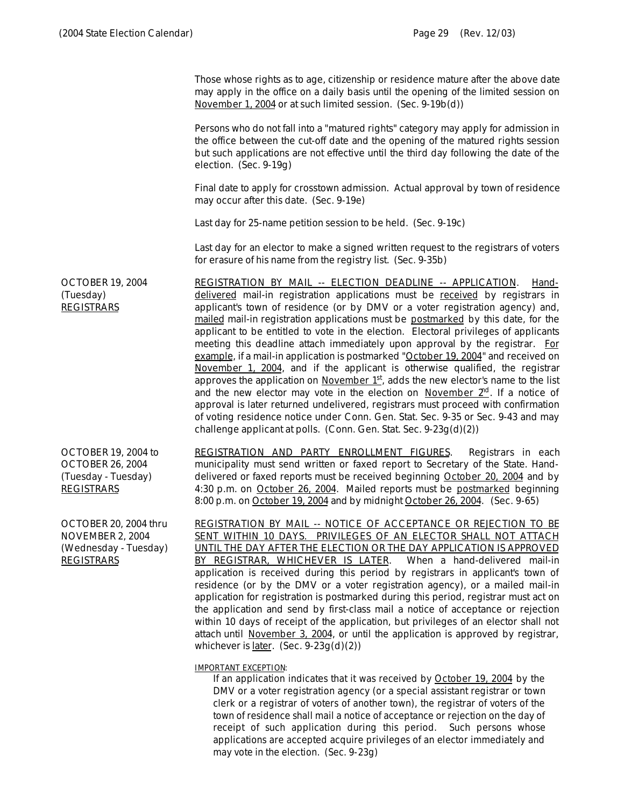Those whose rights as to age, citizenship or residence mature after the above date may apply in the office on a daily basis until the opening of the limited session on November 1, 2004 or at such limited session. (Sec. 9-19b(d)) Persons who do not fall into a "matured rights" category may apply for admission in the office between the cut-off date and the opening of the matured rights session but such applications are not effective until the third day following the date of the election. (Sec. 9-19g) Final date to apply for crosstown admission. Actual approval by town of residence may occur after this date. (Sec. 9-19e) Last day for 25-name petition session to be held. (Sec. 9-19c) Last day for an elector to make a signed written request to the registrars of voters for erasure of his name from the registry list. (Sec. 9-35b) OCTOBER 19, 2004 (Tuesday) **REGISTRARS** REGISTRATION BY MAIL -- ELECTION DEADLINE -- APPLICATION. Handdelivered mail-in registration applications must be *received* by registrars in applicant's town of residence (or by DMV or a voter registration agency) and, mailed mail-in registration applications must be *postmarked* by this date, for the applicant to be entitled to vote in the election. Electoral privileges of applicants meeting this deadline attach immediately upon approval by the registrar. For example, if a mail-in application is postmarked "October 19, 2004" and received on November 1, 2004, and if the applicant is otherwise qualified, the registrar approves the application on November 1st, adds the new elector's name to the list and the new elector may vote in the election on November  $2<sup>nd</sup>$ . If a notice of approval is later returned undelivered, registrars must proceed with confirmation of voting residence notice under Conn. Gen. Stat. Sec. 9-35 or Sec. 9-43 and may challenge applicant at polls. (Conn. Gen. Stat. Sec. 9-23g(d)(2)) OCTOBER 19, 2004 to OCTOBER 26, 2004 (Tuesday - Tuesday) REGISTRARS REGISTRATION AND PARTY ENROLLMENT FIGURES. Registrars in each municipality must send written or faxed report to Secretary of the State. Handdelivered or faxed reports must be received beginning October 20, 2004 and by 4:30 p.m. on October 26, 2004. Mailed reports must be *postmarked* beginning 8:00 p.m. on October 19, 2004 and by midnight October 26, 2004. (Sec. 9-65) OCTOBER 20, 2004 thru NOVEMBER 2, 2004 (Wednesday - Tuesday) REGISTRARS REGISTRATION BY MAIL -- NOTICE OF ACCEPTANCE OR REJECTION TO BE SENT WITHIN 10 DAYS. PRIVILEGES OF AN ELECTOR SHALL NOT ATTACH UNTIL THE DAY AFTER THE ELECTION OR THE DAY APPLICATION IS APPROVED BY REGISTRAR, WHICHEVER IS LATER. When a hand-delivered mail-in application is received during this period by registrars in applicant's town of residence (or by the DMV or a voter registration agency), or a mailed mail-in application for registration is postmarked during this period, registrar must act on the application and send by first-class mail a notice of acceptance or rejection

## *IMPORTANT EXCEPTION:*

whichever is <u>later</u>. (Sec.  $9-23g(d)(2)$ )

*If an application indicates that it was received by October 19, 2004 by the DMV or a voter registration agency (or a special assistant registrar or town clerk or a registrar of voters of another town), the registrar of voters of the town of residence shall mail a notice of acceptance or rejection on the day of receipt of such application during this period. Such persons whose applications are accepted acquire privileges of an elector immediately and may vote in the election. (Sec. 9-23g)*

within 10 days of receipt of the application, but privileges of an elector shall not attach until November 3, 2004, or until the application is approved by registrar,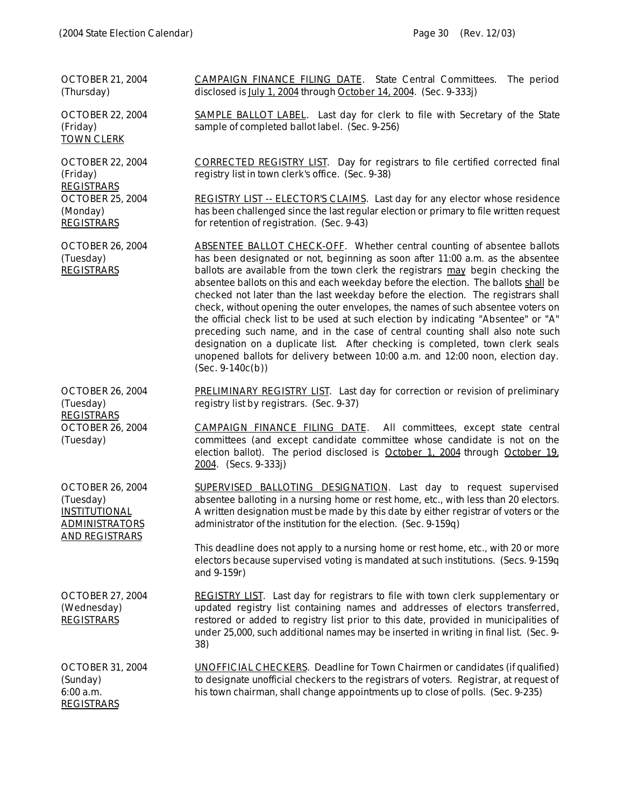| <b>OCTOBER 21, 2004</b><br>(Thursday)                                                                          | <b>CAMPAIGN FINANCE FILING DATE.</b> State Central Committees.<br>The period<br>disclosed is July 1, 2004 through October 14, 2004. (Sec. 9-333j)                                                                                                                                                                                                                                                                                                                                                                                                                                                                                                                                                                                                                                                                                                                                     |
|----------------------------------------------------------------------------------------------------------------|---------------------------------------------------------------------------------------------------------------------------------------------------------------------------------------------------------------------------------------------------------------------------------------------------------------------------------------------------------------------------------------------------------------------------------------------------------------------------------------------------------------------------------------------------------------------------------------------------------------------------------------------------------------------------------------------------------------------------------------------------------------------------------------------------------------------------------------------------------------------------------------|
| <b>OCTOBER 22, 2004</b><br>(Friday)<br><b>TOWN CLERK</b>                                                       | <b>SAMPLE BALLOT LABEL.</b> Last day for clerk to file with Secretary of the State<br>sample of completed ballot label. (Sec. 9-256)                                                                                                                                                                                                                                                                                                                                                                                                                                                                                                                                                                                                                                                                                                                                                  |
| <b>OCTOBER 22, 2004</b><br>(Friday)<br><b>REGISTRARS</b><br><b>OCTOBER 25, 2004</b>                            | <b>CORRECTED REGISTRY LIST.</b> Day for registrars to file certified corrected final<br>registry list in town clerk's office. (Sec. 9-38)<br><b>REGISTRY LIST -- ELECTOR'S CLAIMS.</b> Last day for any elector whose residence                                                                                                                                                                                                                                                                                                                                                                                                                                                                                                                                                                                                                                                       |
| (Monday)<br><b>REGISTRARS</b>                                                                                  | has been challenged since the last regular election or primary to file written request<br>for retention of registration. (Sec. 9-43)                                                                                                                                                                                                                                                                                                                                                                                                                                                                                                                                                                                                                                                                                                                                                  |
| <b>OCTOBER 26, 2004</b><br>(Tuesday)<br><b>REGISTRARS</b>                                                      | <b>ABSENTEE BALLOT CHECK-OFF.</b> Whether central counting of absentee ballots<br>has been designated or not, beginning as soon after 11:00 a.m. as the absentee<br>ballots are available from the town clerk the registrars may begin checking the<br>absentee ballots on this and each weekday before the election. The ballots shall be<br>checked not later than the last weekday before the election. The registrars shall<br>check, without opening the outer envelopes, the names of such absentee voters on<br>the official check list to be used at such election by indicating "Absentee" or "A"<br>preceding such name, and in the case of central counting shall also note such<br>designation on a duplicate list. After checking is completed, town clerk seals<br>unopened ballots for delivery between 10:00 a.m. and 12:00 noon, election day.<br>$(Sec. 9-140c(b))$ |
| <b>OCTOBER 26, 2004</b><br>(Tuesday)                                                                           | PRELIMINARY REGISTRY LIST. Last day for correction or revision of preliminary<br>registry list by registrars. (Sec. 9-37)                                                                                                                                                                                                                                                                                                                                                                                                                                                                                                                                                                                                                                                                                                                                                             |
| <b>REGISTRARS</b><br><b>OCTOBER 26, 2004</b><br>(Tuesday)                                                      | <b>CAMPAIGN FINANCE FILING DATE.</b> All committees, except state central<br>committees (and except candidate committee whose candidate is not on the<br>election ballot). The period disclosed is October 1, 2004 through October 19.<br>$2004.$ (Secs. 9-333j)                                                                                                                                                                                                                                                                                                                                                                                                                                                                                                                                                                                                                      |
| <b>OCTOBER 26, 2004</b><br>(Tuesday)<br><b>INSTITUTIONAL</b><br><b>ADMINISTRATORS</b><br><b>AND REGISTRARS</b> | <b>SUPERVISED BALLOTING DESIGNATION.</b> Last day to request supervised<br>absentee balloting in a nursing home or rest home, etc., with less than 20 electors.<br>A written designation must be made by this date by either registrar of voters or the<br>administrator of the institution for the election. (Sec. 9-159q)                                                                                                                                                                                                                                                                                                                                                                                                                                                                                                                                                           |
|                                                                                                                | This deadline does not apply to a nursing home or rest home, etc., with 20 or more<br>electors because supervised voting is mandated at such institutions. (Secs. 9-159q<br>and $9-159r$ )                                                                                                                                                                                                                                                                                                                                                                                                                                                                                                                                                                                                                                                                                            |
| <b>OCTOBER 27, 2004</b><br>(Wednesday)<br><b>REGISTRARS</b>                                                    | <b>REGISTRY LIST.</b> Last day for registrars to file with town clerk supplementary or<br>updated registry list containing names and addresses of electors transferred,<br>restored or added to registry list prior to this date, provided in municipalities of<br>under 25,000, such additional names may be inserted in writing in final list. (Sec. 9-<br>38)                                                                                                                                                                                                                                                                                                                                                                                                                                                                                                                      |
| <b>OCTOBER 31, 2004</b><br>(Sunday)<br>6:00 a.m.<br><b>REGISTRARS</b>                                          | <b>UNOFFICIAL CHECKERS.</b> Deadline for Town Chairmen or candidates (if qualified)<br>to designate unofficial checkers to the registrars of voters. Registrar, at request of<br>his town chairman, shall change appointments up to close of polls. (Sec. 9-235)                                                                                                                                                                                                                                                                                                                                                                                                                                                                                                                                                                                                                      |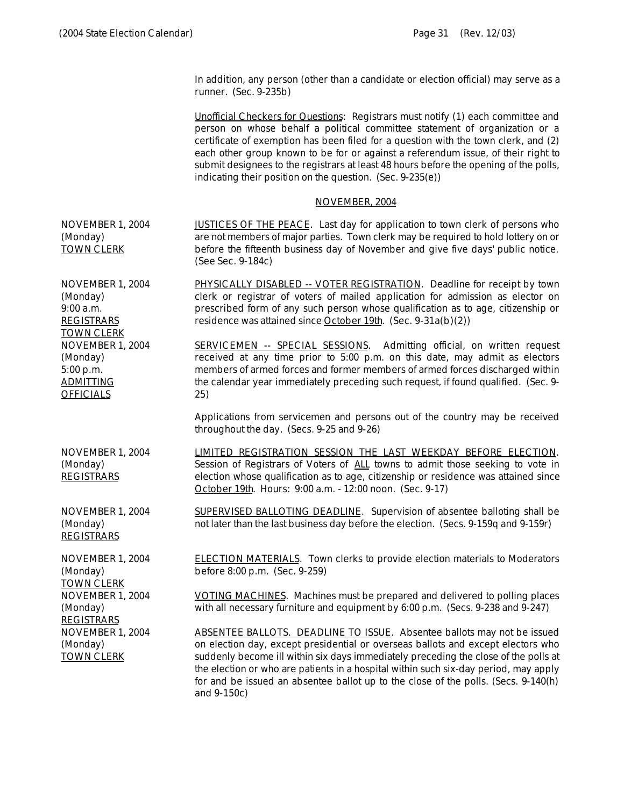In addition, any person (other than a candidate or election official) may serve as a runner. (Sec. 9-235b)

Unofficial Checkers for Questions: Registrars must notify (1) each committee and person on whose behalf a political committee statement of organization or a certificate of exemption has been filed for a question with the town clerk, and (2) each other group known to be for or against a referendum issue, of their right to submit designees to the registrars at least 48 hours before the opening of the polls, indicating their position on the question. (Sec. 9-235(e))

### NOVEMBER, 2004

| NOVEMBER 1, 2004<br>(Monday)<br><b>TOWN CLERK</b>                                                      | JUSTICES OF THE PEACE. Last day for application to town clerk of persons who<br>are not members of major parties. Town clerk may be required to hold lottery on or<br>before the fifteenth business day of November and give five days' public notice.<br>(See Sec. 9-184c)                                                                                                                                                                            |
|--------------------------------------------------------------------------------------------------------|--------------------------------------------------------------------------------------------------------------------------------------------------------------------------------------------------------------------------------------------------------------------------------------------------------------------------------------------------------------------------------------------------------------------------------------------------------|
| NOVEMBER 1, 2004<br>(Monday)<br>$9:00$ a.m.<br><b>REGISTRARS</b>                                       | PHYSICALLY DISABLED -- VOTER REGISTRATION. Deadline for receipt by town<br>clerk or registrar of voters of mailed application for admission as elector on<br>prescribed form of any such person whose qualification as to age, citizenship or<br>residence was attained since October 19th. (Sec. 9-31a(b)(2))                                                                                                                                         |
| <b>TOWN CLERK</b><br>NOVEMBER 1, 2004<br>(Monday)<br>5:00 p.m.<br><b>ADMITTING</b><br><b>OFFICIALS</b> | <b>SERVICEMEN -- SPECIAL SESSIONS.</b> Admitting official, on written request<br>received at any time prior to 5:00 p.m. on this date, may admit as electors<br>members of armed forces and former members of armed forces discharged within<br>the calendar year immediately preceding such request, if found qualified. (Sec. 9-<br>25)                                                                                                              |
|                                                                                                        | Applications from servicemen and persons out of the country may be received<br>throughout the day. (Secs. 9-25 and 9-26)                                                                                                                                                                                                                                                                                                                               |
| NOVEMBER 1, 2004<br>(Monday)<br><b>REGISTRARS</b>                                                      | LIMITED REGISTRATION SESSION THE LAST WEEKDAY BEFORE ELECTION.<br>Session of Registrars of Voters of ALL towns to admit those seeking to vote in<br>election whose qualification as to age, citizenship or residence was attained since<br>October 19th. Hours: 9:00 a.m. - 12:00 noon. (Sec. 9-17)                                                                                                                                                    |
| NOVEMBER 1, 2004<br>(Monday)<br><b>REGISTRARS</b>                                                      | SUPERVISED BALLOTING DEADLINE. Supervision of absentee balloting shall be<br>not later than the last business day before the election. (Secs. 9-159q and 9-159r)                                                                                                                                                                                                                                                                                       |
| NOVEMBER 1, 2004<br>(Monday)<br><b>TOWN CLERK</b>                                                      | <b>ELECTION MATERIALS.</b> Town clerks to provide election materials to Moderators<br>before 8:00 p.m. (Sec. 9-259)                                                                                                                                                                                                                                                                                                                                    |
| NOVEMBER 1, 2004<br>(Monday)<br><b>REGISTRARS</b>                                                      | VOTING MACHINES. Machines must be prepared and delivered to polling places<br>with all necessary furniture and equipment by 6:00 p.m. (Secs. 9-238 and 9-247)                                                                                                                                                                                                                                                                                          |
| NOVEMBER 1, 2004<br>(Monday)<br><b>TOWN CLERK</b>                                                      | <b>ABSENTEE BALLOTS. DEADLINE TO ISSUE.</b> Absentee ballots may not be issued<br>on election day, except presidential or overseas ballots and except electors who<br>suddenly become ill within six days immediately preceding the close of the polls at<br>the election or who are patients in a hospital within such six-day period, may apply<br>for and be issued an absentee ballot up to the close of the polls. (Secs. 9-140(h)<br>and 9-150c) |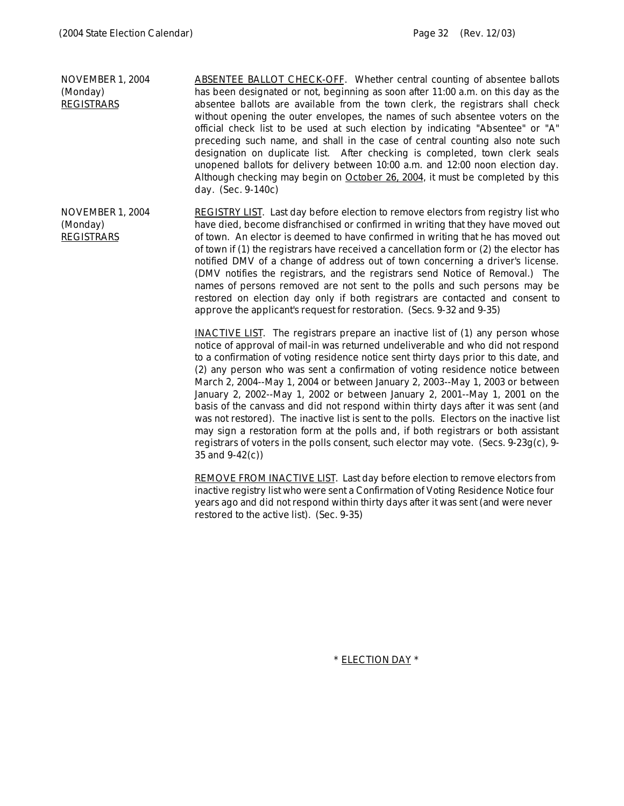NOVEMBER 1, 2004 (Monday) **REGISTRARS** ABSENTEE BALLOT CHECK-OFF. Whether central counting of absentee ballots has been designated or not, beginning as soon after 11:00 a.m. on this day as the absentee ballots are available from the town clerk, the registrars shall check without opening the outer envelopes, the names of such absentee voters on the official check list to be used at such election by indicating "Absentee" or "A" preceding such name, and shall in the case of central counting also note such designation on duplicate list. After checking is completed, town clerk seals unopened ballots for delivery between 10:00 a.m. and 12:00 noon election day. Although checking may begin on **October 26, 2004**, it must be completed by this day. (Sec. 9-140c) NOVEMBER 1, 2004 (Monday) REGISTRARS REGISTRY LIST. Last day before election to remove electors from registry list who have died, become disfranchised or confirmed in writing that they have moved out of town. An elector is deemed to have confirmed in writing that he has moved out of town if (1) the registrars have received a cancellation form or (2) the elector has notified DMV of a change of address out of town concerning a driver's license. (DMV notifies the registrars, and the registrars send Notice of Removal.) The names of persons removed are not sent to the polls and such persons may be restored on election day only if both registrars are contacted and consent to approve the applicant's request for restoration. (Secs. 9-32 and 9-35)

> INACTIVE LIST. The registrars prepare an inactive list of (1) any person whose notice of approval of mail-in was returned undeliverable and who did not respond to a confirmation of voting residence notice sent thirty days prior to this date, and (2) any person who was sent a confirmation of voting residence notice between March 2, 2004--May 1, 2004 or between January 2, 2003--May 1, 2003 or between January 2, 2002--May 1, 2002 or between January 2, 2001--May 1, 2001 on the basis of the canvass and did not respond within thirty days after it was sent (and was not restored). The inactive list is sent to the polls. Electors on the inactive list may sign a restoration form at the polls and, if both registrars or both assistant registrars of voters in the polls consent, such elector may vote. (Secs. 9-23g(c), 9- 35 and 9-42(c))

> REMOVE FROM INACTIVE LIST. Last day before election to remove electors from inactive registry list who were sent a Confirmation of Voting Residence Notice four years ago and did not respond within thirty days after it was sent (and were never restored to the active list). (Sec. 9-35)

> > \* ELECTION DAY \*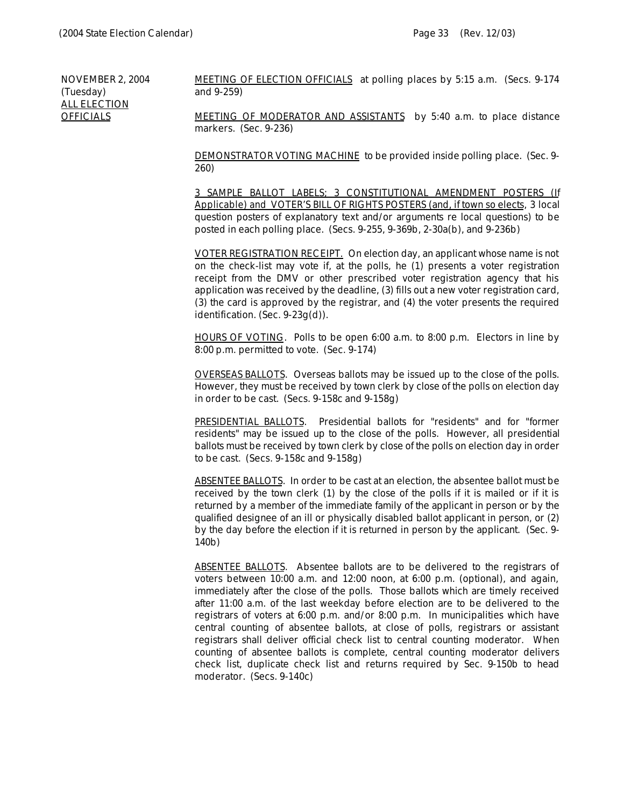NOVEMBER 2, 2004 (Tuesday) ALL ELECTION **OFFICIALS** 

*MEETING OF ELECTION OFFICIALS* at polling places by 5:15 a.m. (Secs. 9-174 and 9-259)

*MEETING OF MODERATOR AND ASSISTANTS* by 5:40 a.m. to place distance markers. (Sec. 9-236)

*DEMONSTRATOR VOTING MACHINE* to be provided inside polling place. (Sec. 9- 260)

*3 SAMPLE BALLOT LABELS; 3 CONSTITUTIONAL AMENDMENT POSTERS (If Applicable) and VOTER'S BILL OF RIGHTS POSTERS* (and, if town so elects, 3 local question posters of explanatory text and/or arguments re local questions) to be posted in each polling place. (Secs. 9-255, 9-369b, 2-30a(b), and 9-236b)

VOTER REGISTRATION RECEIPT. On election day, an applicant whose name is not on the check-list may vote if, at the polls, he (1) presents a voter registration receipt from the DMV or other prescribed voter registration agency that his application was received by the deadline, (3) fills out a new voter registration card, (3) the card is approved by the registrar, and (4) the voter presents the required identification. (Sec. 9-23g(d)).

*HOURS OF VOTING*. Polls to be open 6:00 a.m. to 8:00 p.m. Electors in line by 8:00 p.m. permitted to vote. (Sec. 9-174)

*OVERSEAS BALLOTS*. Overseas ballots may be issued up to the close of the polls. However, they must be received by town clerk by close of the polls on election day in order to be cast. (Secs. 9-158c and 9-158g)

*PRESIDENTIAL BALLOTS*. Presidential ballots for "residents" and for "former residents" may be issued up to the close of the polls. However, all presidential ballots must be received by town clerk by close of the polls on election day in order to be cast. (Secs. 9-158c and 9-158g)

*ABSENTEE BALLOTS*. In order to be cast at an election, the absentee ballot must be received by the town clerk (1) by the close of the polls if it is mailed or if it is returned by a member of the immediate family of the applicant in person or by the qualified designee of an ill or physically disabled ballot applicant in person, or (2) by the day before the election if it is returned in person by the applicant. (Sec. 9- 140b)

*ABSENTEE BALLOTS*. Absentee ballots are to be delivered to the registrars of voters between 10:00 a.m. and 12:00 noon, at 6:00 p.m. (optional), and again, immediately after the close of the polls. Those ballots which are timely received after 11:00 a.m. of the last weekday before election are to be delivered to the registrars of voters at 6:00 p.m. and/or 8:00 p.m. In municipalities which have central counting of absentee ballots, at close of polls, registrars or assistant registrars shall deliver official check list to central counting moderator. When counting of absentee ballots is complete, central counting moderator delivers check list, duplicate check list and returns required by Sec. 9-150b to head moderator. (Secs. 9-140c)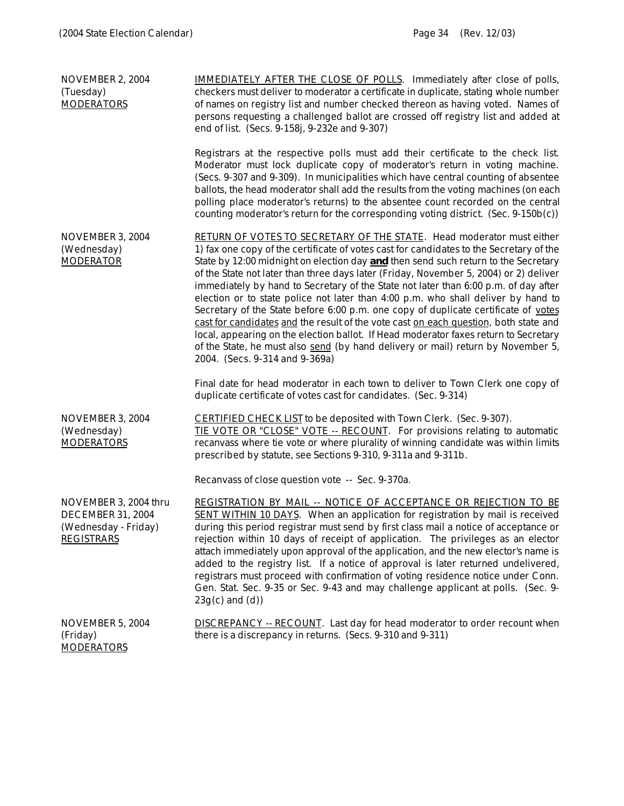| NOVEMBER 2, 2004<br>(Tuesday)<br><b>MODERATORS</b>                                             | <b>IMMEDIATELY AFTER THE CLOSE OF POLLS.</b> Immediately after close of polls,<br>checkers must deliver to moderator a certificate in duplicate, stating whole number<br>of names on registry list and number checked thereon as having voted. Names of<br>persons requesting a challenged ballot are crossed off registry list and added at<br>end of list. (Secs. 9-158j, 9-232e and 9-307)                                                                                                                                                                                                                                                                                                                                                                                                                                                                                                                                  |
|------------------------------------------------------------------------------------------------|--------------------------------------------------------------------------------------------------------------------------------------------------------------------------------------------------------------------------------------------------------------------------------------------------------------------------------------------------------------------------------------------------------------------------------------------------------------------------------------------------------------------------------------------------------------------------------------------------------------------------------------------------------------------------------------------------------------------------------------------------------------------------------------------------------------------------------------------------------------------------------------------------------------------------------|
|                                                                                                | Registrars at the respective polls must add their certificate to the check list.<br>Moderator must lock duplicate copy of moderator's return in voting machine.<br>(Secs. 9-307 and 9-309). In municipalities which have central counting of absentee<br>ballots, the head moderator shall add the results from the voting machines (on each<br>polling place moderator's returns) to the absentee count recorded on the central<br>counting moderator's return for the corresponding voting district. (Sec. 9-150b(c))                                                                                                                                                                                                                                                                                                                                                                                                        |
| NOVEMBER 3, 2004<br>(Wednesday)<br><b>MODERATOR</b>                                            | RETURN OF VOTES TO SECRETARY OF THE STATE. Head moderator must either<br>1) fax one copy of the certificate of votes cast for candidates to the Secretary of the<br>State by 12:00 midnight on election day <b>and</b> then send such return to the Secretary<br>of the State not later than three days later (Friday, November 5, 2004) or 2) deliver<br>immediately by hand to Secretary of the State not later than 6:00 p.m. of day after<br>election or to state police not later than 4:00 p.m. who shall deliver by hand to<br>Secretary of the State before 6:00 p.m. one copy of duplicate certificate of votes<br>cast for candidates and the result of the vote cast on each question, both state and<br>local, appearing on the election ballot. If Head moderator faxes return to Secretary<br>of the State, he must also send (by hand delivery or mail) return by November 5,<br>2004. (Secs. 9-314 and 9-369a) |
|                                                                                                | Final date for head moderator in each town to deliver to Town Clerk one copy of<br>duplicate certificate of votes cast for candidates. (Sec. 9-314)                                                                                                                                                                                                                                                                                                                                                                                                                                                                                                                                                                                                                                                                                                                                                                            |
| NOVEMBER 3, 2004<br>(Wednesday)<br><b>MODERATORS</b>                                           | <b>CERTIFIED CHECK LIST</b> to be deposited with Town Clerk. (Sec. 9-307).<br>TIE VOTE OR "CLOSE" VOTE -- RECOUNT. For provisions relating to automatic<br>recanvass where tie vote or where plurality of winning candidate was within limits<br>prescribed by statute, see Sections 9-310, 9-311a and 9-311b.                                                                                                                                                                                                                                                                                                                                                                                                                                                                                                                                                                                                                 |
|                                                                                                | Recanvass of close question vote -- Sec. 9-370a.                                                                                                                                                                                                                                                                                                                                                                                                                                                                                                                                                                                                                                                                                                                                                                                                                                                                               |
| NOVEMBER 3, 2004 thru<br><b>DECEMBER 31, 2004</b><br>(Wednesday - Friday)<br><b>REGISTRARS</b> | <b>REGISTRATION BY MAIL -- NOTICE OF ACCEPTANCE OR REJECTION TO BE</b><br>SENT WITHIN 10 DAYS. When an application for registration by mail is received<br>during this period registrar must send by first class mail a notice of acceptance or<br>rejection within 10 days of receipt of application. The privileges as an elector<br>attach immediately upon approval of the application, and the new elector's name is<br>added to the registry list. If a notice of approval is later returned undelivered,<br>registrars must proceed with confirmation of voting residence notice under Conn.<br>Gen. Stat. Sec. 9-35 or Sec. 9-43 and may challenge applicant at polls. (Sec. 9-<br>$23g(c)$ and $(d)$ )                                                                                                                                                                                                                |
| NOVEMBER 5, 2004<br>(Friday)<br><b>MODERATORS</b>                                              | <b>DISCREPANCY</b> -- RECOUNT. Last day for head moderator to order recount when<br>there is a discrepancy in returns. (Secs. 9-310 and 9-311)                                                                                                                                                                                                                                                                                                                                                                                                                                                                                                                                                                                                                                                                                                                                                                                 |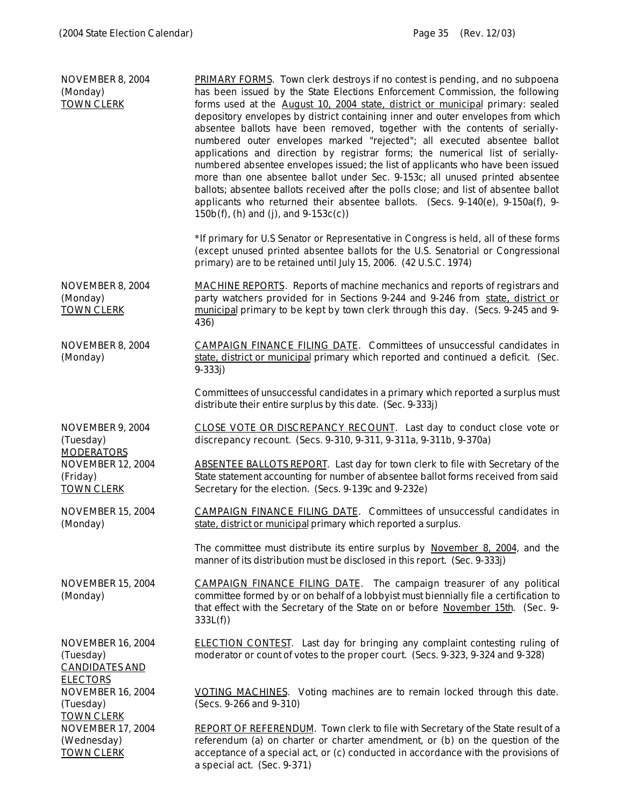| NOVEMBER 8, 2004<br>(Monday)<br><b>TOWN CLERK</b>                                 | <b>PRIMARY FORMS.</b> Town clerk destroys if no contest is pending, and no subpoena<br>has been issued by the State Elections Enforcement Commission, the following<br>forms used at the August 10, 2004 state, district or municipal primary: sealed<br>depository envelopes by district containing inner and outer envelopes from which<br>absentee ballots have been removed, together with the contents of serially-<br>numbered outer envelopes marked "rejected"; all executed absentee ballot<br>applications and direction by registrar forms; the numerical list of serially-<br>numbered absentee envelopes issued; the list of applicants who have been issued<br>more than one absentee ballot under Sec. 9-153c; all unused printed absentee<br>ballots; absentee ballots received after the polls close; and list of absentee ballot<br>applicants who returned their absentee ballots. (Secs. 9-140(e), 9-150a(f), 9-<br>$150b(f)$ , (h) and (j), and $9-153c(c)$ )<br>*If primary for U.S Senator or Representative in Congress is held, all of these forms<br>(except unused printed absentee ballots for the U.S. Senatorial or Congressional |
|-----------------------------------------------------------------------------------|-----------------------------------------------------------------------------------------------------------------------------------------------------------------------------------------------------------------------------------------------------------------------------------------------------------------------------------------------------------------------------------------------------------------------------------------------------------------------------------------------------------------------------------------------------------------------------------------------------------------------------------------------------------------------------------------------------------------------------------------------------------------------------------------------------------------------------------------------------------------------------------------------------------------------------------------------------------------------------------------------------------------------------------------------------------------------------------------------------------------------------------------------------------------|
|                                                                                   | primary) are to be retained until July 15, 2006. (42 U.S.C. 1974)                                                                                                                                                                                                                                                                                                                                                                                                                                                                                                                                                                                                                                                                                                                                                                                                                                                                                                                                                                                                                                                                                               |
| NOVEMBER 8, 2004<br>(Monday)<br><b>TOWN CLERK</b>                                 | <b>MACHINE REPORTS</b> . Reports of machine mechanics and reports of registrars and<br>party watchers provided for in Sections 9-244 and 9-246 from state, district or<br>municipal primary to be kept by town clerk through this day. (Secs. 9-245 and 9-<br>436)                                                                                                                                                                                                                                                                                                                                                                                                                                                                                                                                                                                                                                                                                                                                                                                                                                                                                              |
| NOVEMBER 8, 2004<br>(Monday)                                                      | <b>CAMPAIGN FINANCE FILING DATE.</b> Committees of unsuccessful candidates in<br>state, district or municipal primary which reported and continued a deficit. (Sec.<br>$9 - 333j$                                                                                                                                                                                                                                                                                                                                                                                                                                                                                                                                                                                                                                                                                                                                                                                                                                                                                                                                                                               |
|                                                                                   | Committees of unsuccessful candidates in a primary which reported a surplus must<br>distribute their entire surplus by this date. (Sec. 9-333j)                                                                                                                                                                                                                                                                                                                                                                                                                                                                                                                                                                                                                                                                                                                                                                                                                                                                                                                                                                                                                 |
| NOVEMBER 9, 2004<br>(Tuesday)                                                     | CLOSE VOTE OR DISCREPANCY RECOUNT. Last day to conduct close vote or<br>discrepancy recount. (Secs. 9-310, 9-311, 9-311a, 9-311b, 9-370a)                                                                                                                                                                                                                                                                                                                                                                                                                                                                                                                                                                                                                                                                                                                                                                                                                                                                                                                                                                                                                       |
| <b>MODERATORS</b><br><b>NOVEMBER 12, 2004</b><br>(Friday)<br><b>TOWN CLERK</b>    | ABSENTEE BALLOTS REPORT. Last day for town clerk to file with Secretary of the<br>State statement accounting for number of absentee ballot forms received from said<br>Secretary for the election. (Secs. 9-139c and 9-232e)                                                                                                                                                                                                                                                                                                                                                                                                                                                                                                                                                                                                                                                                                                                                                                                                                                                                                                                                    |
| <b>NOVEMBER 15, 2004</b><br>(Monday)                                              | <b>CAMPAIGN FINANCE FILING DATE.</b> Committees of unsuccessful candidates in<br>state, district or municipal primary which reported a surplus.                                                                                                                                                                                                                                                                                                                                                                                                                                                                                                                                                                                                                                                                                                                                                                                                                                                                                                                                                                                                                 |
|                                                                                   | The committee must distribute its entire surplus by November 8, 2004, and the<br>manner of its distribution must be disclosed in this report. (Sec. 9-333j)                                                                                                                                                                                                                                                                                                                                                                                                                                                                                                                                                                                                                                                                                                                                                                                                                                                                                                                                                                                                     |
| <b>NOVEMBER 15, 2004</b><br>(Monday)                                              | CAMPAIGN FINANCE FILING DATE. The campaign treasurer of any political<br>committee formed by or on behalf of a lobbyist must biennially file a certification to<br>that effect with the Secretary of the State on or before November 15th. (Sec. 9-<br>333L(f)                                                                                                                                                                                                                                                                                                                                                                                                                                                                                                                                                                                                                                                                                                                                                                                                                                                                                                  |
| <b>NOVEMBER 16, 2004</b><br>(Tuesday)<br><b>CANDIDATES AND</b><br><b>ELECTORS</b> | <b>ELECTION CONTEST.</b> Last day for bringing any complaint contesting ruling of<br>moderator or count of votes to the proper court. (Secs. 9-323, 9-324 and 9-328)                                                                                                                                                                                                                                                                                                                                                                                                                                                                                                                                                                                                                                                                                                                                                                                                                                                                                                                                                                                            |
| <b>NOVEMBER 16, 2004</b><br>(Tuesday)                                             | VOTING MACHINES. Voting machines are to remain locked through this date.<br>(Secs. 9-266 and 9-310)                                                                                                                                                                                                                                                                                                                                                                                                                                                                                                                                                                                                                                                                                                                                                                                                                                                                                                                                                                                                                                                             |
| <b>TOWN CLERK</b><br><b>NOVEMBER 17, 2004</b>                                     | <b>REPORT OF REFERENDUM.</b> Town clerk to file with Secretary of the State result of a                                                                                                                                                                                                                                                                                                                                                                                                                                                                                                                                                                                                                                                                                                                                                                                                                                                                                                                                                                                                                                                                         |
| (Wednesday)<br><b>TOWN CLERK</b>                                                  | referendum (a) on charter or charter amendment, or (b) on the question of the<br>acceptance of a special act, or (c) conducted in accordance with the provisions of<br>a special act. (Sec. 9-371)                                                                                                                                                                                                                                                                                                                                                                                                                                                                                                                                                                                                                                                                                                                                                                                                                                                                                                                                                              |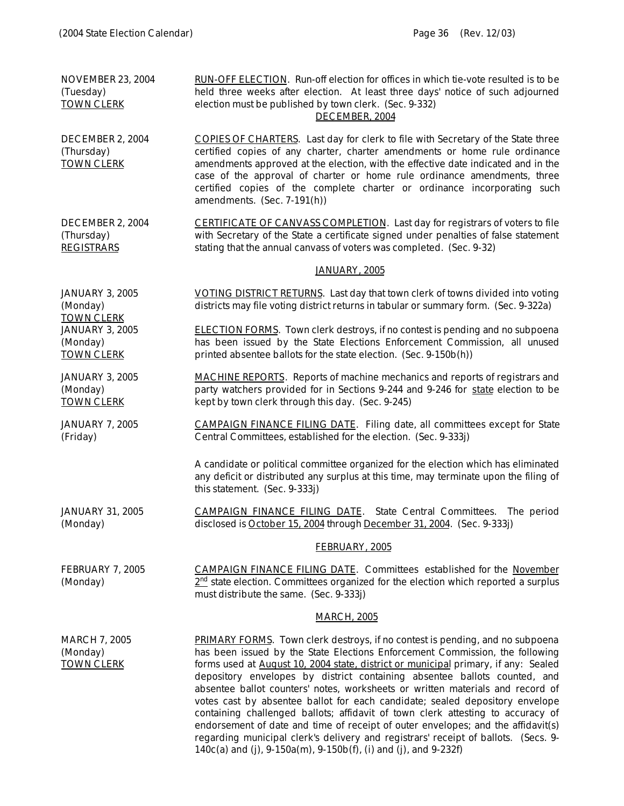| <b>NOVEMBER 23, 2004</b><br>(Tuesday)<br><b>TOWN CLERK</b>                   | RUN-OFF ELECTION. Run-off election for offices in which tie-vote resulted is to be<br>held three weeks after election. At least three days' notice of such adjourned<br>election must be published by town clerk. (Sec. 9-332)<br>DECEMBER, 2004                                                                                                                                                                                                                                                                                                                                                                                                                                                                                                                                                                                                      |
|------------------------------------------------------------------------------|-------------------------------------------------------------------------------------------------------------------------------------------------------------------------------------------------------------------------------------------------------------------------------------------------------------------------------------------------------------------------------------------------------------------------------------------------------------------------------------------------------------------------------------------------------------------------------------------------------------------------------------------------------------------------------------------------------------------------------------------------------------------------------------------------------------------------------------------------------|
| DECEMBER 2, 2004<br>(Thursday)<br><b>TOWN CLERK</b>                          | COPIES OF CHARTERS. Last day for clerk to file with Secretary of the State three<br>certified copies of any charter, charter amendments or home rule ordinance<br>amendments approved at the election, with the effective date indicated and in the<br>case of the approval of charter or home rule ordinance amendments, three<br>certified copies of the complete charter or ordinance incorporating such<br>amendments. (Sec. 7-191(h))                                                                                                                                                                                                                                                                                                                                                                                                            |
| DECEMBER 2, 2004<br>(Thursday)<br><b>REGISTRARS</b>                          | CERTIFICATE OF CANVASS COMPLETION. Last day for registrars of voters to file<br>with Secretary of the State a certificate signed under penalties of false statement<br>stating that the annual canvass of voters was completed. (Sec. 9-32)                                                                                                                                                                                                                                                                                                                                                                                                                                                                                                                                                                                                           |
|                                                                              | JANUARY, 2005                                                                                                                                                                                                                                                                                                                                                                                                                                                                                                                                                                                                                                                                                                                                                                                                                                         |
| <b>JANUARY 3, 2005</b><br>(Monday)                                           | VOTING DISTRICT RETURNS. Last day that town clerk of towns divided into voting<br>districts may file voting district returns in tabular or summary form. (Sec. 9-322a)                                                                                                                                                                                                                                                                                                                                                                                                                                                                                                                                                                                                                                                                                |
| <b>TOWN CLERK</b><br><b>JANUARY 3, 2005</b><br>(Monday)<br><b>TOWN CLERK</b> | <b>ELECTION FORMS</b> . Town clerk destroys, if no contest is pending and no subpoena<br>has been issued by the State Elections Enforcement Commission, all unused<br>printed absentee ballots for the state election. (Sec. 9-150b(h))                                                                                                                                                                                                                                                                                                                                                                                                                                                                                                                                                                                                               |
| <b>JANUARY 3, 2005</b><br>(Monday)<br><b>TOWN CLERK</b>                      | <b>MACHINE REPORTS</b> . Reports of machine mechanics and reports of registrars and<br>party watchers provided for in Sections 9-244 and 9-246 for state election to be<br>kept by town clerk through this day. (Sec. 9-245)                                                                                                                                                                                                                                                                                                                                                                                                                                                                                                                                                                                                                          |
| <b>JANUARY 7, 2005</b><br>(Friday)                                           | <b>CAMPAIGN FINANCE FILING DATE.</b> Filing date, all committees except for State<br>Central Committees, established for the election. (Sec. 9-333j)                                                                                                                                                                                                                                                                                                                                                                                                                                                                                                                                                                                                                                                                                                  |
|                                                                              | A candidate or political committee organized for the election which has eliminated<br>any deficit or distributed any surplus at this time, may terminate upon the filing of<br>this statement. (Sec. 9-333j)                                                                                                                                                                                                                                                                                                                                                                                                                                                                                                                                                                                                                                          |
| <b>JANUARY 31, 2005</b><br>(Monday)                                          | <b>CAMPAIGN FINANCE FILING DATE.</b> State Central Committees. The period<br>disclosed is October 15, 2004 through December 31, 2004. (Sec. 9-333j)                                                                                                                                                                                                                                                                                                                                                                                                                                                                                                                                                                                                                                                                                                   |
|                                                                              | <b>FEBRUARY, 2005</b>                                                                                                                                                                                                                                                                                                                                                                                                                                                                                                                                                                                                                                                                                                                                                                                                                                 |
| FEBRUARY 7, 2005<br>(Monday)                                                 | <b>CAMPAIGN FINANCE FILING DATE.</b> Committees established for the November<br>$2nd$ state election. Committees organized for the election which reported a surplus<br>must distribute the same. (Sec. 9-333j)                                                                                                                                                                                                                                                                                                                                                                                                                                                                                                                                                                                                                                       |
|                                                                              | <b>MARCH, 2005</b>                                                                                                                                                                                                                                                                                                                                                                                                                                                                                                                                                                                                                                                                                                                                                                                                                                    |
| <b>MARCH 7, 2005</b><br>(Monday)<br><b>TOWN CLERK</b>                        | <b>PRIMARY FORMS</b> . Town clerk destroys, if no contest is pending, and no subpoena<br>has been issued by the State Elections Enforcement Commission, the following<br>forms used at August 10, 2004 state, district or municipal primary, if any: Sealed<br>depository envelopes by district containing absentee ballots counted, and<br>absentee ballot counters' notes, worksheets or written materials and record of<br>votes cast by absentee ballot for each candidate; sealed depository envelope<br>containing challenged ballots; affidavit of town clerk attesting to accuracy of<br>endorsement of date and time of receipt of outer envelopes; and the affidavit(s)<br>regarding municipal clerk's delivery and registrars' receipt of ballots. (Secs. 9-<br>$140c(a)$ and (j), $9-150a(m)$ , $9-150b(f)$ , (i) and (j), and $9-232f$ ) |